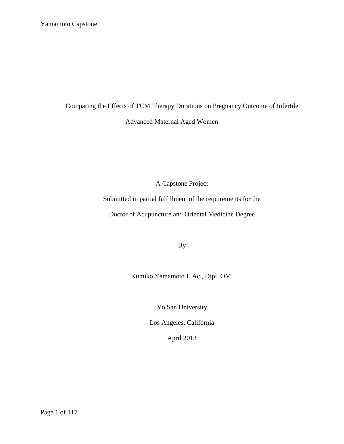Comparing the Effects of TCM Therapy Durations on Pregnancy Outcome of Infertile

Advanced Maternal Aged Women

A Capstone Project

Submitted in partial fulfillment of the requirements for the

Doctor of Acupuncture and Oriental Medicine Degree

By

Kumiko Yamamoto L.Ac., Dipl. OM.

Yo San University

Los Angeles, California

April 2013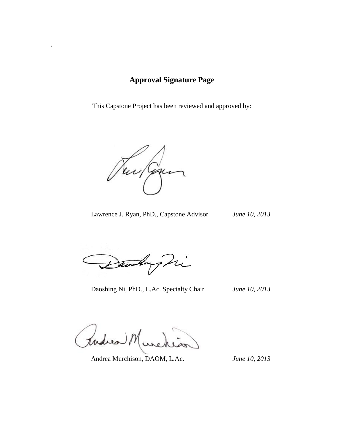# **Approval Signature Page**

This Capstone Project has been reviewed and approved by:

Tur Gan J

.

Lawrence J. Ryan, PhD., Capstone Advisor *June 10, 2013*

andary hi

Daoshing Ni, PhD., L.Ac. Specialty Chair *June 10, 2013*

hudrea

Andrea Murchison, DAOM, L.Ac. *June 10, 2013*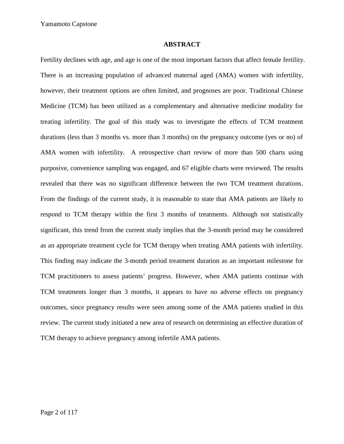#### **ABSTRACT**

Fertility declines with age, and age is one of the most important factors that affect female fertility. There is an increasing population of advanced maternal aged (AMA) women with infertility, however, their treatment options are often limited, and prognoses are poor. Traditional Chinese Medicine (TCM) has been utilized as a complementary and alternative medicine modality for treating infertility. The goal of this study was to investigate the effects of TCM treatment durations (less than 3 months vs. more than 3 months) on the pregnancy outcome (yes or no) of AMA women with infertility. A retrospective chart review of more than 500 charts using purposive, convenience sampling was engaged, and 67 eligible charts were reviewed. The results revealed that there was no significant difference between the two TCM treatment durations. From the findings of the current study, it is reasonable to state that AMA patients are likely to respond to TCM therapy within the first 3 months of treatments. Although not statistically significant, this trend from the current study implies that the 3-month period may be considered as an appropriate treatment cycle for TCM therapy when treating AMA patients with infertility. This finding may indicate the 3-month period treatment duration as an important milestone for TCM practitioners to assess patients' progress. However, when AMA patients continue with TCM treatments longer than 3 months, it appears to have no adverse effects on pregnancy outcomes, since pregnancy results were seen among some of the AMA patients studied in this review. The current study initiated a new area of research on determining an effective duration of TCM therapy to achieve pregnancy among infertile AMA patients.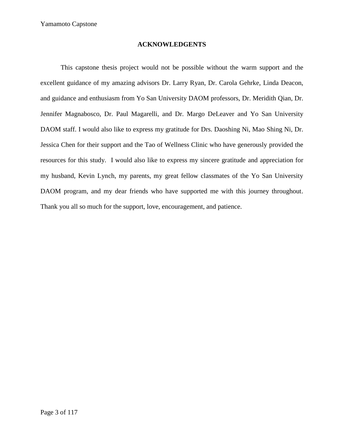## **ACKNOWLEDGENTS**

This capstone thesis project would not be possible without the warm support and the excellent guidance of my amazing advisors Dr. Larry Ryan, Dr. Carola Gehrke, Linda Deacon, and guidance and enthusiasm from Yo San University DAOM professors, Dr. Meridith Qian, Dr. Jennifer Magnabosco, Dr. Paul Magarelli, and Dr. Margo DeLeaver and Yo San University DAOM staff. I would also like to express my gratitude for Drs. Daoshing Ni, Mao Shing Ni, Dr. Jessica Chen for their support and the Tao of Wellness Clinic who have generously provided the resources for this study. I would also like to express my sincere gratitude and appreciation for my husband, Kevin Lynch, my parents, my great fellow classmates of the Yo San University DAOM program, and my dear friends who have supported me with this journey throughout. Thank you all so much for the support, love, encouragement, and patience.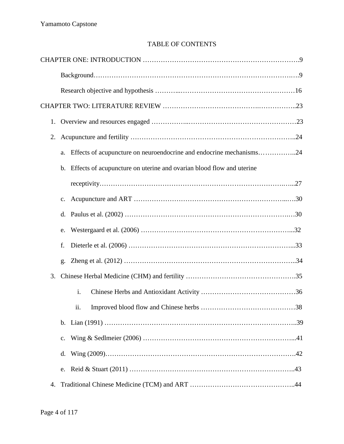# TABLE OF CONTENTS

| 1. |                                                                         |  |  |  |  |
|----|-------------------------------------------------------------------------|--|--|--|--|
| 2. |                                                                         |  |  |  |  |
|    | a. Effects of acupuncture on neuroendocrine and endocrine mechanisms24  |  |  |  |  |
|    | b. Effects of acupuncture on uterine and ovarian blood flow and uterine |  |  |  |  |
|    |                                                                         |  |  |  |  |
|    | $\mathbf{c}$ .                                                          |  |  |  |  |
|    | d.                                                                      |  |  |  |  |
|    | e.                                                                      |  |  |  |  |
|    | f.                                                                      |  |  |  |  |
|    | g.                                                                      |  |  |  |  |
| 3. |                                                                         |  |  |  |  |
|    | i.                                                                      |  |  |  |  |
|    | 11.                                                                     |  |  |  |  |
|    |                                                                         |  |  |  |  |
|    | $\mathbf{c}$ .                                                          |  |  |  |  |
|    | d.                                                                      |  |  |  |  |
|    | e.                                                                      |  |  |  |  |
| 4. |                                                                         |  |  |  |  |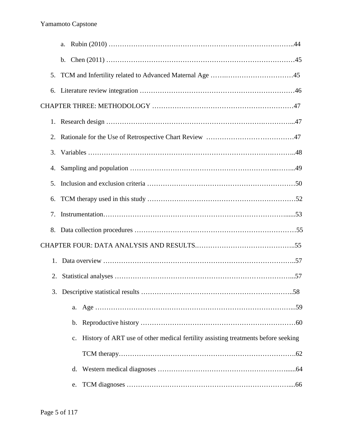| 5. |                                                                                                  |
|----|--------------------------------------------------------------------------------------------------|
| 6. |                                                                                                  |
|    |                                                                                                  |
|    |                                                                                                  |
| 2. |                                                                                                  |
| 3. |                                                                                                  |
| 4. |                                                                                                  |
| 5. |                                                                                                  |
| 6. |                                                                                                  |
| 7. |                                                                                                  |
| 8. |                                                                                                  |
|    |                                                                                                  |
| 1. |                                                                                                  |
|    |                                                                                                  |
|    |                                                                                                  |
|    |                                                                                                  |
|    |                                                                                                  |
|    | History of ART use of other medical fertility assisting treatments before seeking<br>$c_{\cdot}$ |
|    |                                                                                                  |
|    | d.                                                                                               |
|    | e.                                                                                               |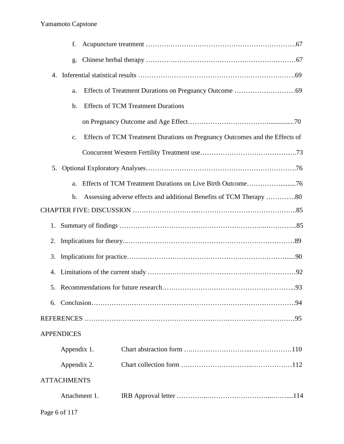|    | f.                 |                                                                             |  |
|----|--------------------|-----------------------------------------------------------------------------|--|
|    | g.                 |                                                                             |  |
| 4. |                    |                                                                             |  |
|    | a.                 |                                                                             |  |
|    | b.                 | <b>Effects of TCM Treatment Durations</b>                                   |  |
|    |                    |                                                                             |  |
|    | c.                 | Effects of TCM Treatment Durations on Pregnancy Outcomes and the Effects of |  |
|    |                    |                                                                             |  |
| 5. |                    |                                                                             |  |
|    | a.                 |                                                                             |  |
|    | b.                 | Assessing adverse effects and additional Benefits of TCM Therapy 80         |  |
|    |                    |                                                                             |  |
| 1. |                    |                                                                             |  |
| 2. |                    |                                                                             |  |
| 3. |                    |                                                                             |  |
|    |                    |                                                                             |  |
|    |                    |                                                                             |  |
| 6. |                    |                                                                             |  |
|    |                    |                                                                             |  |
|    | <b>APPENDICES</b>  |                                                                             |  |
|    | Appendix 1.        |                                                                             |  |
|    | Appendix 2.        |                                                                             |  |
|    | <b>ATTACHMENTS</b> |                                                                             |  |
|    | Attachment 1.      |                                                                             |  |
|    |                    |                                                                             |  |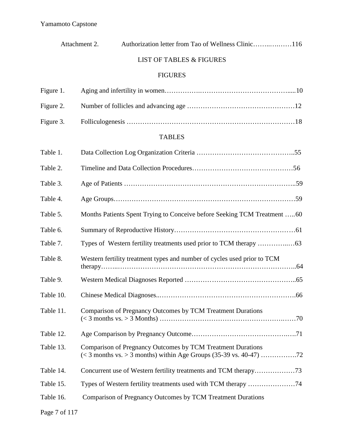|           | Attachment 2. |                                                             | Authorization letter from Tao of Wellness Clinic116                      |  |
|-----------|---------------|-------------------------------------------------------------|--------------------------------------------------------------------------|--|
|           |               | <b>LIST OF TABLES &amp; FIGURES</b>                         |                                                                          |  |
|           |               | <b>FIGURES</b>                                              |                                                                          |  |
| Figure 1. |               |                                                             |                                                                          |  |
| Figure 2. |               |                                                             |                                                                          |  |
| Figure 3. |               |                                                             |                                                                          |  |
|           |               | <b>TABLES</b>                                               |                                                                          |  |
| Table 1.  |               |                                                             |                                                                          |  |
| Table 2.  |               |                                                             |                                                                          |  |
| Table 3.  |               |                                                             |                                                                          |  |
| Table 4.  |               |                                                             |                                                                          |  |
| Table 5.  |               |                                                             | Months Patients Spent Trying to Conceive before Seeking TCM Treatment 60 |  |
| Table 6.  |               |                                                             |                                                                          |  |
| Table 7.  |               |                                                             |                                                                          |  |
| Table 8.  |               |                                                             | Western fertility treatment types and number of cycles used prior to TCM |  |
| Table 9.  |               |                                                             |                                                                          |  |
| Table 10. |               |                                                             |                                                                          |  |
| Table 11. |               | Comparison of Pregnancy Outcomes by TCM Treatment Durations |                                                                          |  |
| Table 12. |               |                                                             |                                                                          |  |
| Table 13. |               | Comparison of Pregnancy Outcomes by TCM Treatment Durations |                                                                          |  |
| Table 14. |               |                                                             |                                                                          |  |
| Table 15. |               |                                                             | Types of Western fertility treatments used with TCM therapy 74           |  |
| Table 16. |               | Comparison of Pregnancy Outcomes by TCM Treatment Durations |                                                                          |  |
|           |               |                                                             |                                                                          |  |

Page 7 of 117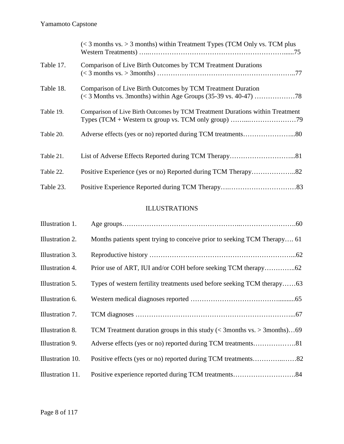|           | $\approx$ 3 months vs. > 3 months) within Treatment Types (TCM Only vs. TCM plus                                                                                              |
|-----------|-------------------------------------------------------------------------------------------------------------------------------------------------------------------------------|
| Table 17. | Comparison of Live Birth Outcomes by TCM Treatment Durations                                                                                                                  |
| Table 18. | Comparison of Live Birth Outcomes by TCM Treatment Duration                                                                                                                   |
| Table 19. | Comparison of Live Birth Outcomes by TCM Treatment Durations within Treatment<br>Types (TCM + Western tx group vs. TCM only group) $\dots\dots\dots\dots\dots\dots\dots\dots$ |
| Table 20. |                                                                                                                                                                               |
| Table 21. |                                                                                                                                                                               |
| Table 22. | Positive Experience (yes or no) Reported during TCM Therapy82                                                                                                                 |
| Table 23. |                                                                                                                                                                               |

# ILLUSTRATIONS

| Illustration 1.  |                                                                                    |
|------------------|------------------------------------------------------------------------------------|
| Illustration 2.  | Months patients spent trying to conceive prior to seeking TCM Therapy 61           |
| Illustration 3.  |                                                                                    |
| Illustration 4.  |                                                                                    |
| Illustration 5.  | Types of western fertility treatments used before seeking TCM therapy63            |
| Illustration 6.  |                                                                                    |
| Illustration 7.  |                                                                                    |
| Illustration 8.  | TCM Treatment duration groups in this study ( $\langle$ 3months vs. $>$ 3months)69 |
| Illustration 9.  |                                                                                    |
| Illustration 10. |                                                                                    |
| Illustration 11. |                                                                                    |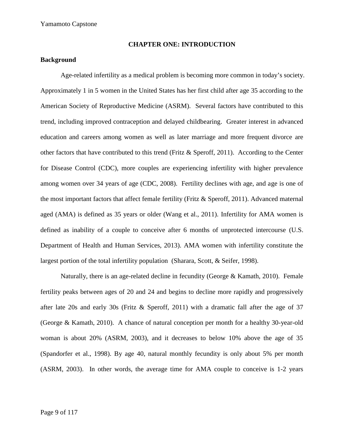### **CHAPTER ONE: INTRODUCTION**

## **Background**

Age-related infertility as a medical problem is becoming more common in today's society. Approximately 1 in 5 women in the United States has her first child after age 35 according to the American Society of Reproductive Medicine (ASRM). Several factors have contributed to this trend, including improved contraception and delayed childbearing. Greater interest in advanced education and careers among women as well as later marriage and more frequent divorce are other factors that have contributed to this trend (Fritz  $\&$  Speroff, 2011). According to the Center for Disease Control (CDC), more couples are experiencing infertility with higher prevalence among women over 34 years of age (CDC, 2008). Fertility declines with age, and age is one of the most important factors that affect female fertility (Fritz & Speroff, 2011). Advanced maternal aged (AMA) is defined as 35 years or older (Wang et al., 2011). Infertility for AMA women is defined as inability of a couple to conceive after 6 months of unprotected intercourse (U.S. Department of Health and Human Services, 2013). AMA women with infertility constitute the largest portion of the total infertility population (Sharara, Scott, & Seifer, 1998).

Naturally, there is an age-related decline in fecundity (George & Kamath, 2010). Female fertility peaks between ages of 20 and 24 and begins to decline more rapidly and progressively after late 20s and early 30s (Fritz & Speroff, 2011) with a dramatic fall after the age of 37 (George & Kamath, 2010). A chance of natural conception per month for a healthy 30-year-old woman is about 20% (ASRM, 2003), and it decreases to below 10% above the age of 35 (Spandorfer et al., 1998). By age 40, natural monthly fecundity is only about 5% per month (ASRM, 2003). In other words, the average time for AMA couple to conceive is 1-2 years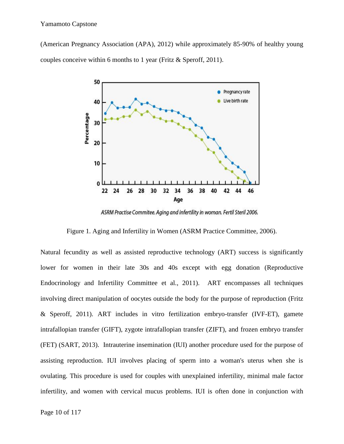(American Pregnancy Association (APA), 2012) while approximately 85-90% of healthy young couples conceive within 6 months to 1 year (Fritz & Speroff, 2011).



ASRM Practise Commitee. Aging and infertility in woman. Fertil Steril 2006.

Figure 1. Aging and Infertility in Women (ASRM Practice Committee, 2006).

Natural fecundity as well as assisted reproductive technology (ART) success is significantly lower for women in their late 30s and 40s except with egg donation (Reproductive Endocrinology and Infertility Committee et al., 2011). ART encompasses all techniques involving direct manipulation of oocytes outside the body for the purpose of reproduction (Fritz & Speroff, 2011). ART includes in vitro fertilization embryo-transfer (IVF-ET), gamete intrafallopian transfer (GIFT), zygote intrafallopian transfer (ZIFT), and frozen embryo transfer (FET) (SART, 2013). Intrauterine insemination (IUI) another procedure used for the purpose of assisting reproduction. IUI involves placing of sperm into a woman's uterus when she is ovulating. This procedure is used for couples with unexplained infertility, minimal male factor infertility, and women with cervical mucus problems. IUI is often done in conjunction with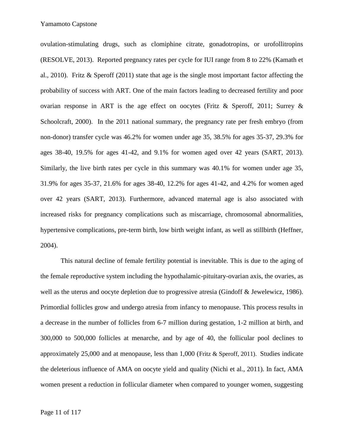ovulation-stimulating drugs, such as clomiphine citrate, gonadotropins, or urofollitropins (RESOLVE, 2013). Reported pregnancy rates per cycle for IUI range from 8 to 22% (Kamath et al., 2010). Fritz & Speroff (2011) state that age is the single most important factor affecting the probability of success with ART. One of the main factors leading to decreased fertility and poor ovarian response in ART is the age effect on oocytes (Fritz & Speroff, 2011; Surrey & Schoolcraft, 2000). In the 2011 national summary, the pregnancy rate per fresh embryo (from non-donor) transfer cycle was 46.2% for women under age 35, 38.5% for ages 35-37, 29.3% for ages 38-40, 19.5% for ages 41-42, and 9.1% for women aged over 42 years (SART, 2013). Similarly, the live birth rates per cycle in this summary was 40.1% for women under age 35, 31.9% for ages 35-37, 21.6% for ages 38-40, 12.2% for ages 41-42, and 4.2% for women aged over 42 years (SART, 2013). Furthermore, advanced maternal age is also associated with increased risks for pregnancy complications such as miscarriage, chromosomal abnormalities, hypertensive complications, pre-term birth, low birth weight infant, as well as stillbirth (Heffner, 2004).

This natural decline of female fertility potential is inevitable. This is due to the aging of the female reproductive system including the hypothalamic-pituitary-ovarian axis, the ovaries, as well as the uterus and oocyte depletion due to progressive atresia (Gindoff & Jewelewicz, 1986). Primordial follicles grow and undergo atresia from infancy to menopause. This process results in a decrease in the number of follicles from 6-7 million during gestation, 1-2 million at birth, and 300,000 to 500,000 follicles at menarche, and by age of 40, the follicular pool declines to approximately 25,000 and at menopause, less than 1,000 (Fritz & Speroff, 2011). Studies indicate the deleterious influence of AMA on oocyte yield and quality (Nichi et al., 2011). In fact, AMA women present a reduction in follicular diameter when compared to younger women, suggesting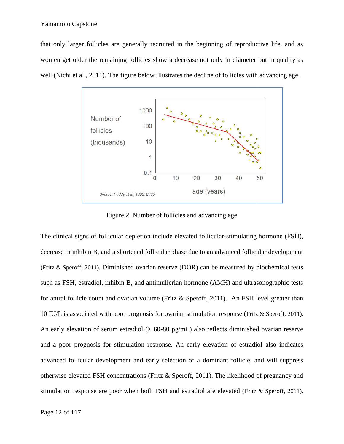that only larger follicles are generally recruited in the beginning of reproductive life, and as women get older the remaining follicles show a decrease not only in diameter but in quality as well (Nichi et al., 2011). The figure below illustrates the decline of follicles with advancing age. er follicles are generally recruited in the beginning of reproductive life, and as<br>der the remaining follicles show a decrease not only in diameter but in quality as<br>al., 2011). The figure below illustrates the decline of



Figure 2. Number of follicles and advancing age

The clinical signs of follicular depletion include elevated follicular-stimulating hormone (FSH), decrease in inhibin B, and a shortened follicular phase due to an advanced follicular development (Fritz & Speroff, 2011). Diminished ovarian reserve (DOR) can be measured by biochemical tests such as FSH, estradiol, inhibin B, and antimullerian hormone (AMH) and ultrasonographic tests for antral follicle count and ovarian volume (Fritz & Speroff, 2011). An FSH level greater than 10 IU/L is associated with poor prognosis for ovarian stimulation response (Fritz & Speroff, 2011). An early elevation of serum estradiol ( $> 60-80$  pg/mL) also reflects diminished ovarian reserve<br>and a poor prognosis for stimulation response. An early elevation of estradiol also indicates<br>advanced follicular developmen and a poor prognosis for stimulation response. An early elevation of estradiol also indicates advanced follicular development and early selection of a dominant follicle, and will suppress otherwise elevated FSH concentrations (Fritz & Speroff, 2011). The likelihood of pregnancy and stimulation response are poor when both FSH and estradiol are elevated (Fritz & Speroff, 2011). Figure 2. Number of follicles and advancing age<br>
linical signs of follicular depletion include elevated follicular-stimulating hormone (FSH),<br>
ase in inhibin B, and a shortened follicular phase due to an advanced follicula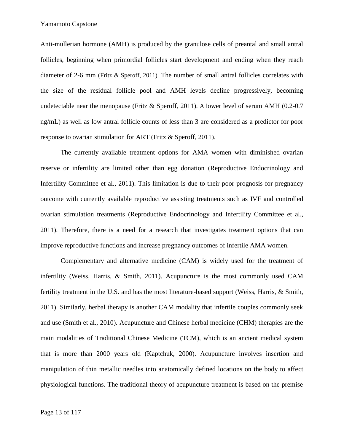Anti-mullerian hormone (AMH) is produced by the granulose cells of preantal and small antral follicles, beginning when primordial follicles start development and ending when they reach diameter of 2-6 mm (Fritz & Speroff, 2011). The number of small antral follicles correlates with the size of the residual follicle pool and AMH levels decline progressively, becoming undetectable near the menopause (Fritz & Speroff, 2011). A lower level of serum AMH (0.2-0.7 ng/mL) as well as low antral follicle counts of less than 3 are considered as a predictor for poor response to ovarian stimulation for ART (Fritz & Speroff, 2011).

The currently available treatment options for AMA women with diminished ovarian reserve or infertility are limited other than egg donation (Reproductive Endocrinology and Infertility Committee et al., 2011). This limitation is due to their poor prognosis for pregnancy outcome with currently available reproductive assisting treatments such as IVF and controlled ovarian stimulation treatments (Reproductive Endocrinology and Infertility Committee et al., 2011). Therefore, there is a need for a research that investigates treatment options that can improve reproductive functions and increase pregnancy outcomes of infertile AMA women.

Complementary and alternative medicine (CAM) is widely used for the treatment of infertility (Weiss, Harris, & Smith, 2011). Acupuncture is the most commonly used CAM fertility treatment in the U.S. and has the most literature-based support (Weiss, Harris, & Smith, 2011). Similarly, herbal therapy is another CAM modality that infertile couples commonly seek and use (Smith et al., 2010). Acupuncture and Chinese herbal medicine (CHM) therapies are the main modalities of Traditional Chinese Medicine (TCM), which is an ancient medical system that is more than 2000 years old (Kaptchuk, 2000). Acupuncture involves insertion and manipulation of thin metallic needles into anatomically defined locations on the body to affect physiological functions. The traditional theory of acupuncture treatment is based on the premise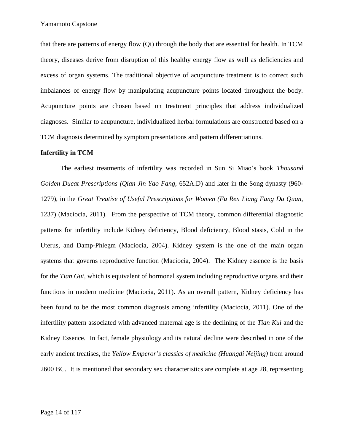that there are patterns of energy flow (Qi) through the body that are essential for health. In TCM theory, diseases derive from disruption of this healthy energy flow as well as deficiencies and excess of organ systems. The traditional objective of acupuncture treatment is to correct such imbalances of energy flow by manipulating acupuncture points located throughout the body. Acupuncture points are chosen based on treatment principles that address individualized diagnoses. Similar to acupuncture, individualized herbal formulations are constructed based on a TCM diagnosis determined by symptom presentations and pattern differentiations.

#### **Infertility in TCM**

The earliest treatments of infertility was recorded in Sun Si Miao's book *Thousand Golden Ducat Prescriptions (Qian Jin Yao Fang,* 652A.D) and later in the Song dynasty (960- 1279), in the *Great Treatise of Useful Prescriptions for Women (Fu Ren Liang Fang Da Quan,* 1237) (Maciocia, 2011). From the perspective of TCM theory, common differential diagnostic patterns for infertility include Kidney deficiency, Blood deficiency, Blood stasis, Cold in the Uterus, and Damp-Phlegm (Maciocia, 2004). Kidney system is the one of the main organ systems that governs reproductive function (Maciocia, 2004). The Kidney essence is the basis for the *Tian Gui*, which is equivalent of hormonal system including reproductive organs and their functions in modern medicine (Maciocia, 2011). As an overall pattern, Kidney deficiency has been found to be the most common diagnosis among infertility (Maciocia, 2011). One of the infertility pattern associated with advanced maternal age is the declining of the *Tian Kui* and the Kidney Essence. In fact, female physiology and its natural decline were described in one of the early ancient treatises, the *Yellow Emperor's classics of medicine (Huangdi Neijing)* from around 2600 BC. It is mentioned that secondary sex characteristics are complete at age 28, representing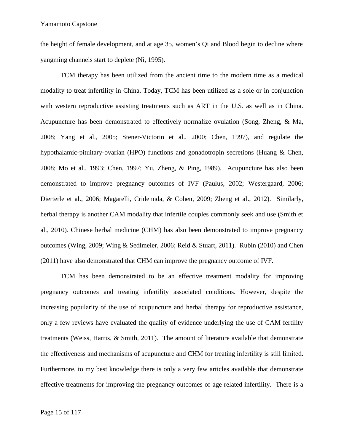the height of female development, and at age 35, women's Qi and Blood begin to decline where yangming channels start to deplete (Ni, 1995).

TCM therapy has been utilized from the ancient time to the modern time as a medical modality to treat infertility in China. Today, TCM has been utilized as a sole or in conjunction with western reproductive assisting treatments such as ART in the U.S. as well as in China. Acupuncture has been demonstrated to effectively normalize ovulation (Song, Zheng, & Ma, 2008; Yang et al., 2005; Stener-Victorin et al., 2000; Chen, 1997), and regulate the hypothalamic-pituitary-ovarian (HPO) functions and gonadotropin secretions (Huang & Chen, 2008; Mo et al., 1993; Chen, 1997; Yu, Zheng, & Ping, 1989). Acupuncture has also been demonstrated to improve pregnancy outcomes of IVF (Paulus, 2002; Westergaard, 2006; Dierterle et al., 2006; Magarelli, Cridennda, & Cohen, 2009; Zheng et al., 2012). Similarly, herbal therapy is another CAM modality that infertile couples commonly seek and use (Smith et al., 2010). Chinese herbal medicine (CHM) has also been demonstrated to improve pregnancy outcomes (Wing, 2009; Wing & Sedlmeier, 2006; Reid & Stuart, 2011). Rubin (2010) and Chen (2011) have also demonstrated that CHM can improve the pregnancy outcome of IVF.

TCM has been demonstrated to be an effective treatment modality for improving pregnancy outcomes and treating infertility associated conditions. However, despite the increasing popularity of the use of acupuncture and herbal therapy for reproductive assistance, only a few reviews have evaluated the quality of evidence underlying the use of CAM fertility treatments (Weiss, Harris, & Smith, 2011). The amount of literature available that demonstrate the effectiveness and mechanisms of acupuncture and CHM for treating infertility is still limited. Furthermore, to my best knowledge there is only a very few articles available that demonstrate effective treatments for improving the pregnancy outcomes of age related infertility. There is a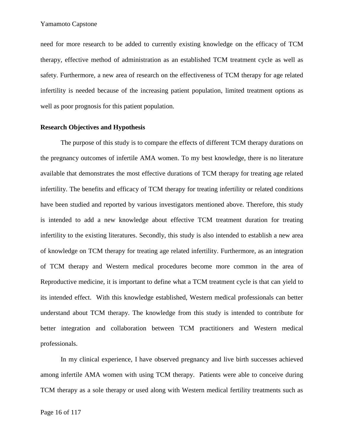need for more research to be added to currently existing knowledge on the efficacy of TCM therapy, effective method of administration as an established TCM treatment cycle as well as safety. Furthermore, a new area of research on the effectiveness of TCM therapy for age related infertility is needed because of the increasing patient population, limited treatment options as well as poor prognosis for this patient population.

## **Research Objectives and Hypothesis**

The purpose of this study is to compare the effects of different TCM therapy durations on the pregnancy outcomes of infertile AMA women.To my best knowledge, there is no literature available that demonstrates the most effective durations of TCM therapy for treating age related infertility. The benefits and efficacy of TCM therapy for treating infertility or related conditions have been studied and reported by various investigators mentioned above. Therefore, this study is intended to add a new knowledge about effective TCM treatment duration for treating infertility to the existing literatures. Secondly, this study is also intended to establish a new area of knowledge on TCM therapy for treating age related infertility. Furthermore, as an integration of TCM therapy and Western medical procedures become more common in the area of Reproductive medicine, it is important to define what a TCM treatment cycle is that can yield to its intended effect. With this knowledge established, Western medical professionals can better understand about TCM therapy. The knowledge from this study is intended to contribute for better integration and collaboration between TCM practitioners and Western medical professionals.

In my clinical experience, I have observed pregnancy and live birth successes achieved among infertile AMA women with using TCM therapy. Patients were able to conceive during TCM therapy as a sole therapy or used along with Western medical fertility treatments such as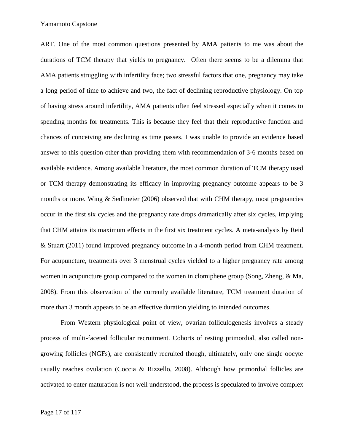ART. One of the most common questions presented by AMA patients to me was about the durations of TCM therapy that yields to pregnancy. Often there seems to be a dilemma that AMA patients struggling with infertility face; two stressful factors that one, pregnancy may take a long period of time to achieve and two, the fact of declining reproductive physiology. On top of having stress around infertility, AMA patients often feel stressed especially when it comes to spending months for treatments. This is because they feel that their reproductive function and chances of conceiving are declining as time passes. I was unable to provide an evidence based answer to this question other than providing them with recommendation of 3-6 months based on available evidence. Among available literature, the most common duration of TCM therapy used or TCM therapy demonstrating its efficacy in improving pregnancy outcome appears to be 3 months or more. Wing & Sedlmeier (2006) observed that with CHM therapy, most pregnancies occur in the first six cycles and the pregnancy rate drops dramatically after six cycles, implying that CHM attains its maximum effects in the first six treatment cycles. A meta-analysis by Reid & Stuart (2011) found improved pregnancy outcome in a 4-month period from CHM treatment. For acupuncture, treatments over 3 menstrual cycles yielded to a higher pregnancy rate among women in acupuncture group compared to the women in clomiphene group (Song, Zheng, & Ma, 2008). From this observation of the currently available literature, TCM treatment duration of more than 3 month appears to be an effective duration yielding to intended outcomes.

From Western physiological point of view, ovarian folliculogenesis involves a steady process of multi-faceted follicular recruitment. Cohorts of resting primordial, also called non growing follicles (NGFs), are consistently recruited though, ultimately, only one single oocyte usually reaches ovulation (Coccia & Rizzello, 2008). Although how primordial follicles are activated to enter maturation is not well understood, the process is speculated to involve complex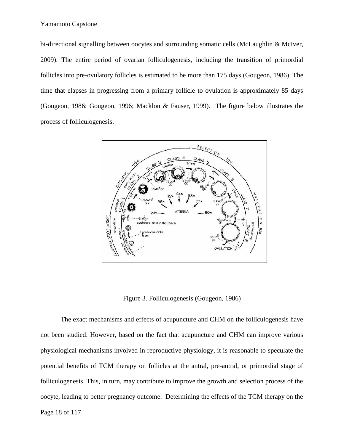bi-directional signalling between oocytes and surrounding somatic cells (McLaughlin & McIver, 2009). The entire period of ovarian folliculogenesis, including the transition of primordial follicles into pre-ovulatory follicles is estimated to be more than 175 days (Gougeon, 1986). The time that elapses in progressing from a primary follicle to ovulation is approximately 85 days (Gougeon, 1986; Gougeon, 1996; Macklon & Fauser, 1999). The figure below illustrates the process of folliculogenesis.



Figure 3. Folliculogenesis (Gougeon, 1986)

The exact mechanisms and effects of acupuncture and CHM on the folliculogenesis have not been studied. However, based on the fact that acupuncture and CHM can improve various physiological mechanisms involved in reproductive physiology, it is reasonable to speculate the potential benefits of TCM therapy on follicles at the antral, pre-antral, or primordial stage of folliculogenesis. This, in turn, may contribute to improve the growth and selection process of the oocyte, leading to better pregnancy outcome. Determining the effects of the TCM therapy on the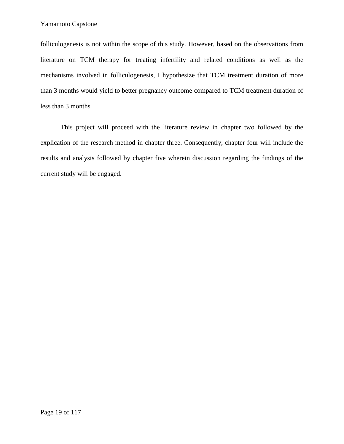folliculogenesis is not within the scope of this study. However, based on the observations from literature on TCM therapy for treating infertility and related conditions as well as the mechanisms involved in folliculogenesis, I hypothesize that TCM treatment duration of more than 3 months would yield to better pregnancy outcome compared to TCM treatment duration of less than 3 months.

This project will proceed with the literature review in chapter two followed by the explication of the research method in chapter three. Consequently, chapter four will include the results and analysis followed by chapter five wherein discussion regarding the findings of the current study will be engaged.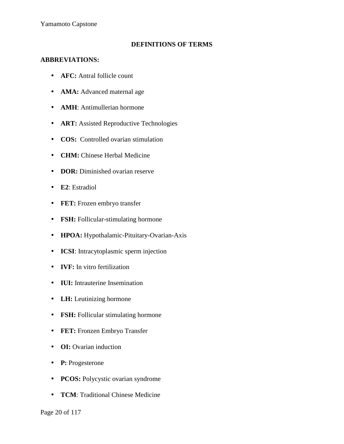## **DEFINITIONS OF TERMS**

## **ABBREVIATIONS:**

- **AFC:** Antral follicle count
- **AMA:** Advanced maternal age
- **AMH**: Antimullerian hormone
- **ART:** Assisted Reproductive Technologies
- **COS:** Controlled ovarian stimulation
- **CHM:** Chinese Herbal Medicine
- **DOR:** Diminished ovarian reserve
- **E2**: Estradiol
- **FET:** Frozen embryo transfer
- **FSH:** Follicular-stimulating hormone
- **HPOA:** Hypothalamic-Pituitary-Ovarian-Axis
- **ICSI**: Intracytoplasmic sperm injection
- **IVF:** In vitro fertilization
- **IUI:** Intrauterine Insemination
- **LH:** Leutinizing hormone
- **FSH:** Follicular stimulating hormone
- **FET:** Fronzen Embryo Transfer
- **OI:** Ovarian induction
- **P:** Progesterone
- **PCOS:** Polycystic ovarian syndrome
- **TCM**: Traditional Chinese Medicine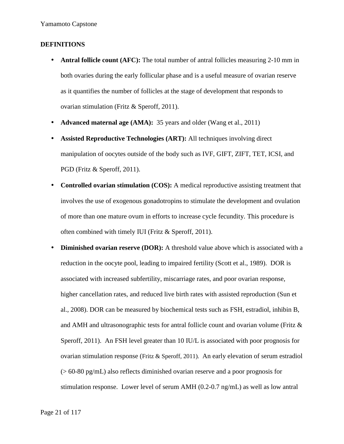## **DEFINITIONS**

- **Antral follicle count (AFC):** The total number of antral follicles measuring 2-10 mm in both ovaries during the early follicular phase and is a useful measure of ovarian reserve as it quantifies the number of follicles at the stage of development that responds to ovarian stimulation (Fritz & Speroff, 2011).
- **Advanced maternal age (AMA):** 35 years and older (Wang et al., 2011)
- **Assisted Reproductive Technologies (ART):** All techniques involving direct manipulation of oocytes outside of the body such as IVF, GIFT, ZIFT, TET, ICSI, and PGD (Fritz & Speroff, 2011).
- **Controlled ovarian stimulation (COS):** A medical reproductive assisting treatment that involves the use of exogenous gonadotropins to stimulate the development and ovulation of more than one mature ovum in efforts to increase cycle fecundity. This procedure is often combined with timely IUI (Fritz & Speroff, 2011).
- **Diminished ovarian reserve (DOR):** A threshold value above which is associated with a reduction in the oocyte pool, leading to impaired fertility (Scott et al., 1989). DOR is associated with increased subfertility, miscarriage rates, and poor ovarian response, higher cancellation rates, and reduced live birth rates with assisted reproduction (Sun et al., 2008). DOR can be measured by biochemical tests such as FSH, estradiol, inhibin B, and AMH and ultrasonographic tests for antral follicle count and ovarian volume (Fritz  $\&$ Speroff, 2011). An FSH level greater than 10 IU/L is associated with poor prognosis for ovarian stimulation response (Fritz & Speroff, 2011). An early elevation of serum estradiol (> 60-80 pg/mL) also reflects diminished ovarian reserve and a poor prognosis for stimulation response. Lower level of serum AMH (0.2-0.7 ng/mL) as well as low antral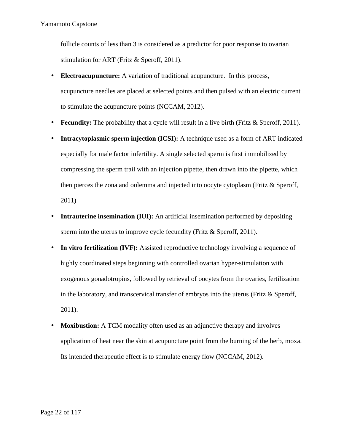follicle counts of less than 3 is considered as a predictor for poor response to ovarian stimulation for ART (Fritz & Speroff, 2011).

- **Electroacupuncture:** A variation of traditional acupuncture. In this process, acupuncture needles are placed at selected points and then pulsed with an electric current to stimulate the acupuncture points (NCCAM, 2012).
- **Fecundity:** The probability that a cycle will result in a live birth (Fritz & Speroff, 2011).
- **Intracytoplasmic sperm injection (ICSI):** A technique used as a form of ART indicated especially for male factor infertility. A single selected sperm is first immobilized by compressing the sperm trail with an injection pipette, then drawn into the pipette, which then pierces the zona and oolemma and injected into oocyte cytoplasm (Fritz & Speroff, 2011)
- **Intrauterine insemination (IUI):** An artificial insemination performed by depositing sperm into the uterus to improve cycle fecundity (Fritz & Speroff, 2011).
- In vitro fertilization (IVF): Assisted reproductive technology involving a sequence of highly coordinated steps beginning with controlled ovarian hyper-stimulation with exogenous gonadotropins, followed by retrieval of oocytes from the ovaries, fertilization in the laboratory, and transcervical transfer of embryos into the uterus (Fritz & Speroff, 2011).
- **Moxibustion:** A TCM modality often used as an adjunctive therapy and involves application of heat near the skin at acupuncture point from the burning of the herb, moxa. Its intended therapeutic effect is to stimulate energy flow (NCCAM, 2012).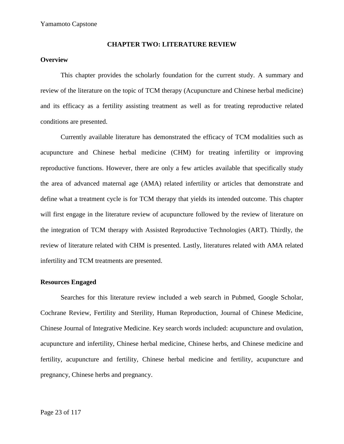#### **CHAPTER TWO: LITERATURE REVIEW**

## **Overview**

This chapter provides the scholarly foundation for the current study. A summary and review of the literature on the topic of TCM therapy (Acupuncture and Chinese herbal medicine) and its efficacy as a fertility assisting treatment as well as for treating reproductive related conditions are presented.

Currently available literature has demonstrated the efficacy of TCM modalities such as acupuncture and Chinese herbal medicine (CHM) for treating infertility or improving reproductive functions. However, there are only a few articles available that specifically study the area of advanced maternal age (AMA) related infertility or articles that demonstrate and define what a treatment cycle is for TCM therapy that yields its intended outcome. This chapter will first engage in the literature review of acupuncture followed by the review of literature on the integration of TCM therapy with Assisted Reproductive Technologies (ART). Thirdly, the review of literature related with CHM is presented. Lastly, literatures related with AMA related infertility and TCM treatments are presented.

## **Resources Engaged**

Searches for this literature review included a web search in Pubmed, Google Scholar, Cochrane Review, Fertility and Sterility, Human Reproduction, Journal of Chinese Medicine, Chinese Journal of Integrative Medicine. Key search words included: acupuncture and ovulation, acupuncture and infertility, Chinese herbal medicine, Chinese herbs, and Chinese medicine and fertility, acupuncture and fertility, Chinese herbal medicine and fertility, acupuncture and pregnancy, Chinese herbs and pregnancy.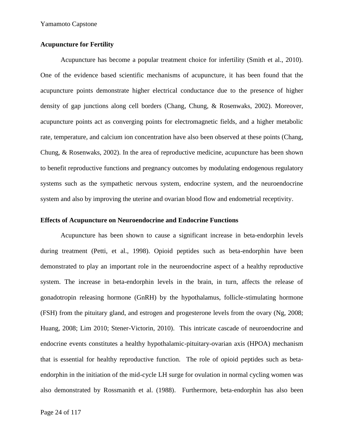### **Acupuncture for Fertility**

Acupuncture has become a popular treatment choice for infertility (Smith et al., 2010). One of the evidence based scientific mechanisms of acupuncture, it has been found that the acupuncture points demonstrate higher electrical conductance due to the presence of higher density of gap junctions along cell borders (Chang, Chung, & Rosenwaks, 2002). Moreover, acupuncture points act as converging points for electromagnetic fields, and a higher metabolic rate, temperature, and calcium ion concentration have also been observed at these points (Chang, Chung, & Rosenwaks, 2002). In the area of reproductive medicine, acupuncture has been shown to benefit reproductive functions and pregnancy outcomes by modulating endogenous regulatory systems such as the sympathetic nervous system, endocrine system, and the neuroendocrine system and also by improving the uterine and ovarian blood flow and endometrial receptivity.

## **Effects of Acupuncture on Neuroendocrine and Endocrine Functions**

Acupuncture has been shown to cause a significant increase in beta-endorphin levels during treatment (Petti, et al., 1998). Opioid peptides such as beta-endorphin have been demonstrated to play an important role in the neuroendocrine aspect of a healthy reproductive system. The increase in beta-endorphin levels in the brain, in turn, affects the release of gonadotropin releasing hormone (GnRH) by the hypothalamus, follicle-stimulating hormone (FSH) from the pituitary gland, and estrogen and progesterone levels from the ovary (Ng, 2008; Huang, 2008; Lim 2010; Stener-Victorin, 2010). This intricate cascade of neuroendocrine and endocrine events constitutes a healthy hypothalamic-pituitary-ovarian axis (HPOA) mechanism that is essential for healthy reproductive function. The role of opioid peptides such as beta endorphin in the initiation of the mid-cycle LH surge for ovulation in normal cycling women was also demonstrated by Rossmanith et al. (1988). Furthermore, beta-endorphin has also been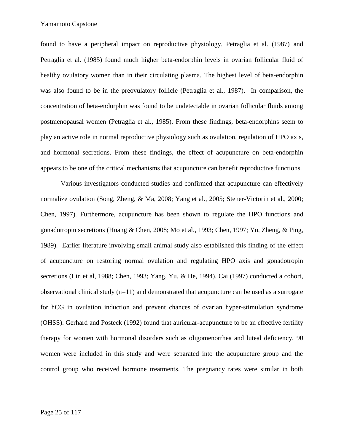found to have a peripheral impact on reproductive physiology. Petraglia et al. (1987) and Petraglia et al. (1985) found much higher beta-endorphin levels in ovarian follicular fluid of healthy ovulatory women than in their circulating plasma. The highest level of beta-endorphin was also found to be in the preovulatory follicle (Petraglia et al., 1987). In comparison, the concentration of beta-endorphin was found to be undetectable in ovarian follicular fluids among postmenopausal women (Petraglia et al., 1985). From these findings, beta-endorphins seem to play an active role in normal reproductive physiology such as ovulation, regulation of HPO axis, and hormonal secretions. From these findings, the effect of acupuncture on beta-endorphin appears to be one of the critical mechanisms that acupuncture can benefit reproductive functions.

Various investigators conducted studies and confirmed that acupuncture can effectively normalize ovulation (Song, Zheng, & Ma, 2008; Yang et al., 2005; Stener-Victorin et al., 2000; Chen, 1997). Furthermore, acupuncture has been shown to regulate the HPO functions and gonadotropin secretions (Huang & Chen, 2008; Mo et al., 1993; Chen, 1997; Yu, Zheng, & Ping, 1989). Earlier literature involving small animal study also established this finding of the effect of acupuncture on restoring normal ovulation and regulating HPO axis and gonadotropin secretions (Lin et al, 1988; Chen, 1993; Yang, Yu, & He, 1994). Cai (1997) conducted a cohort, observational clinical study (n=11) and demonstrated that acupuncture can be used as a surrogate for hCG in ovulation induction and prevent chances of ovarian hyper-stimulation syndrome (OHSS). Gerhard and Posteck (1992) found that auricular-acupuncture to be an effective fertility therapy for women with hormonal disorders such as oligomenorrhea and luteal deficiency. 90 women were included in this study and were separated into the acupuncture group and the control group who received hormone treatments. The pregnancy rates were similar in both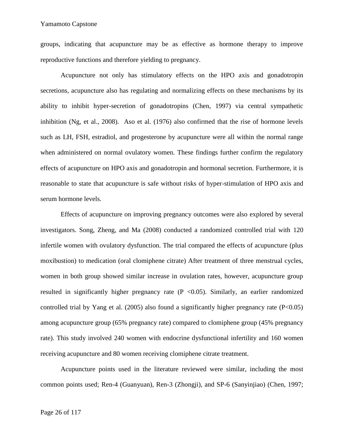groups, indicating that acupuncture may be as effective as hormone therapy to improve reproductive functions and therefore yielding to pregnancy.

Acupuncture not only has stimulatory effects on the HPO axis and gonadotropin secretions, acupuncture also has regulating and normalizing effects on these mechanisms by its ability to inhibit hyper-secretion of gonadotropins (Chen, 1997) via central sympathetic inhibition (Ng, et al., 2008). Aso et al. (1976) also confirmed that the rise of hormone levels such as LH, FSH, estradiol, and progesterone by acupuncture were all within the normal range when administered on normal ovulatory women. These findings further confirm the regulatory effects of acupuncture on HPO axis and gonadotropin and hormonal secretion. Furthermore, it is reasonable to state that acupuncture is safe without risks of hyper-stimulation of HPO axis and serum hormone levels.

Effects of acupuncture on improving pregnancy outcomes were also explored by several investigators. Song, Zheng, and Ma (2008) conducted a randomized controlled trial with 120 infertile women with ovulatory dysfunction. The trial compared the effects of acupuncture (plus moxibustion) to medication (oral clomiphene citrate) After treatment of three menstrual cycles, women in both group showed similar increase in ovulation rates, however, acupuncture group resulted in significantly higher pregnancy rate  $(P \le 0.05)$ . Similarly, an earlier randomized controlled trial by Yang et al. (2005) also found a significantly higher pregnancy rate  $(P<0.05)$ among acupuncture group (65% pregnancy rate) compared to clomiphene group (45% pregnancy rate). This study involved 240 women with endocrine dysfunctional infertility and 160 women receiving acupuncture and 80 women receiving clomiphene citrate treatment.

Acupuncture points used in the literature reviewed were similar, including the most common points used; Ren-4 (Guanyuan), Ren-3 (Zhongji), and SP-6 (Sanyinjiao) (Chen, 1997;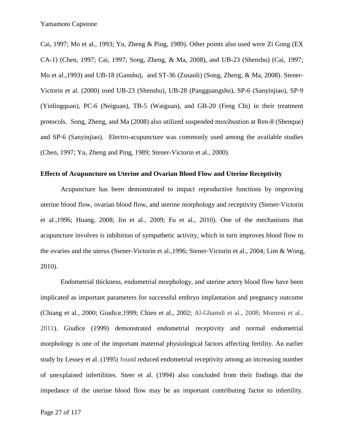Cai, 1997; Mo et al., 1993; Yu, Zheng & Ping, 1989). Other points also used were Zi Gong (EX CA-1) (Chen, 1997; Cai, 1997; Song, Zheng, & Ma, 2008), and UB-23 (Shenshu) (Cai, 1997; Mo et al.,1993) and UB-18 (Ganshu), and ST-36 (Zusanli) (Song, Zheng, & Ma, 2008). Stener- Victorin et al. (2000) used UB-23 (Shenshu), UB-28 (Pangguangshu), SP-6 (Sanyinjiao), SP-9 (Yinlingquan), PC-6 (Neiguan), TB-5 (Waiguan), and GB-20 (Feng Chi) in their treatment protocols. Song, Zheng, and Ma (2008) also utilized suspended moxibustion at Ren-8 (Shenque) and SP-6 (Sanyinjiao). Electro-acupuncture was commonly used among the available studies (Chen, 1997; Yu, Zheng and Ping, 1989; Stener-Victorin et al., 2000).

#### **Effects of Acupuncture on Uterine and Ovarian Blood Flow and Uterine Receptivity**

Acupuncture has been demonstrated to impact reproductive functions by improving uterine blood flow, ovarian blood flow, and uterine morphology and receptivity (Stener-Victorin et al.,1996; Huang, 2008; Jin et al., 2009; Fu et al., 2010). One of the mechanisms that acupuncture involves is inhibition of sympathetic activity, which in turn improves blood flow to the ovaries and the uterus (Stener-Victorin et al.,1996; Stener-Victorin et al., 2004; Lim & Wong, 2010).

Endometrial thickness, endometrial morphology, and uterine artery blood flow have been implicated as important parameters for successful embryo implantation and pregnancy outcome (Chiang et al., 2000; Giudice,1999; Chien et al., 2002; Al-Ghamdi et al., 2008; Momeni et al., 2011). Giudice (1999) demonstrated endometrial receptivity and normal endometrial morphology is one of the important maternal physiological factors affecting fertility. An earlier study by Lessey et al. (1995) found reduced endometrial receptivity among an increasing number of unexplained infertilities. Steer et al. (1994) also concluded from their findings that the impedance of the uterine blood flow may be an important contributing factor to infertility.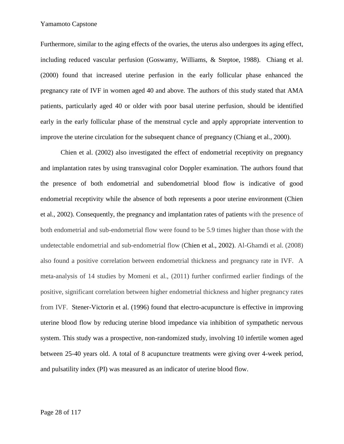Furthermore, similar to the aging effects of the ovaries, the uterus also undergoes its aging effect, including reduced vascular perfusion (Goswamy, Williams, & Steptoe, 1988). Chiang et al. (2000) found that increased uterine perfusion in the early follicular phase enhanced the pregnancy rate of IVF in women aged 40 and above. The authors of this study stated that AMA patients, particularly aged 40 or older with poor basal uterine perfusion, should be identified early in the early follicular phase of the menstrual cycle and apply appropriate intervention to improve the uterine circulation for the subsequent chance of pregnancy (Chiang et al., 2000).

Chien et al. (2002) also investigated the effect of endometrial receptivity on pregnancy and implantation rates by using transvaginal color Doppler examination. The authors found that the presence of both endometrial and subendometrial blood flow is indicative of good endometrial receptivity while the absence of both represents a poor uterine environment (Chien et al., 2002). Consequently, the pregnancy and implantation rates of patients with the presence of both endometrial and sub-endometrial flow were found to be 5.9 times higher than those with the undetectable endometrial and sub-endometrial flow (Chien et al., 2002). Al-Ghamdi et al. (2008) also found a positive correlation between endometrial thickness and pregnancy rate in IVF. A meta-analysis of 14 studies by Momeni et al., (2011) further confirmed earlier findings of the positive, significant correlation between higher endometrial thickness and higher pregnancy rates from IVF. Stener-Victorin et al. (1996) found that electro-acupuncture is effective in improving uterine blood flow by reducing uterine blood impedance via inhibition of sympathetic nervous system. This study was a prospective, non-randomized study, involving 10 infertile women aged between 25-40 years old. A total of 8 acupuncture treatments were giving over 4-week period, and pulsatility index (PI) was measured as an indicator of uterine blood flow.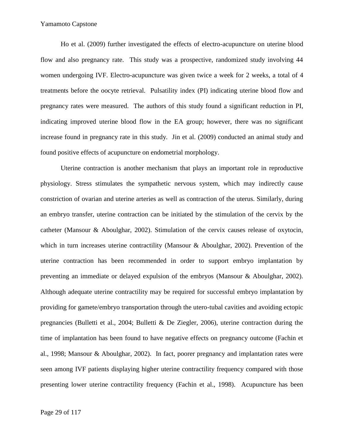Ho et al. (2009) further investigated the effects of electro-acupuncture on uterine blood flow and also pregnancy rate. This study was a prospective, randomized study involving 44 women undergoing IVF. Electro-acupuncture was given twice a week for 2 weeks, a total of 4 treatments before the oocyte retrieval. Pulsatility index (PI) indicating uterine blood flow and pregnancy rates were measured. The authors of this study found a significant reduction in PI, indicating improved uterine blood flow in the EA group; however, there was no significant increase found in pregnancy rate in this study. Jin et al. (2009) conducted an animal study and found positive effects of acupuncture on endometrial morphology.

Uterine contraction is another mechanism that plays an important role in reproductive physiology. Stress stimulates the sympathetic nervous system, which may indirectly cause constriction of ovarian and uterine arteries as well as contraction of the uterus. Similarly, during an embryo transfer, uterine contraction can be initiated by the stimulation of the cervix by the catheter (Mansour & Aboulghar, 2002). Stimulation of the cervix causes release of oxytocin, which in turn increases uterine contractility (Mansour & Aboulghar, 2002). Prevention of the uterine contraction has been recommended in order to support embryo implantation by preventing an immediate or delayed expulsion of the embryos (Mansour & Aboulghar, 2002). Although adequate uterine contractility may be required for successful embryo implantation by providing for gamete/embryo transportation through the utero-tubal cavities and avoiding ectopic pregnancies (Bulletti et al., 2004; Bulletti & De Ziegler, 2006), uterine contraction during the time of implantation has been found to have negative effects on pregnancy outcome (Fachin et al., 1998; Mansour & Aboulghar, 2002). In fact, poorer pregnancy and implantation rates were seen among IVF patients displaying higher uterine contractility frequency compared with those presenting lower uterine contractility frequency (Fachin et al., 1998). Acupuncture has been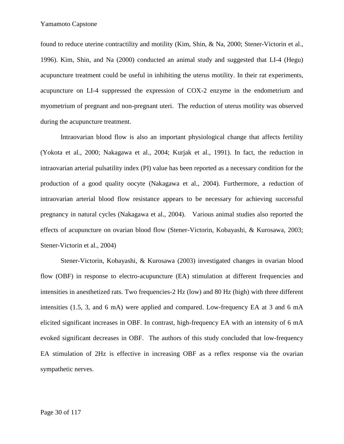found to reduce uterine contractility and motility (Kim, Shin, & Na, 2000; Stener-Victorin et al., 1996). Kim, Shin, and Na (2000) conducted an animal study and suggested that LI-4 (Hegu) acupuncture treatment could be useful in inhibiting the uterus motility. In their rat experiments, acupuncture on LI-4 suppressed the expression of COX-2 enzyme in the endometrium and myometrium of pregnant and non-pregnant uteri. The reduction of uterus motility was observed during the acupuncture treatment.

Intraovarian blood flow is also an important physiological change that affects fertility (Yokota et al., 2000; Nakagawa et al., 2004; Kurjak et al., 1991). In fact, the reduction in intraovarian arterial pulsatility index (PI) value has been reported as a necessary condition for the production of a good quality oocyte (Nakagawa et al., 2004). Furthermore, a reduction of intraovarian arterial blood flow resistance appears to be necessary for achieving successful pregnancy in natural cycles (Nakagawa et al., 2004). Various animal studies also reported the effects of acupuncture on ovarian blood flow (Stener-Victorin, Kobayashi, & Kurosawa, 2003; Stener-Victorin et al., 2004)

Stener-Victorin, Kobayashi, & Kurosawa (2003) investigated changes in ovarian blood flow (OBF) in response to electro-acupuncture (EA) stimulation at different frequencies and intensities in anesthetized rats. Two frequencies-2 Hz (low) and 80 Hz (high) with three different intensities (1.5, 3, and 6 mA) were applied and compared. Low-frequency EA at 3 and 6 mA elicited significant increases in OBF. In contrast, high-frequency EA with an intensity of 6 mA evoked significant decreases in OBF. The authors of this study concluded that low-frequency EA stimulation of 2Hz is effective in increasing OBF as a reflex response via the ovarian sympathetic nerves.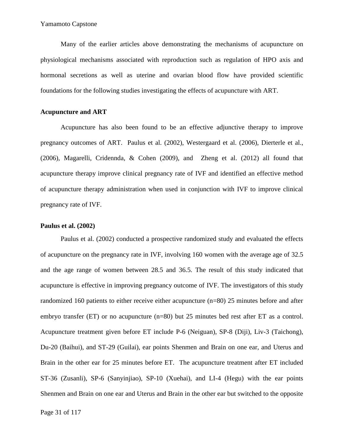Many of the earlier articles above demonstrating the mechanisms of acupuncture on physiological mechanisms associated with reproduction such as regulation of HPO axis and hormonal secretions as well as uterine and ovarian blood flow have provided scientific foundations for the following studies investigating the effects of acupuncture with ART.

## **Acupuncture and ART**

Acupuncture has also been found to be an effective adjunctive therapy to improve pregnancy outcomes of ART. Paulus et al. (2002), Westergaard et al. (2006), Dierterle et al., (2006), Magarelli, Cridennda, & Cohen (2009), and Zheng et al. (2012) all found that acupuncture therapy improve clinical pregnancy rate of IVF and identified an effective method of acupuncture therapy administration when used in conjunction with IVF to improve clinical pregnancy rate of IVF.

### **Paulus et al. (2002)**

Paulus et al. (2002) conducted a prospective randomized study and evaluated the effects of acupuncture on the pregnancy rate in IVF, involving 160 women with the average age of 32.5 and the age range of women between 28.5 and 36.5. The result of this study indicated that acupuncture is effective in improving pregnancy outcome of IVF. The investigators of this study randomized 160 patients to either receive either acupuncture (n=80) 25 minutes before and after embryo transfer (ET) or no acupuncture (n=80) but 25 minutes bed rest after ET as a control. Acupuncture treatment given before ET include P-6 (Neiguan), SP-8 (Diji), Liv-3 (Taichong), Du-20 (Baihui), and ST-29 (Guilai), ear points Shenmen and Brain on one ear, and Uterus and Brain in the other ear for 25 minutes before ET. The acupuncture treatment after ET included ST-36 (Zusanli), SP-6 (Sanyinjiao), SP-10 (Xuehai), and LI-4 (Hegu) with the ear points Shenmen and Brain on one ear and Uterus and Brain in the other ear but switched to the opposite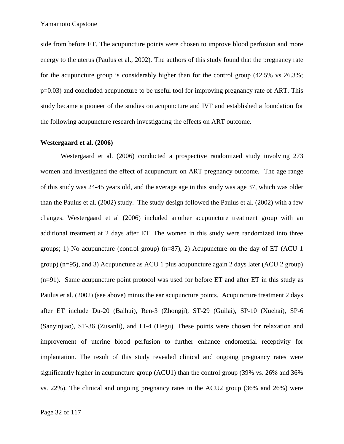side from before ET. The acupuncture points were chosen to improve blood perfusion and more energy to the uterus (Paulus et al., 2002). The authors of this study found that the pregnancy rate for the acupuncture group is considerably higher than for the control group  $(42.5\% \text{ vs } 26.3\%);$ p=0.03) and concluded acupuncture to be useful tool for improving pregnancy rate of ART. This study became a pioneer of the studies on acupuncture and IVF and established a foundation for the following acupuncture research investigating the effects on ART outcome.

### **Westergaard et al. (2006)**

Westergaard et al. (2006) conducted a prospective randomized study involving 273 women and investigated the effect of acupuncture on ART pregnancy outcome. The age range of this study was 24-45 years old, and the average age in this study was age 37, which was older than the Paulus et al. (2002) study. The study design followed the Paulus et al. (2002) with a few changes. Westergaard et al (2006) included another acupuncture treatment group with an additional treatment at 2 days after ET. The women in this study were randomized into three groups; 1) No acupuncture (control group) (n=87), 2) Acupuncture on the day of ET (ACU 1 group) (n=95), and 3) Acupuncture as ACU 1 plus acupuncture again 2 days later (ACU 2 group) (n=91). Same acupuncture point protocol was used for before ET and after ET in this study as Paulus et al. (2002) (see above) minus the ear acupuncture points. Acupuncture treatment 2 days after ET include Du-20 (Baihui), Ren-3 (Zhongji), ST-29 (Guilai), SP-10 (Xuehai), SP-6 (Sanyinjiao), ST-36 (Zusanli), and LI-4 (Hegu). These points were chosen for relaxation and improvement of uterine blood perfusion to further enhance endometrial receptivity for implantation. The result of this study revealed clinical and ongoing pregnancy rates were significantly higher in acupuncture group (ACU1) than the control group (39% vs. 26% and 36% vs. 22%). The clinical and ongoing pregnancy rates in the ACU2 group (36% and 26%) were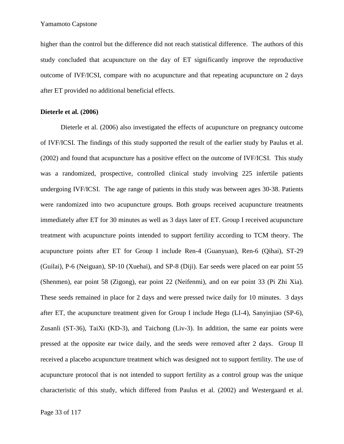higher than the control but the difference did not reach statistical difference. The authors of this study concluded that acupuncture on the day of ET significantly improve the reproductive outcome of IVF/ICSI, compare with no acupuncture and that repeating acupuncture on 2 days after ET provided no additional beneficial effects.

#### **Dieterle et al. (2006)**

Dieterle et al. (2006) also investigated the effects of acupuncture on pregnancy outcome of IVF/ICSI. The findings of this study supported the result of the earlier study by Paulus et al. (2002) and found that acupuncture has a positive effect on the outcome of IVF/ICSI. This study was a randomized, prospective, controlled clinical study involving 225 infertile patients undergoing IVF/ICSI. The age range of patients in this study was between ages 30-38. Patients were randomized into two acupuncture groups. Both groups received acupuncture treatments immediately after ET for 30 minutes as well as 3 days later of ET. Group I received acupuncture treatment with acupuncture points intended to support fertility according to TCM theory. The acupuncture points after ET for Group I include Ren-4 (Guanyuan), Ren-6 (Qihai), ST-29 (Guilai), P-6 (Neiguan), SP-10 (Xuehai), and SP-8 (Diji). Ear seeds were placed on ear point 55 (Shenmen), ear point 58 (Zigong), ear point 22 (Neifenmi), and on ear point 33 (Pi Zhi Xia). These seeds remained in place for 2 days and were pressed twice daily for 10 minutes. 3 days after ET, the acupuncture treatment given for Group I include Hegu (LI-4), Sanyinjiao (SP-6), Zusanli (ST-36), TaiXi (KD-3), and Taichong (Liv-3). In addition, the same ear points were pressed at the opposite ear twice daily, and the seeds were removed after 2 days. Group II received a placebo acupuncture treatment which was designed not to support fertility. The use of acupuncture protocol that is not intended to support fertility as a control group was the unique characteristic of this study, which differed from Paulus et al. (2002) and Westergaard et al.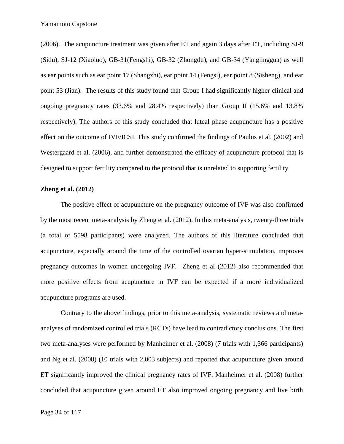(2006). The acupuncture treatment was given after ET and again 3 days after ET, including SJ-9 (Sidu), SJ-12 (Xiaoluo), GB-31(Fengshi), GB-32 (Zhongdu), and GB-34 (Yanglinggua) as well as ear points such as ear point 17 (Shangzhi), ear point 14 (Fengsi), ear point 8 (Sisheng), and ear point 53 (Jian). The results of this study found that Group I had significantly higher clinical and ongoing pregnancy rates (33.6% and 28.4% respectively) than Group II (15.6% and 13.8% respectively). The authors of this study concluded that luteal phase acupuncture has a positive effect on the outcome of IVF/ICSI. This study confirmed the findings of Paulus et al. (2002) and Westergaard et al. (2006), and further demonstrated the efficacy of acupuncture protocol that is designed to support fertility compared to the protocol that is unrelated to supporting fertility.

#### **Zheng et al. (2012)**

The positive effect of acupuncture on the pregnancy outcome of IVF was also confirmed by the most recent meta-analysis by Zheng et al. (2012). In this meta-analysis, twenty-three trials (a total of 5598 participants) were analyzed. The authors of this literature concluded that acupuncture, especially around the time of the controlled ovarian hyper-stimulation, improves pregnancy outcomes in women undergoing IVF. Zheng et al (2012) also recommended that more positive effects from acupuncture in IVF can be expected if a more individualized acupuncture programs are used.

Contrary to the above findings, prior to this meta-analysis, systematic reviews and meta analyses of randomized controlled trials (RCTs) have lead to contradictory conclusions. The first two meta-analyses were performed by Manheimer et al. (2008) (7 trials with 1,366 participants) and Ng et al. (2008) (10 trials with 2,003 subjects) and reported that acupuncture given around ET significantly improved the clinical pregnancy rates of IVF. Manheimer et al. (2008) further concluded that acupuncture given around ET also improved ongoing pregnancy and live birth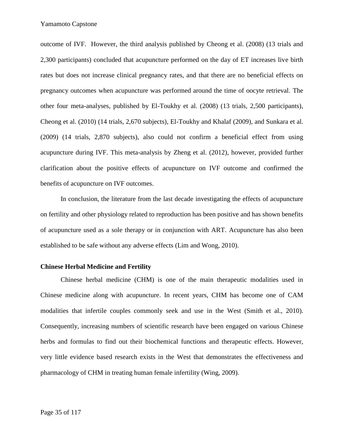outcome of IVF. However, the third analysis published by Cheong et al. (2008) (13 trials and 2,300 participants) concluded that acupuncture performed on the day of ET increases live birth rates but does not increase clinical pregnancy rates, and that there are no beneficial effects on pregnancy outcomes when acupuncture was performed around the time of oocyte retrieval. The other four meta-analyses, published by El-Toukhy et al. (2008) (13 trials, 2,500 participants), Cheong et al. (2010) (14 trials, 2,670 subjects), El-Toukhy and Khalaf (2009), and Sunkara et al. (2009) (14 trials, 2,870 subjects), also could not confirm a beneficial effect from using acupuncture during IVF. This meta-analysis by Zheng et al. (2012), however, provided further clarification about the positive effects of acupuncture on IVF outcome and confirmed the benefits of acupuncture on IVF outcomes.

In conclusion, the literature from the last decade investigating the effects of acupuncture on fertility and other physiology related to reproduction has been positive and has shown benefits of acupuncture used as a sole therapy or in conjunction with ART. Acupuncture has also been established to be safe without any adverse effects (Lim and Wong, 2010).

## **Chinese Herbal Medicine and Fertility**

Chinese herbal medicine (CHM) is one of the main therapeutic modalities used in Chinese medicine along with acupuncture. In recent years, CHM has become one of CAM modalities that infertile couples commonly seek and use in the West (Smith et al., 2010). Consequently, increasing numbers of scientific research have been engaged on various Chinese herbs and formulas to find out their biochemical functions and therapeutic effects. However, very little evidence based research exists in the West that demonstrates the effectiveness and pharmacology of CHM in treating human female infertility (Wing, 2009).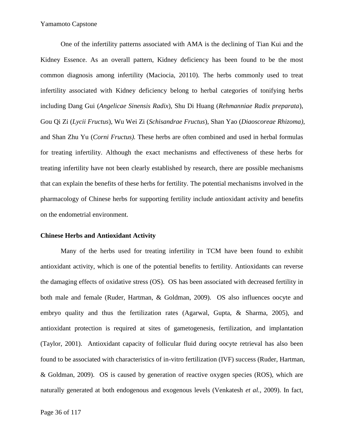One of the infertility patterns associated with AMA is the declining of Tian Kui and the Kidney Essence. As an overall pattern, Kidney deficiency has been found to be the most common diagnosis among infertility (Maciocia, 20110). The herbs commonly used to treat infertility associated with Kidney deficiency belong to herbal categories of tonifying herbs including Dang Gui (*Angelicae Sinensis Radix*), Shu Di Huang (*Rehmanniae Radix preparata*), Gou Qi Zi (*Lycii Fructus*), Wu Wei Zi (*Schisandrae Fructus*), Shan Yao (*Diaoscoreae Rhizoma),* and Shan Zhu Yu (*Corni Fructus).* These herbs are often combined and used in herbal formulas for treating infertility. Although the exact mechanisms and effectiveness of these herbs for treating infertility have not been clearly established by research, there are possible mechanisms that can explain the benefits of these herbs for fertility. The potential mechanisms involved in the pharmacology of Chinese herbs for supporting fertility include antioxidant activity and benefits on the endometrial environment.

#### **Chinese Herbs and Antioxidant Activity**

Many of the herbs used for treating infertility in TCM have been found to exhibit antioxidant activity, which is one of the potential benefits to fertility. Antioxidants can reverse the damaging effects of oxidative stress (OS). OS has been associated with decreased fertility in both male and female (Ruder, Hartman, & Goldman, 2009). OS also influences oocyte and embryo quality and thus the fertilization rates (Agarwal, Gupta, & Sharma, 2005), and antioxidant protection is required at sites of gametogenesis, fertilization, and implantation (Taylor, 2001). Antioxidant capacity of follicular fluid during oocyte retrieval has also been found to be associated with characteristics of in-vitro fertilization (IVF) success (Ruder, Hartman, & Goldman, 2009). OS is caused by generation of reactive oxygen species (ROS), which are naturally generated at both endogenous and exogenous levels (Venkatesh *et al.,* 2009). In fact,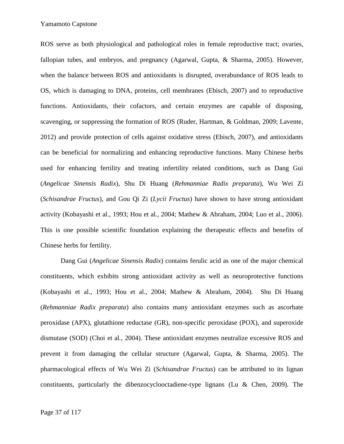ROS serve as both physiological and pathological roles in female reproductive tract; ovaries, fallopian tubes, and embryos, and pregnancy (Agarwal, Gupta, & Sharma, 2005). However, when the balance between ROS and antioxidants is disrupted, overabundance of ROS leads to OS, which is damaging to DNA, proteins, cell membranes (Ebisch, 2007) and to reproductive functions. Antioxidants, their cofactors, and certain enzymes are capable of disposing, scavenging, or suppressing the formation of ROS (Ruder, Hartman, & Goldman, 2009; Lavente, 2012) and provide protection of cells against oxidative stress (Ebisch, 2007), and antioxidants can be beneficial for normalizing and enhancing reproductive functions. Many Chinese herbs used for enhancing fertility and treating infertility related conditions, such as Dang Gui (*Angelicae Sinensis Radix*), Shu Di Huang (*Rehmanniae Radix preparata*), Wu Wei Zi (*Schisandrae Fructus*), and Gou Qi Zi (*Lycii Fructus*) have shown to have strong antioxidant activity (Kobayashi et al., 1993; Hou et al*.,* 2004; Mathew & Abraham, 2004; Luo et al., 2006). This is one possible scientific foundation explaining the therapeutic effects and benefits of Chinese herbs for fertility.

Dang Gui (*Angelicae Sinensis Radix*) contains ferulic acid as one of the major chemical constituents, which exhibits strong antioxidant activity as well as neuroprotective functions (Kobayashi et al., 1993; Hou et al., 2004; Mathew & Abraham, 2004). Shu Di Huang (*Rehmanniae Radix preparata*) also contains many antioxidant enzymes such as ascorbate peroxidase (APX), glutathione reductase (GR), non-specific peroxidase (POX), and superoxide dismutase (SOD) (Choi et al*.,* 2004). These antioxidant enzymes neutralize excessive ROS and prevent it from damaging the cellular structure (Agarwal, Gupta, & Sharma, 2005). The pharmacological effects of Wu Wei Zi (*Schisandrae Fructus*) can be attributed to its lignan constituents, particularly the dibenzocyclooctadiene-type lignans (Lu & Chen, 2009). The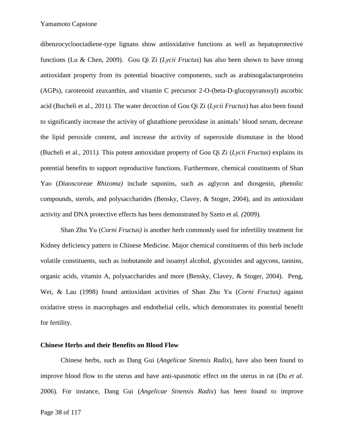dibenzocyclooctadiene-type lignans show antioxidative functions as well as hepatoprotective functions (Lu & Chen, 2009). Gou Qi Zi (*Lycii Fructus*) has also been shown to have strong antioxidant property from its potential bioactive components, such as arabinogalactanproteins (AGPs), carotenoid zeaxanthin, and vitamin C precursor 2-O-(beta-D-glucopyranosyl) ascorbic acid (Bucheli et al., 2011*).* The water decoction of Gou Qi Zi (*Lycii Fructus*) has also been found to significantly increase the activity of glutathione peroxidase in animals' blood serum, decrease the lipid peroxide content, and increase the activity of superoxide dismutase in the blood (Bucheli et al*.,* 2011*).* This potent antioxidant property of Gou Qi Zi (*Lycii Fructus*) explains its potential benefits to support reproductive functions. Furthermore, chemical constituents of Shan Yao (*Diaoscoreae Rhizoma)* include saponins, such as aglycon and diosgenin, phenolic compounds, sterols, and polysaccharides (Bensky, Clavey, & Stoger, 2004), and its antioxidant activity and DNA protective effects has been demonstrated by Szeto et al*. (*2009).

Shan Zhu Yu (*Corni Fructus)* is another herb commonly used for infertility treatment for Kidney deficiency pattern in Chinese Medicine. Major chemical constituents of this herb include volatile constituents, such as isobutanole and isoamyl alcohol, glycosides and agycons, tannins, organic acids, vitamin A, polysaccharides and more (Bensky, Clavey, & Stoger, 2004). Peng, Wei, & Lau (1998) found antioxidant activities of Shan Zhu Yu (*Corni Fructus)* against oxidative stress in macrophages and endothelial cells, which demonstrates its potential benefit for fertility.

#### **Chinese Herbs and their Benefits on Blood Flow**

Chinese herbs, such as Dang Gui (*Angelicae Sinensis Radix*), have also been found to improve blood flow to the uterus and have anti-spasmotic effect on the uterus in rat (Du *et al.* 2006). For instance, Dang Gui (*Angelicae Sinensis Radix*) has been found to improve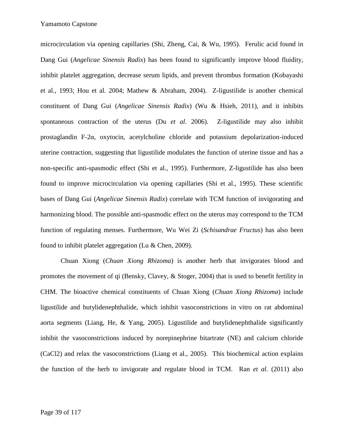microcirculation via opening capillaries (Shi, Zheng, Cai, & Wu, 1995). Ferulic acid found in Dang Gui (*Angelicae Sinensis Radix*) has been found to significantly improve blood fluidity, inhibit platelet aggregation, decrease serum lipids, and prevent thrombus formation (Kobayashi et al., 1993; Hou et al*.* 2004; Mathew & Abraham, 2004). Z-ligustilide is another chemical constituent of Dang Gui (*Angelicae Sinensis Radix*) (Wu & Hsieh, 2011), and it inhibits spontaneous contraction of the uterus (Du *et al.* 2006). Z-ligustilide may also inhibit prostaglandin F-2, oxytocin, acetylcholine chloride and potassium depolarization-induced uterine contraction, suggesting that ligustilide modulates the function of uterine tissue and has a non-specific anti-spasmodic effect (Shi et al., 1995). Furthermore, Z-ligustilide has also been found to improve microcirculation via opening capillaries (Shi et al., 1995). These scientific bases of Dang Gui (*Angelicae Sinensis Radix*) correlate with TCM function of invigorating and harmonizing blood. The possible anti-spasmodic effect on the uterus may correspond to the TCM function of regulating menses. Furthermore, Wu Wei Zi (*Schisandrae Fructus*) has also been found to inhibit platelet aggregation (Lu & Chen, 2009).

Chuan Xiong (*Chuan Xiong Rhizoma*) is another herb that invigorates blood and promotes the movement of qi (Bensky, Clavey, & Stoger, 2004) that is used to benefit fertility in CHM. The bioactive chemical constituents of Chuan Xiong (*Chuan Xiong Rhizoma*) include ligustilide and butylidenephthalide, which inhibit vasoconstrictions in vitro on rat abdominal aorta segments (Liang, He,  $\&$  Yang, 2005). Ligustilide and butylidenephthalide significantly inhibit the vasoconstrictions induced by norepinephrine bitartrate (NE) and calcium chloride (CaCl2) and relax the vasoconstrictions (Liang et al., 2005). This biochemical action explains the function of the herb to invigorate and regulate blood in TCM. Ran *et al.* (2011) also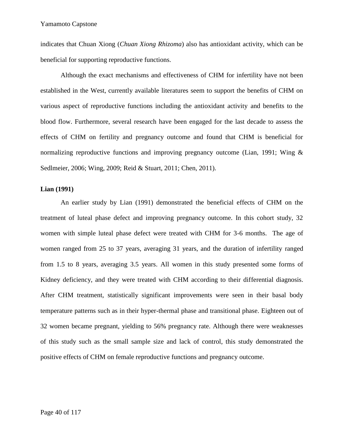indicates that Chuan Xiong (*Chuan Xiong Rhizoma*) also has antioxidant activity, which can be beneficial for supporting reproductive functions.

Although the exact mechanisms and effectiveness of CHM for infertility have not been established in the West, currently available literatures seem to support the benefits of CHM on various aspect of reproductive functions including the antioxidant activity and benefits to the blood flow. Furthermore, several research have been engaged for the last decade to assess the effects of CHM on fertility and pregnancy outcome and found that CHM is beneficial for normalizing reproductive functions and improving pregnancy outcome (Lian, 1991; Wing  $\&$ Sedlmeier, 2006; Wing, 2009; Reid & Stuart, 2011; Chen, 2011).

### **Lian (1991)**

An earlier study by Lian (1991) demonstrated the beneficial effects of CHM on the treatment of luteal phase defect and improving pregnancy outcome. In this cohort study, 32 women with simple luteal phase defect were treated with CHM for 3-6 months. The age of women ranged from 25 to 37 years, averaging 31 years, and the duration of infertility ranged from 1.5 to 8 years, averaging 3.5 years. All women in this study presented some forms of Kidney deficiency, and they were treated with CHM according to their differential diagnosis. After CHM treatment, statistically significant improvements were seen in their basal body temperature patterns such as in their hyper-thermal phase and transitional phase. Eighteen out of 32 women became pregnant, yielding to 56% pregnancy rate. Although there were weaknesses of this study such as the small sample size and lack of control, this study demonstrated the positive effects of CHM on female reproductive functions and pregnancy outcome.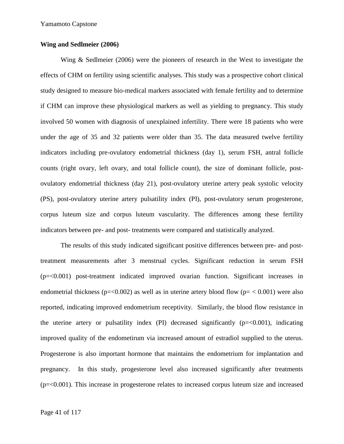#### **Wing and Sedlmeier (2006)**

Wing & Sedlmeier (2006) were the pioneers of research in the West to investigate the effects of CHM on fertility using scientific analyses. This study was a prospective cohort clinical study designed to measure bio-medical markers associated with female fertility and to determine if CHM can improve these physiological markers as well as yielding to pregnancy. This study involved 50 women with diagnosis of unexplained infertility. There were 18 patients who were under the age of 35 and 32 patients were older than 35. The data measured twelve fertility indicators including pre-ovulatory endometrial thickness (day 1), serum FSH, antral follicle counts (right ovary, left ovary, and total follicle count), the size of dominant follicle, post ovulatory endometrial thickness (day 21), post-ovulatory uterine artery peak systolic velocity (PS), post-ovulatory uterine artery pulsatility index (PI), post-ovulatory serum progesterone, corpus luteum size and corpus luteum vascularity. The differences among these fertility indicators between pre- and post- treatments were compared and statistically analyzed.

The results of this study indicated significant positive differences between pre- and posttreatment measurements after 3 menstrual cycles. Significant reduction in serum FSH (p=<0.001) post-treatment indicated improved ovarian function. Significant increases in endometrial thickness ( $p = 0.002$ ) as well as in uterine artery blood flow ( $p = 0.001$ ) were also reported, indicating improved endometrium receptivity. Similarly, the blood flow resistance in the uterine artery or pulsatility index  $(PI)$  decreased significantly  $(p=<0.001)$ , indicating improved quality of the endometirum via increased amount of estradiol supplied to the uterus. Progesterone is also important hormone that maintains the endometrium for implantation and pregnancy. In this study, progesterone level also increased significantly after treatments (p=<0.001). This increase in progesterone relates to increased corpus luteum size and increased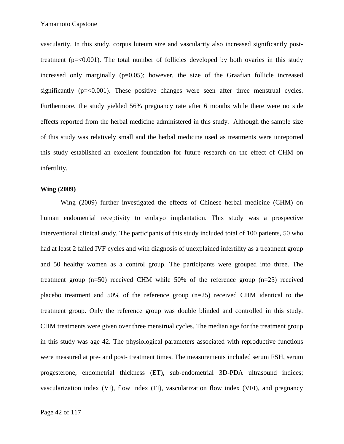vascularity. In this study, corpus luteum size and vascularity also increased significantly posttreatment ( $p = 0.001$ ). The total number of follicles developed by both ovaries in this study increased only marginally  $(p=0.05)$ ; however, the size of the Graafian follicle increased significantly  $(p=\langle 0.001 \rangle)$ . These positive changes were seen after three menstrual cycles. Furthermore, the study yielded 56% pregnancy rate after 6 months while there were no side effects reported from the herbal medicine administered in this study. Although the sample size of this study was relatively small and the herbal medicine used as treatments were unreported this study established an excellent foundation for future research on the effect of CHM on infertility.

#### **Wing (2009)**

Wing (2009) further investigated the effects of Chinese herbal medicine (CHM) on human endometrial receptivity to embryo implantation. This study was a prospective interventional clinical study. The participants of this study included total of 100 patients, 50 who had at least 2 failed IVF cycles and with diagnosis of unexplained infertility as a treatment group and 50 healthy women as a control group. The participants were grouped into three. The treatment group (n=50) received CHM while 50% of the reference group (n=25) received placebo treatment and 50% of the reference group (n=25) received CHM identical to the treatment group. Only the reference group was double blinded and controlled in this study. CHM treatments were given over three menstrual cycles. The median age for the treatment group in this study was age 42. The physiological parameters associated with reproductive functions were measured at pre- and post- treatment times. The measurements included serum FSH, serum progesterone, endometrial thickness (ET), sub-endometrial 3D-PDA ultrasound indices; vascularization index (VI), flow index (FI), vascularization flow index (VFI), and pregnancy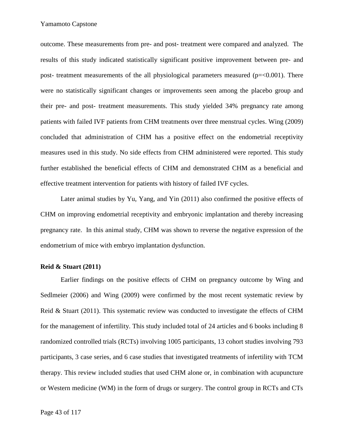outcome. These measurements from pre- and post- treatment were compared and analyzed. The results of this study indicated statistically significant positive improvement between pre- and post- treatment measurements of the all physiological parameters measured ( $p = 0.001$ ). There were no statistically significant changes or improvements seen among the placebo group and their pre- and post- treatment measurements. This study yielded 34% pregnancy rate among patients with failed IVF patients from CHM treatments over three menstrual cycles. Wing (2009) concluded that administration of CHM has a positive effect on the endometrial receptivity measures used in this study. No side effects from CHM administered were reported. This study further established the beneficial effects of CHM and demonstrated CHM as a beneficial and effective treatment intervention for patients with history of failed IVF cycles.

Later animal studies by Yu, Yang, and Yin (2011) also confirmed the positive effects of CHM on improving endometrial receptivity and embryonic implantation and thereby increasing pregnancy rate. In this animal study, CHM was shown to reverse the negative expression of the endometrium of mice with embryo implantation dysfunction.

#### **Reid & Stuart (2011)**

Earlier findings on the positive effects of CHM on pregnancy outcome by Wing and Sedlmeier (2006) and Wing (2009) were confirmed by the most recent systematic review by Reid & Stuart (2011). This systematic review was conducted to investigate the effects of CHM for the management of infertility. This study included total of 24 articles and 6 books including 8 randomized controlled trials (RCTs) involving 1005 participants, 13 cohort studies involving 793 participants, 3 case series, and 6 case studies that investigated treatments of infertility with TCM therapy. This review included studies that used CHM alone or, in combination with acupuncture or Western medicine (WM) in the form of drugs or surgery. The control group in RCTs and CTs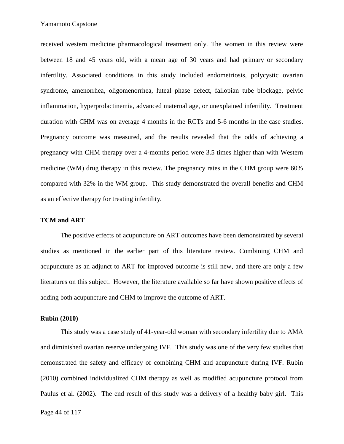received western medicine pharmacological treatment only. The women in this review were between 18 and 45 years old, with a mean age of 30 years and had primary or secondary infertility. Associated conditions in this study included endometriosis, polycystic ovarian syndrome, amenorrhea, oligomenorrhea, luteal phase defect, fallopian tube blockage, pelvic inflammation, hyperprolactinemia, advanced maternal age, or unexplained infertility. Treatment duration with CHM was on average 4 months in the RCTs and 5-6 months in the case studies. Pregnancy outcome was measured, and the results revealed that the odds of achieving a pregnancy with CHM therapy over a 4-months period were 3.5 times higher than with Western medicine (WM) drug therapy in this review. The pregnancy rates in the CHM group were 60% compared with 32% in the WM group. This study demonstrated the overall benefits and CHM as an effective therapy for treating infertility.

### **TCM and ART**

The positive effects of acupuncture on ART outcomes have been demonstrated by several studies as mentioned in the earlier part of this literature review. Combining CHM and acupuncture as an adjunct to ART for improved outcome is still new, and there are only a few literatures on this subject. However, the literature available so far have shown positive effects of adding both acupuncture and CHM to improve the outcome of ART.

### **Rubin (2010)**

This study was a case study of 41-year-old woman with secondary infertility due to AMA and diminished ovarian reserve undergoing IVF. This study was one of the very few studies that demonstrated the safety and efficacy of combining CHM and acupuncture during IVF. Rubin (2010) combined individualized CHM therapy as well as modified acupuncture protocol from Paulus et al. (2002). The end result of this study was a delivery of a healthy baby girl. This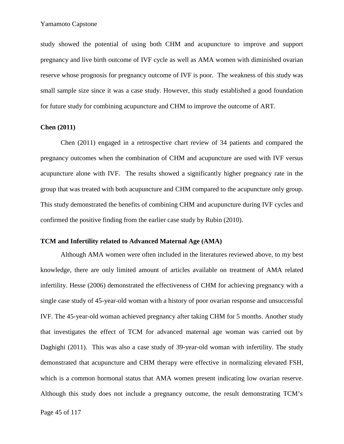study showed the potential of using both CHM and acupuncture to improve and support pregnancy and live birth outcome of IVF cycle as well as AMA women with diminished ovarian reserve whose prognosis for pregnancy outcome of IVF is poor. The weakness of this study was small sample size since it was a case study. However, this study established a good foundation for future study for combining acupuncture and CHM to improve the outcome of ART.

### **Chen (2011)**

Chen (2011) engaged in a retrospective chart review of 34 patients and compared the pregnancy outcomes when the combination of CHM and acupuncture are used with IVF versus acupuncture alone with IVF. The results showed a significantly higher pregnancy rate in the group that was treated with both acupuncture and CHM compared to the acupuncture only group. This study demonstrated the benefits of combining CHM and acupuncture during IVF cycles and confirmed the positive finding from the earlier case study by Rubin (2010).

#### **TCM and Infertility related to Advanced Maternal Age (AMA)**

Although AMA women were often included in the literatures reviewed above, to my best knowledge, there are only limited amount of articles available on treatment of AMA related infertility. Hesse (2006) demonstrated the effectiveness of CHM for achieving pregnancy with a single case study of 45-year-old woman with a history of poor ovarian response and unsuccessful IVF. The 45-year-old woman achieved pregnancy after taking CHM for 5 months. Another study that investigates the effect of TCM for advanced maternal age woman was carried out by Daghighi (2011). This was also a case study of 39-year-old woman with infertility. The study demonstrated that acupuncture and CHM therapy were effective in normalizing elevated FSH, which is a common hormonal status that AMA women present indicating low ovarian reserve. Although this study does not include a pregnancy outcome, the result demonstrating TCM's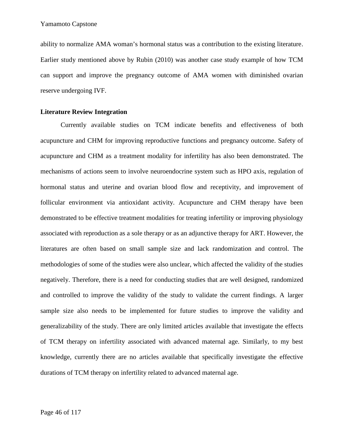ability to normalize AMA woman's hormonal status was a contribution to the existing literature. Earlier study mentioned above by Rubin (2010) was another case study example of how TCM can support and improve the pregnancy outcome of AMA women with diminished ovarian reserve undergoing IVF.

### **Literature Review Integration**

Currently available studies on TCM indicate benefits and effectiveness of both acupuncture and CHM for improving reproductive functions and pregnancy outcome. Safety of acupuncture and CHM as a treatment modality for infertility has also been demonstrated. The mechanisms of actions seem to involve neuroendocrine system such as HPO axis, regulation of hormonal status and uterine and ovarian blood flow and receptivity, and improvement of follicular environment via antioxidant activity. Acupuncture and CHM therapy have been demonstrated to be effective treatment modalities for treating infertility or improving physiology associated with reproduction as a sole therapy or as an adjunctive therapy for ART. However, the literatures are often based on small sample size and lack randomization and control. The methodologies of some of the studies were also unclear, which affected the validity of the studies negatively. Therefore, there is a need for conducting studies that are well designed, randomized and controlled to improve the validity of the study to validate the current findings. A larger sample size also needs to be implemented for future studies to improve the validity and generalizability of the study. There are only limited articles available that investigate the effects of TCM therapy on infertility associated with advanced maternal age. Similarly, to my best knowledge, currently there are no articles available that specifically investigate the effective durations of TCM therapy on infertility related to advanced maternal age.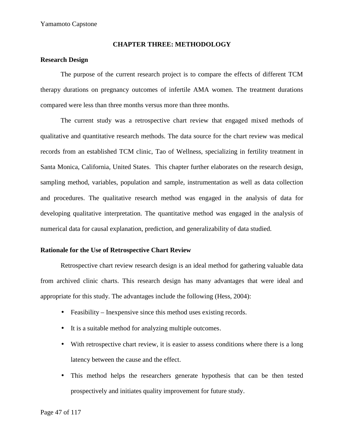#### **CHAPTER THREE: METHODOLOGY**

### **Research Design**

The purpose of the current research project is to compare the effects of different TCM therapy durations on pregnancy outcomes of infertile AMA women. The treatment durations compared were less than three months versus more than three months.

The current study was a retrospective chart review that engaged mixed methods of qualitative and quantitative research methods. The data source for the chart review was medical records from an established TCM clinic, Tao of Wellness, specializing in fertility treatment in Santa Monica, California, United States. This chapter further elaborates on the research design, sampling method, variables, population and sample, instrumentation as well as data collection and procedures. The qualitative research method was engaged in the analysis of data for developing qualitative interpretation. The quantitative method was engaged in the analysis of numerical data for causal explanation, prediction, and generalizability of data studied.

# **Rationale for the Use of Retrospective Chart Review**

Retrospective chart review research design is an ideal method for gathering valuable data from archived clinic charts. This research design has many advantages that were ideal and appropriate for this study. The advantages include the following (Hess, 2004):

- Feasibility Inexpensive since this method uses existing records.
- It is a suitable method for analyzing multiple outcomes.
- With retrospective chart review, it is easier to assess conditions where there is a long latency between the cause and the effect.
- This method helps the researchers generate hypothesis that can be then tested prospectively and initiates quality improvement for future study.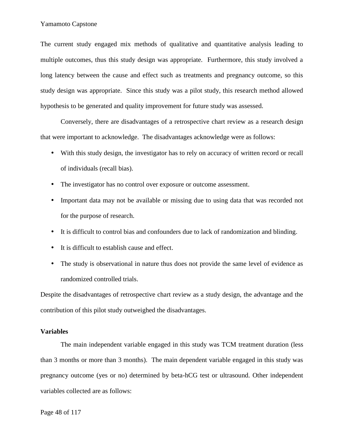The current study engaged mix methods of qualitative and quantitative analysis leading to multiple outcomes, thus this study design was appropriate. Furthermore, this study involved a long latency between the cause and effect such as treatments and pregnancy outcome, so this study design was appropriate. Since this study was a pilot study, this research method allowed hypothesis to be generated and quality improvement for future study was assessed.

Conversely, there are disadvantages of a retrospective chart review as a research design that were important to acknowledge. The disadvantages acknowledge were as follows:

- With this study design, the investigator has to rely on accuracy of written record or recall of individuals (recall bias).
- The investigator has no control over exposure or outcome assessment.
- Important data may not be available or missing due to using data that was recorded not for the purpose of research.
- It is difficult to control bias and confounders due to lack of randomization and blinding.
- It is difficult to establish cause and effect.
- The study is observational in nature thus does not provide the same level of evidence as randomized controlled trials.

Despite the disadvantages of retrospective chart review as a study design, the advantage and the contribution of this pilot study outweighed the disadvantages.

### **Variables**

The main independent variable engaged in this study was TCM treatment duration (less than 3 months or more than 3 months). The main dependent variable engaged in this study was pregnancy outcome (yes or no) determined by beta-hCG test or ultrasound. Other independent variables collected are as follows: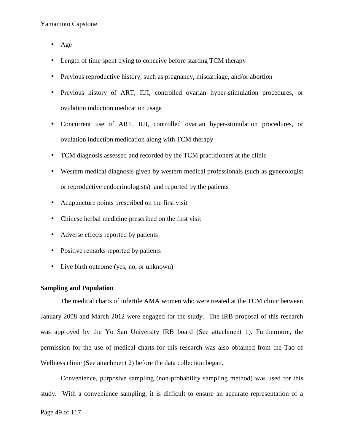- $\bullet$  Age
- Length of time spent trying to conceive before starting TCM therapy
- Previous reproductive history, such as pregnancy, miscarriage, and/or abortion
- Previous history of ART, IUI, controlled ovarian hyper-stimulation procedures, or ovulation induction medication usage
- Concurrent use of ART, IUI, controlled ovarian hyper-stimulation procedures, or ovulation induction medication along with TCM therapy
- TCM diagnosis assessed and recorded by the TCM practitioners at the clinic
- Western medical diagnosis given by western medical professionals (such as gynecologist or reproductive endocrinologists) and reported by the patients
- Acupuncture points prescribed on the first visit
- Chinese herbal medicine prescribed on the first visit
- Adverse effects reported by patients
- Positive remarks reported by patients
- Live birth outcome (yes, no, or unknown)

# **Sampling and Population**

The medical charts of infertile AMA women who were treated at the TCM clinic between January 2008 and March 2012 were engaged for the study. The IRB proposal of this research was approved by the Yo San University IRB board (See attachment 1). Furthermore, the permission for the use of medical charts for this research was also obtained from the Tao of Wellness clinic (See attachment 2) before the data collection began.

Convenience, purposive sampling (non-probability sampling method) was used for this study. With a convenience sampling, it is difficult to ensure an accurate representation of a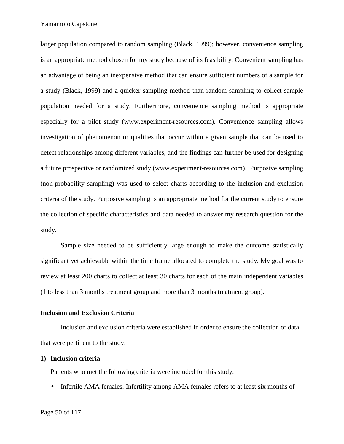larger population compared to random sampling (Black, 1999); however, convenience sampling is an appropriate method chosen for my study because of its feasibility. Convenient sampling has an advantage of being an inexpensive method that can ensure sufficient numbers of a sample for a study (Black, 1999) and a quicker sampling method than random sampling to collect sample population needed for a study. Furthermore, convenience sampling method is appropriate especially for a pilot study (www.experiment-resources.com). Convenience sampling allows investigation of phenomenon or qualities that occur within a given sample that can be used to detect relationships among different variables, and the findings can further be used for designing a future prospective or randomized study (www.experiment-resources.com). Purposive sampling (non-probability sampling) was used to select charts according to the inclusion and exclusion criteria of the study. Purposive sampling is an appropriate method for the current study to ensure the collection of specific characteristics and data needed to answer my research question for the study.

Sample size needed to be sufficiently large enough to make the outcome statistically significant yet achievable within the time frame allocated to complete the study. My goal was to review at least 200 charts to collect at least 30 charts for each of the main independent variables (1 to less than 3 months treatment group and more than 3 months treatment group).

#### **Inclusion and Exclusion Criteria**

Inclusion and exclusion criteria were established in order to ensure the collection of data that were pertinent to the study.

#### **1) Inclusion criteria**

Patients who met the following criteria were included for this study.

• Infertile AMA females. Infertility among AMA females refers to at least six months of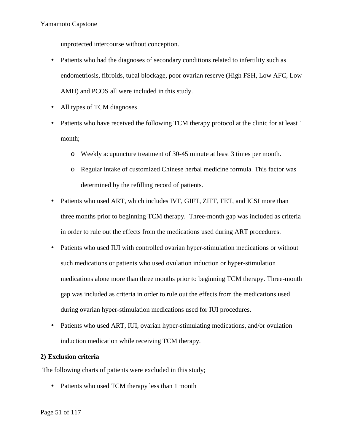unprotected intercourse without conception.

- Patients who had the diagnoses of secondary conditions related to infertility such as endometriosis, fibroids, tubal blockage, poor ovarian reserve (High FSH, Low AFC, Low AMH) and PCOS all were included in this study.
- All types of TCM diagnoses
- Patients who have received the following TCM therapy protocol at the clinic for at least 1 month;
	- o Weekly acupuncture treatment of 30-45 minute at least 3 times per month.
	- o Regular intake of customized Chinese herbal medicine formula. This factor was determined by the refilling record of patients.
- Patients who used ART, which includes IVF, GIFT, ZIFT, FET, and ICSI more than three months prior to beginning TCM therapy. Three-month gap was included as criteria in order to rule out the effects from the medications used during ART procedures.
- Patients who used IUI with controlled ovarian hyper-stimulation medications or without such medications or patients who used ovulation induction or hyper-stimulation medications alone more than three months prior to beginning TCM therapy. Three-month gap was included as criteria in order to rule out the effects from the medications used during ovarian hyper-stimulation medications used for IUI procedures.
- Patients who used ART, IUI, ovarian hyper-stimulating medications, and/or ovulation induction medication while receiving TCM therapy.

# **2) Exclusion criteria**

The following charts of patients were excluded in this study;

• Patients who used TCM therapy less than 1 month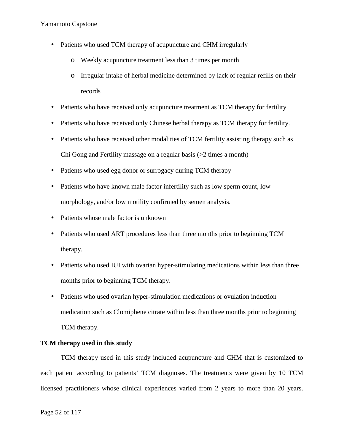- Patients who used TCM therapy of acupuncture and CHM irregularly
	- o Weekly acupuncture treatment less than 3 times per month
	- o Irregular intake of herbal medicine determined by lack of regular refills on their records
- Patients who have received only acupuncture treatment as TCM therapy for fertility.
- Patients who have received only Chinese herbal therapy as TCM therapy for fertility.
- Patients who have received other modalities of TCM fertility assisting therapy such as Chi Gong and Fertility massage on a regular basis (>2 times a month)
- Patients who used egg donor or surrogacy during TCM therapy
- Patients who have known male factor infertility such as low sperm count, low morphology, and/or low motility confirmed by semen analysis.
- Patients whose male factor is unknown
- Patients who used ART procedures less than three months prior to beginning TCM therapy.
- Patients who used IUI with ovarian hyper-stimulating medications within less than three months prior to beginning TCM therapy.
- Patients who used ovarian hyper-stimulation medications or ovulation induction medication such as Clomiphene citrate within less than three months prior to beginning TCM therapy.

# **TCM therapy used in this study**

TCM therapy used in this study included acupuncture and CHM that is customized to each patient according to patients' TCM diagnoses. The treatments were given by 10 TCM licensed practitioners whose clinical experiences varied from 2 years to more than 20 years.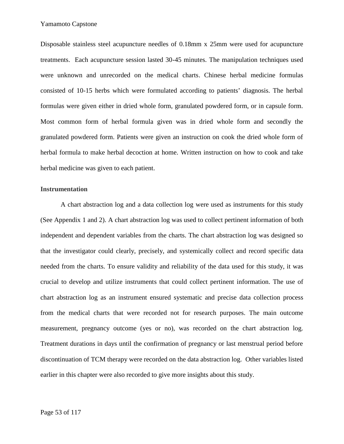Disposable stainless steel acupuncture needles of 0.18mm x 25mm were used for acupuncture treatments. Each acupuncture session lasted 30-45 minutes. The manipulation techniques used were unknown and unrecorded on the medical charts. Chinese herbal medicine formulas consisted of 10-15 herbs which were formulated according to patients' diagnosis. The herbal formulas were given either in dried whole form, granulated powdered form, or in capsule form. Most common form of herbal formula given was in dried whole form and secondly the granulated powdered form. Patients were given an instruction on cook the dried whole form of herbal formula to make herbal decoction at home. Written instruction on how to cook and take herbal medicine was given to each patient.

#### **Instrumentation**

A chart abstraction log and a data collection log were used as instruments for this study (See Appendix 1 and 2). A chart abstraction log was used to collect pertinent information of both independent and dependent variables from the charts. The chart abstraction log was designed so that the investigator could clearly, precisely, and systemically collect and record specific data needed from the charts. To ensure validity and reliability of the data used for this study, it was crucial to develop and utilize instruments that could collect pertinent information. The use of chart abstraction log as an instrument ensured systematic and precise data collection process from the medical charts that were recorded not for research purposes. The main outcome measurement, pregnancy outcome (yes or no), was recorded on the chart abstraction log. Treatment durations in days until the confirmation of pregnancy or last menstrual period before discontinuation of TCM therapy were recorded on the data abstraction log. Other variables listed earlier in this chapter were also recorded to give more insights about this study.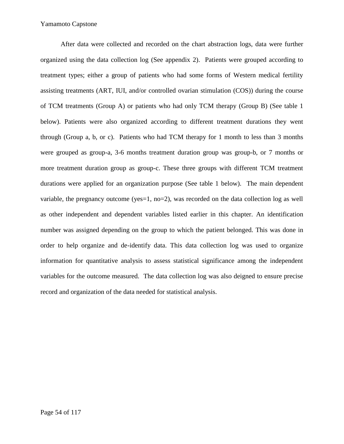After data were collected and recorded on the chart abstraction logs, data were further organized using the data collection log (See appendix 2). Patients were grouped according to treatment types; either a group of patients who had some forms of Western medical fertility assisting treatments (ART, IUI, and/or controlled ovarian stimulation (COS)) during the course of TCM treatments (Group A) or patients who had only TCM therapy (Group B) (See table 1 below). Patients were also organized according to different treatment durations they went through (Group a, b, or c). Patients who had TCM therapy for 1 month to less than 3 months were grouped as group-a, 3-6 months treatment duration group was group-b, or 7 months or more treatment duration group as group-c. These three groups with different TCM treatment durations were applied for an organization purpose (See table 1 below). The main dependent variable, the pregnancy outcome (yes=1, no=2), was recorded on the data collection log as well as other independent and dependent variables listed earlier in this chapter. An identification number was assigned depending on the group to which the patient belonged. This was done in order to help organize and de-identify data. This data collection log was used to organize information for quantitative analysis to assess statistical significance among the independent variables for the outcome measured. The data collection log was also deigned to ensure precise record and organization of the data needed for statistical analysis.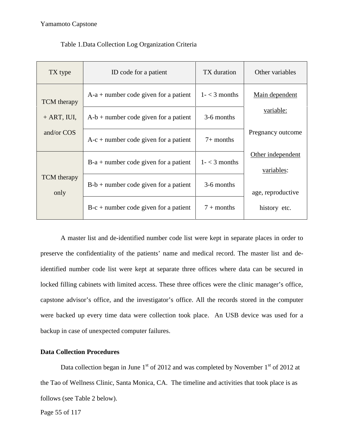| TX type                    | ID code for a patient                   | TX duration      | Other variables                 |
|----------------------------|-----------------------------------------|------------------|---------------------------------|
| <b>TCM</b> therapy         | $A-a + number code given for a patient$ | $1 - < 3$ months | Main dependent                  |
| $+$ ART, IUI,              | $A-b$ + number code given for a patient |                  | variable:                       |
| and/or COS                 | $A-c + number code given for a patient$ | $7+$ months      | Pregnancy outcome               |
|                            | $B-a + number code given for a patient$ | $1 - < 3$ months | Other independent<br>variables: |
| <b>TCM</b> therapy<br>only | $B-b + number code given for a patient$ | 3-6 months       | age, reproductive               |
|                            | $B-c + number code given for a patient$ | $7 +$ months     | history etc.                    |

### Table 1.Data Collection Log Organization Criteria

A master list and de-identified number code list were kept in separate places in order to preserve the confidentiality of the patients' name and medical record. The master list and deidentified number code list were kept at separate three offices where data can be secured in locked filling cabinets with limited access. These three offices were the clinic manager's office, capstone advisor's office, and the investigator's office. All the records stored in the computer were backed up every time data were collection took place. An USB device was used for a backup in case of unexpected computer failures.

# **Data Collection Procedures**

Data collection began in June  $1<sup>st</sup>$  of 2012 and was completed by November  $1<sup>st</sup>$  of 2012 at the Tao of Wellness Clinic, Santa Monica, CA. The timeline and activities that took place is as follows (see Table 2 below).

Page 55 of 117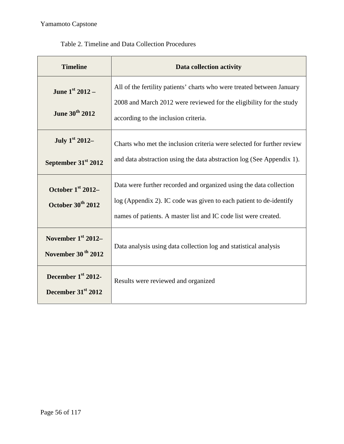| <b>Timeline</b>                                        | Data collection activity                                                                                                                                                                                    |
|--------------------------------------------------------|-------------------------------------------------------------------------------------------------------------------------------------------------------------------------------------------------------------|
| June $1^{st}$ 2012 –<br>June 30th 2012                 | All of the fertility patients' charts who were treated between January<br>2008 and March 2012 were reviewed for the eligibility for the study<br>according to the inclusion criteria.                       |
| July 1st 2012-<br>September 31 <sup>st</sup> 2012      | Charts who met the inclusion criteria were selected for further review<br>and data abstraction using the data abstraction log (See Appendix 1).                                                             |
| October $1st 2012-$<br>October 30th 2012               | Data were further recorded and organized using the data collection<br>log (Appendix 2). IC code was given to each patient to de-identify<br>names of patients. A master list and IC code list were created. |
| November $1st 2012-$<br>November 30 <sup>th</sup> 2012 | Data analysis using data collection log and statistical analysis                                                                                                                                            |
| December 1st 2012-<br>December 31 <sup>st</sup> 2012   | Results were reviewed and organized                                                                                                                                                                         |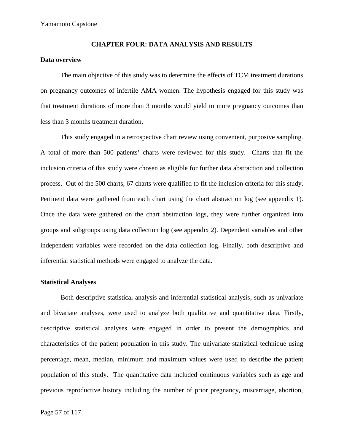#### **CHAPTER FOUR: DATA ANALYSIS AND RESULTS**

#### **Data overview**

The main objective of this study was to determine the effects of TCM treatment durations on pregnancy outcomes of infertile AMA women. The hypothesis engaged for this study was that treatment durations of more than 3 months would yield to more pregnancy outcomes than less than 3 months treatment duration.

This study engaged in a retrospective chart review using convenient, purposive sampling. A total of more than 500 patients' charts were reviewed for this study. Charts that fit the inclusion criteria of this study were chosen as eligible for further data abstraction and collection process. Out of the 500 charts, 67 charts were qualified to fit the inclusion criteria for this study. Pertinent data were gathered from each chart using the chart abstraction log (see appendix 1). Once the data were gathered on the chart abstraction logs, they were further organized into groups and subgroups using data collection log (see appendix 2). Dependent variables and other independent variables were recorded on the data collection log. Finally, both descriptive and inferential statistical methods were engaged to analyze the data.

#### **Statistical Analyses**

Both descriptive statistical analysis and inferential statistical analysis, such as univariate and bivariate analyses, were used to analyze both qualitative and quantitative data. Firstly, descriptive statistical analyses were engaged in order to present the demographics and characteristics of the patient population in this study. The univariate statistical technique using percentage, mean, median, minimum and maximum values were used to describe the patient population of this study. The quantitative data included continuous variables such as age and previous reproductive history including the number of prior pregnancy, miscarriage, abortion,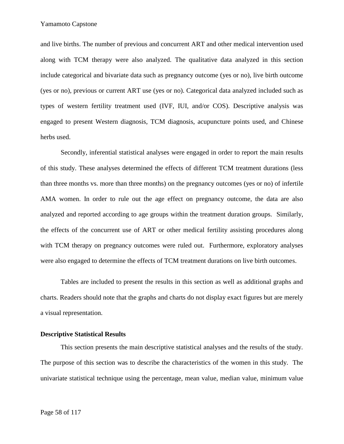and live births. The number of previous and concurrent ART and other medical intervention used along with TCM therapy were also analyzed. The qualitative data analyzed in this section include categorical and bivariate data such as pregnancy outcome (yes or no), live birth outcome (yes or no), previous or current ART use (yes or no). Categorical data analyzed included such as types of western fertility treatment used (IVF, IUI, and/or COS). Descriptive analysis was engaged to present Western diagnosis, TCM diagnosis, acupuncture points used, and Chinese herbs used.

Secondly, inferential statistical analyses were engaged in order to report the main results of this study. These analyses determined the effects of different TCM treatment durations (less than three months vs. more than three months) on the pregnancy outcomes (yes or no) of infertile AMA women. In order to rule out the age effect on pregnancy outcome, the data are also analyzed and reported according to age groups within the treatment duration groups. Similarly, the effects of the concurrent use of ART or other medical fertility assisting procedures along with TCM therapy on pregnancy outcomes were ruled out. Furthermore, exploratory analyses were also engaged to determine the effects of TCM treatment durations on live birth outcomes.

Tables are included to present the results in this section as well as additional graphs and charts. Readers should note that the graphs and charts do not display exact figures but are merely a visual representation.

#### **Descriptive Statistical Results**

This section presents the main descriptive statistical analyses and the results of the study. The purpose of this section was to describe the characteristics of the women in this study. The univariate statistical technique using the percentage, mean value, median value, minimum value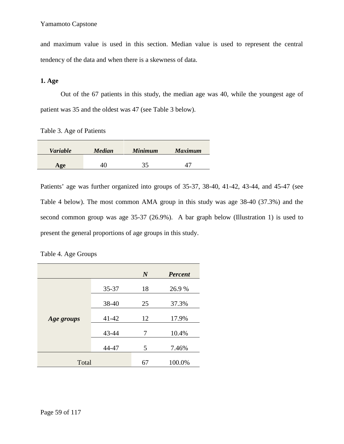and maximum value is used in this section. Median value is used to represent the central tendency of the data and when there is a skewness of data.

# **1. Age**

Out of the 67 patients in this study, the median age was 40, while the youngest age of patient was 35 and the oldest was 47 (see Table 3 below).

Table 3. Age of Patients

| <b>Variable</b> | <b>Median</b> | <b>Minimum</b> | <b>Maximum</b> |
|-----------------|---------------|----------------|----------------|
| Age             | 40            | າ ຂ<br>ັບ      |                |

Patients' age was further organized into groups of 35-37, 38-40, 41-42, 43-44, and 45-47 (see Table 4 below). The most common AMA group in this study was age 38-40 (37.3%) and the second common group was age 35-37 (26.9%). A bar graph below (Illustration 1) is used to present the general proportions of age groups in this study.

|            |           | $\boldsymbol{N}$ | <b>Percent</b> |
|------------|-----------|------------------|----------------|
|            | 35-37     | 18               | 26.9%          |
|            | 38-40     | 25               | 37.3%          |
| Age groups | $41 - 42$ | 12               | 17.9%          |
|            | 43-44     | 7                | 10.4%          |
|            | 44-47     | 5                | 7.46%          |
| Total      |           | 67               | 100.0%         |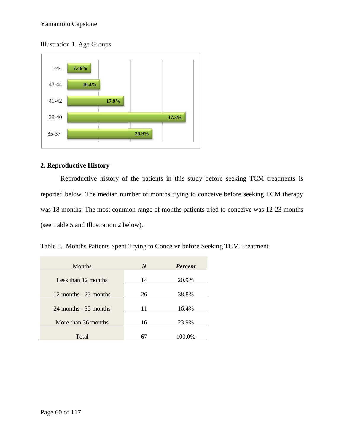



# **2. Reproductive History**

Reproductive history of the patients in this study before seeking TCM treatments is reported below. The median number of months trying to conceive before seeking TCM therapy was 18 months. The most common range of months patients tried to conceive was 12-23 months (see Table 5 and Illustration 2 below).

Table 5. Months Patients Spent Trying to Conceive before Seeking TCM Treatment

| 35-37                                                               | 26.9%            |                |  |
|---------------------------------------------------------------------|------------------|----------------|--|
| 2. Reproductive History                                             |                  |                |  |
| Reproductive history of the patients in this study before see       |                  |                |  |
| reported below. The median number of months trying to conceive bef  |                  |                |  |
| was 18 months. The most common range of months patients tried to co |                  |                |  |
| (see Table 5 and Illustration 2 below).                             |                  |                |  |
| Table 5. Months Patients Spent Trying to Conceive before Seeking TC |                  |                |  |
| Months                                                              | $\boldsymbol{N}$ | <b>Percent</b> |  |
| Less than 12 months                                                 | 14               | 20.9%          |  |
| 12 months - 23 months                                               | 26               | 38.8%          |  |
| 24 months - 35 months                                               | 11               | 16.4%          |  |
| More than 36 months                                                 | 16               | 23.9%          |  |
| Total                                                               | 67               | 100.0%         |  |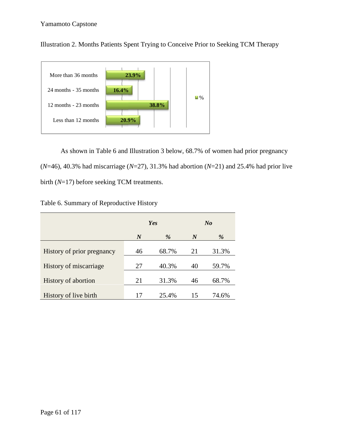Illustration 2. Months Patients Spent Trying to Conceive Prior to Seeking TCM Therapy



As shown in Table 6 and Illustration 3 below, 68.7% of women had prior pregnancy (*N*=46), 40.3% had miscarriage (*N*=27), 31.3% had abortion (*N*=21) and 25.4% had prior live birth (*N*=17) before seeking TCM treatments.

| Table 6. Summary of Reproductive History |  |
|------------------------------------------|--|
|------------------------------------------|--|

| 12 months - 23 months<br>Less than 12 months                                       | 20.9%            | 38.8% |                  |                |  |
|------------------------------------------------------------------------------------|------------------|-------|------------------|----------------|--|
| As shown in Table 6 and Illustration 3 below, 68.7% of women had prior preg        |                  |       |                  |                |  |
| $(N=46)$ , 40.3% had miscarriage (N=27), 31.3% had abortion (N=21) and 25.4% had p |                  |       |                  |                |  |
| birth $(N=17)$ before seeking TCM treatments.                                      |                  |       |                  |                |  |
| Table 6. Summary of Reproductive History                                           |                  |       |                  |                |  |
|                                                                                    |                  | Yes   |                  | N <sub>o</sub> |  |
|                                                                                    | $\boldsymbol{N}$ | %     | $\boldsymbol{N}$ | %              |  |
| History of prior pregnancy                                                         | 46               | 68.7% | 21               | 31.3%          |  |
| History of miscarriage                                                             | 27               | 40.3% | 40               | 59.7%          |  |
| History of abortion                                                                | 21               | 31.3% | 46               | 68.7%          |  |
| History of live birth                                                              | 17               | 25.4% | 15               | 74.6%          |  |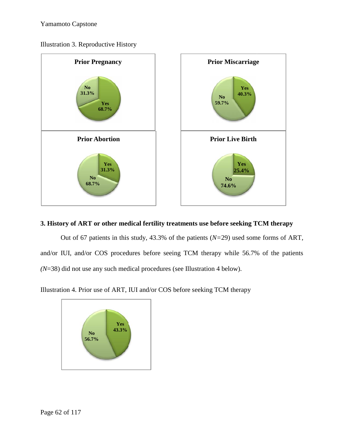



# **3. History of ART or other medical fertility treatments use before seeking TCM therapy medicaltreatmentsuse**

Out of 67 patients in this study, 43.3% of the patients (*N=*29) used some forms of ART, Out of 67 patients in this study, 43.3% of the patients  $(N=29)$  used some forms of ART,<br>and/or IUI, and/or COS procedures before seeing TCM therapy while 56.7% of the patients *(N*=38) did not use any such medical procedures (see Illustration 4 below).

Illustration 4. Prior use of ART, IUI and/or COS before seeking TCM therapy

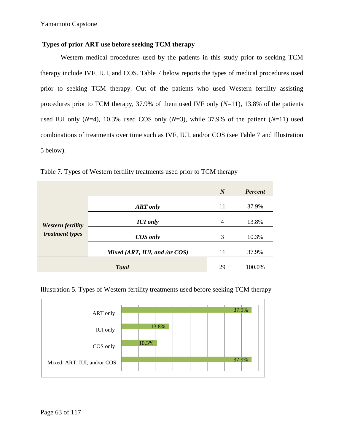# **Types of prior ART use before seeking TCM therapy**

Western medical procedures used by the patients in this study prior to seeking TCM therapy include IVF, IUI, and COS. Table 7 below reports the types of medical procedures used prior to seeking TCM therapy. Out of the patients who used Western fertility assisting procedures prior to TCM therapy, 37.9% of them used IVF only (*N*=11), 13.8% of the patients used IUI only  $(N=4)$ , 10.3% used COS only  $(N=3)$ , while 37.9% of the patient  $(N=11)$  used combinations of treatments over time such as IVF, IUI, and/or COS (see Table 7 and Illustration 5 below).

|                                      |                               | $\boldsymbol{N}$ | <b>Percent</b> |
|--------------------------------------|-------------------------------|------------------|----------------|
| Western fertility<br>treatment types | <b>ART</b> only               | 11               | 37.9%          |
|                                      | <b>IUI</b> only               | 4                | 13.8%          |
|                                      | COS only                      | 3                | 10.3%          |
|                                      | Mixed (ART, IUI, and /or COS) | 11               | 37.9%          |
|                                      | <b>Total</b>                  | 29               | 100.0%         |

Table 7. Types of Western fertility treatments used prior to TCM therapy



# Illustration 5. Types of Western fertility treatments used before seeking TCM therapy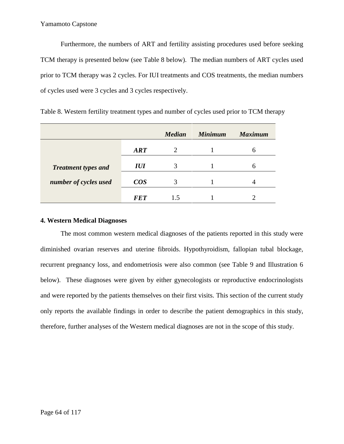Furthermore, the numbers of ART and fertility assisting procedures used before seeking TCM therapy is presented below (see Table 8 below). The median numbers of ART cycles used prior to TCM therapy was 2 cycles. For IUI treatments and COS treatments, the median numbers of cycles used were 3 cycles and 3 cycles respectively.

|                            |            | <b>Median</b> | <b>Minimum</b> | <b>Maximum</b> |
|----------------------------|------------|---------------|----------------|----------------|
|                            | <b>ART</b> |               |                | h              |
| <b>Treatment types and</b> | <b>IUI</b> | 3             |                | h              |
| number of cycles used      | $\cos$     | 3             |                |                |
|                            | <b>FET</b> | 15            |                |                |

|  | Table 8. Western fertility treatment types and number of cycles used prior to TCM therapy |  |
|--|-------------------------------------------------------------------------------------------|--|
|  |                                                                                           |  |

# **4. Western Medical Diagnoses**

The most common western medical diagnoses of the patients reported in this study were diminished ovarian reserves and uterine fibroids. Hypothyroidism, fallopian tubal blockage, recurrent pregnancy loss, and endometriosis were also common (see Table 9 and Illustration 6 below). These diagnoses were given by either gynecologists or reproductive endocrinologists and were reported by the patients themselves on their first visits. This section of the current study only reports the available findings in order to describe the patient demographics in this study, therefore, further analyses of the Western medical diagnoses are not in the scope of this study.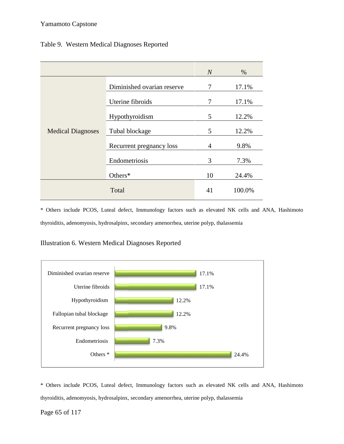# Table 9. Western Medical Diagnoses Reported Medical Diagnoses

|                          |                            | $\overline{N}$ | $\%$   |
|--------------------------|----------------------------|----------------|--------|
|                          |                            |                |        |
| <b>Medical Diagnoses</b> | Diminished ovarian reserve | 7              | 17.1%  |
|                          | Uterine fibroids           | 7              | 17.1%  |
|                          | Hypothyroidism             | 5              | 12.2%  |
|                          | Tubal blockage             | 5              | 12.2%  |
|                          | Recurrent pregnancy loss   | $\overline{4}$ | 9.8%   |
|                          | Endometriosis              | 3              | 7.3%   |
|                          | Others*                    | 10             | 24.4%  |
|                          | Total                      | 41             | 100.0% |

\* Others include PCOS, Luteal defect, Immunology factors such as elevated NK cells and ANA, Hashimoto \* Others include PCOS, Luteal defect, Immunology factors such as elevated NK cells and thyroiditis, adenomyosis, hydrosalpinx, secondary amenorrhea, uterine polyp, thalassemia

# Illustration 6. Western Medical Diagnoses Reported



\* Others include PCOS, Luteal defect, Immunology factors such as elevated NK cells and ANA, Hashimoto thyroiditis, adenomyosis, hydrosalpinx, secondary amenorrhea, uterine polyp, thalassemia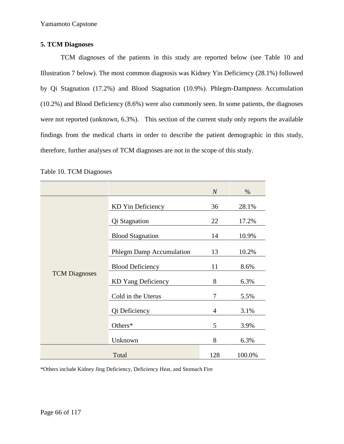# **5. TCM Diagnoses**

TCM diagnoses of the patients in this study are reported below (see Table 10 and Illustration 7 below). The most common diagnosis was Kidney Yin Deficiency (28.1%) followed by Qi Stagnation (17.2%) and Blood Stagnation (10.9%). Phlegm-Dampness Accumulation (10.2%) and Blood Deficiency (8.6%) were also commonly seen. In some patients, the diagnoses were not reported (unknown, 6.3%). This section of the current study only reports the available findings from the medical charts in order to describe the patient demographic in this study, therefore, further analyses of TCM diagnoses are not in the scope of this study.

|                      |                                 | $\boldsymbol{N}$ | %      |
|----------------------|---------------------------------|------------------|--------|
| <b>TCM Diagnoses</b> | KD Yin Deficiency               | 36               | 28.1%  |
|                      | Qi Stagnation                   | 22               | 17.2%  |
|                      | <b>Blood Stagnation</b>         | 14               | 10.9%  |
|                      | <b>Phlegm Damp Accumulation</b> | 13               | 10.2%  |
|                      | <b>Blood Deficiency</b>         | 11               | 8.6%   |
|                      | KD Yang Deficiency              | 8                | 6.3%   |
|                      | Cold in the Uterus              | $\overline{7}$   | 5.5%   |
|                      | Qi Deficiency                   | $\overline{4}$   | 3.1%   |
|                      | Others*                         | 5                | 3.9%   |
|                      | Unknown                         | 8                | 6.3%   |
|                      | Total                           | 128              | 100.0% |

Table 10. TCM Diagnoses

\*Others include Kidney Jing Deficiency, Deficiency Heat, and Stomach Fire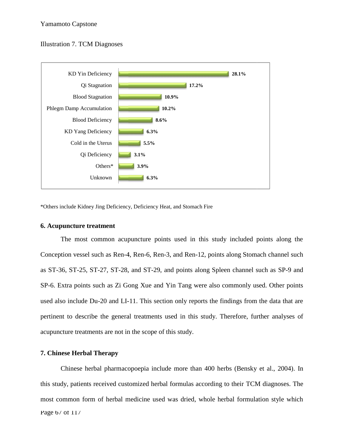# Illustration 7. TCM Diagnoses Illustration



\*Others include Kidney Jing Deficiency, Deficiency Heat, and Stomach Fire

# **6. Acupuncture treatment**

The most common acupuncture points used in this study included points along the Conception vessel such as Ren-4, Ren-6, Ren-3, and Ren-12, points along Stomach channel such as ST-36, ST-25, ST-27, ST-28, and ST-29, and points along Spleen channel such as SP-9 and SP-6. Extra points such as Zi Gong Xue and Yin Tang were also commonly used. Other points used also include Du-20 and LI-11. This section only reports the findings from the data that are pertinent to describe the general treatments used in this study. Therefore, further analyses of acupuncture treatments are not in the scope of this study. The most common acupuncture points used in this study included points along<br>Conception vessel such as Ren-4, Ren-6, Ren-3, and Ren-12, points along Stomach channel<br>as ST-36, ST-25, ST-27, ST-28, and ST-29, and points along Unknown<br>
idney Jing Deficiency, Deficiency Heat, and Stomach Fire<br> **e treatment**<br>
set such as Ren-4, Ren-6, Ren-3, and Ren-12, points alors<br>
5, ST-27, ST-28, and ST-29, and points along Spleen cl<br>
nts such as Zi Gong Xue a

# **7. Chinese Herbal Therapy**

Page 6/ of 11/ Chinese herbal pharmacopoepia include more than 400 herbs (Bensky et al., 2004). In this study, patients received customized herbal formulas according to their TCM diagnoses. The most common form of herbal medicine used was dried, whole herbal formulation style which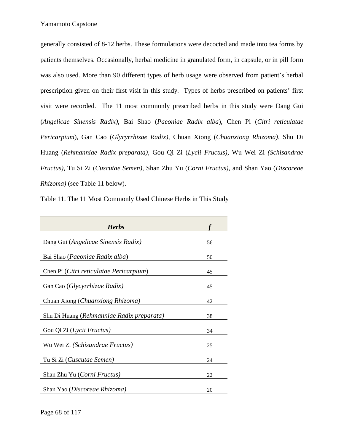generally consisted of 8-12 herbs. These formulations were decocted and made into tea forms by patients themselves. Occasionally, herbal medicine in granulated form, in capsule, or in pill form was also used. More than 90 different types of herb usage were observed from patient's herbal prescription given on their first visit in this study. Types of herbs prescribed on patients' first visit were recorded. The 11 most commonly prescribed herbs in this study were Dang Gui (*Angelicae Sinensis Radix)*, Bai Shao (*Paeoniae Radix alba*), Chen Pi (*Citri reticulatae Pericarpium*), Gan Cao (*Glycyrrhizae Radix)*, Chuan Xiong (*Chuanxiong Rhizoma)*, Shu Di Huang (*Rehmanniae Radix preparata)*, Gou Qi Zi (*Lycii Fructus)*, Wu Wei Zi *(Schisandrae Fructus)*, Tu Si Zi (*Cuscutae Semen)*, Shan Zhu Yu (*Corni Fructus)*, and Shan Yao (*Discoreae Rhizoma)* (see Table 11 below).

Table 11. The 11 Most Commonly Used Chinese Herbs in This Study

| <b>Herbs</b>                              |    |
|-------------------------------------------|----|
| Dang Gui (Angelicae Sinensis Radix)       | 56 |
| Bai Shao (Paeoniae Radix alba)            | 50 |
| Chen Pi (Citri reticulatae Pericarpium)   | 45 |
| Gan Cao ( <i>Glycyrrhizae Radix</i> )     | 45 |
| Chuan Xiong (Chuanxiong Rhizoma)          | 42 |
| Shu Di Huang (Rehmanniae Radix preparata) | 38 |
| Gou Qi Zi (Lycii Fructus)                 | 34 |
| Wu Wei Zi (Schisandrae Fructus)           | 25 |
| Tu Si Zi (Cuscutae Semen)                 | 24 |
| Shan Zhu Yu (Corni Fructus)               | 22 |
| Shan Yao (Discoreae Rhizoma)              | 20 |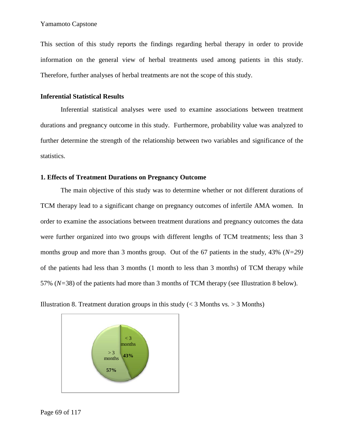This section of this study reports the findings regarding herbal therapy in order to provide information on the general view of herbal treatments used among patients in this study. Therefore, further analyses of herbal treatments are not the scope of this study.

### **Inferential Statistical Results**

Inferential statistical analyses were used to examine associations between treatment durations and pregnancy outcome in this study. Furthermore, probability value was analyzed to further determine the strength of the relationship between two variables and significance of the statistics. of this study reports the findings regarding herbal therapy in order to provide this stud treatments on the scope of this study.<br>Then, further analyses of herbal treatments are not the scope of this study.<br> **Computed Stati** 

# **1. Effects of Treatment Durations on Pregnancy Outcome Pregnancy Outcome**

The main objective of this study was to determine whether or not different durations of TCM therapy lead to a significant change on pregnancy outcomes of infertile AMA women. In order to examine the associations between treatment durations and pregnancy outcomes the data were further organized into two groups with different lengths of TCM treatments; less than 3 months group and more than 3 months group. Out of the 67 patients in the study, 43% (*N=29)* of the patients had less than 3 months (1 month to less than 3 months) of TCM therapy while 57% (*N=*38) of the patients had more than 3 months of TCM therapy (see Illustration 8 below). The main objective of this study was to determine whether or not different durations of<br>therapy lead to a significant change on pregnancy outcomes of infertile AMA women. In<br>to examine the associations between treatment du % of the patients had less than 3 months (1 month to  $57\%$  ( $N=38$ ) of the patients had more than 3 months Illustration 8. Treatment duration groups in this study



Illustration 8. Treatment duration groups in this study ( $\lt$  3 Months vs.  $>$  3 Months)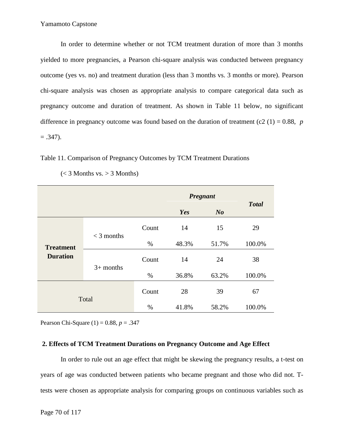In order to determine whether or not TCM treatment duration of more than 3 months yielded to more pregnancies, a Pearson chi-square analysis was conducted between pregnancy outcome (yes vs. no) and treatment duration (less than 3 months vs. 3 months or more). Pearson chi-square analysis was chosen as appropriate analysis to compare categorical data such as pregnancy outcome and duration of treatment. As shown in Table 11 below, no significant difference in pregnancy outcome was found based on the duration of treatment (c2  $(1) = 0.88$ , *p*  $= .347$ ).

Table 11. Comparison of Pregnancy Outcomes by TCM Treatment Durations

|                                     |              |       | Pregnant |                | <b>Total</b> |  |
|-------------------------------------|--------------|-------|----------|----------------|--------------|--|
|                                     |              |       | Yes      | N <sub>o</sub> |              |  |
| <b>Treatment</b><br><b>Duration</b> | $<$ 3 months | Count | 14       | 15             | 29           |  |
|                                     |              | $\%$  | 48.3%    | 51.7%          | 100.0%       |  |
|                                     | $3+$ months  | Count | 14       | 24             | 38           |  |
|                                     |              | $\%$  | 36.8%    | 63.2%          | 100.0%       |  |
| Total                               |              | Count | 28       | 39             | 67           |  |
|                                     |              | $\%$  | 41.8%    | 58.2%          | 100.0%       |  |

 $(< 3$  Months vs.  $> 3$  Months)

Pearson Chi-Square (1) = 0.88, *p* = .347

### **2. Effects of TCM Treatment Durations on Pregnancy Outcome and Age Effect**

In order to rule out an age effect that might be skewing the pregnancy results, a t-test on years of age was conducted between patients who became pregnant and those who did not. Ttests were chosen as appropriate analysis for comparing groups on continuous variables such as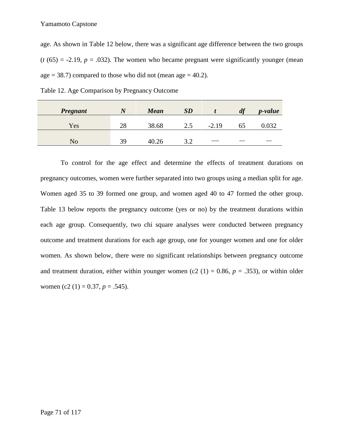age. As shown in Table 12 below, there was a significant age difference between the two groups  $(t (65) = -2.19, p = .032)$ . The women who became pregnant were significantly younger (mean age  $= 38.7$ ) compared to those who did not (mean age  $= 40.2$ ).

| <b>Pregnant</b> |    | <b>Mean</b> | SD           |         | df    | <i>p</i> -value |
|-----------------|----|-------------|--------------|---------|-------|-----------------|
| Yes             | 28 | 38.68       | 2.5          | $-2.19$ | 65    | $\Omega$        |
| No              | 39 | 40.26       | 3 つ<br>ے . ب | $---$   | $---$ | $---$           |

Table 12. Age Comparison by Pregnancy Outcome

To control for the age effect and determine the effects of treatment durations on pregnancy outcomes, women were further separated into two groups using a median split for age. Women aged 35 to 39 formed one group, and women aged 40 to 47 formed the other group. Table 13 below reports the pregnancy outcome (yes or no) by the treatment durations within each age group. Consequently, two chi square analyses were conducted between pregnancy outcome and treatment durations for each age group, one for younger women and one for older women. As shown below, there were no significant relationships between pregnancy outcome and treatment duration, either within younger women (c2  $(1) = 0.86$ ,  $p = .353$ ), or within older women (c2 (1) =  $0.37, p = .545$ ).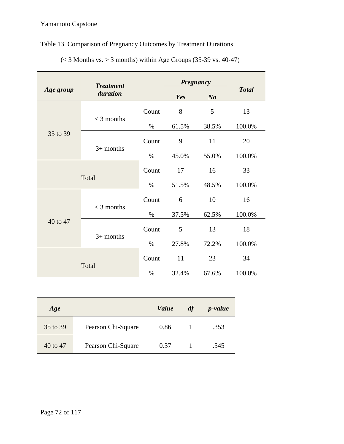# Table 13. Comparison of Pregnancy Outcomes by Treatment Durations

|             | <b>Treatment</b> |       | Pregnancy |                |              |
|-------------|------------------|-------|-----------|----------------|--------------|
| Age group   | duration         |       | Yes       | N <sub>o</sub> | <b>Total</b> |
|             | $<$ 3 months     | Count | $8\,$     | 5              | 13           |
|             |                  | $\%$  | 61.5%     | 38.5%          | 100.0%       |
| 35 to 39    | $3+$ months      | Count | 9         | 11             | 20           |
|             |                  | $\%$  | 45.0%     | 55.0%          | 100.0%       |
| Total       |                  | Count | 17        | 16             | 33           |
|             |                  | $\%$  | 51.5%     | 48.5%          | 100.0%       |
|             | $<$ 3 months     | Count | 6         | 10             | 16           |
|             |                  | $\%$  | 37.5%     | 62.5%          | 100.0%       |
| 40 to 47    |                  | Count | 5         | 13             | 18           |
| $3+$ months |                  | $\%$  | 27.8%     | 72.2%          | 100.0%       |
| Total       |                  | Count | 11        | 23             | 34           |
|             |                  | $\%$  | 32.4%     | 67.6%          | 100.0%       |

 $(< 3$  Months vs.  $> 3$  months) within Age Groups (35-39 vs. 40-47)

| Age      |                    | <i>Value</i> | df | <i>p</i> -value |
|----------|--------------------|--------------|----|-----------------|
| 35 to 39 | Pearson Chi-Square | 0.86         |    | .353            |
| 40 to 47 | Pearson Chi-Square | 0.37         |    | .545            |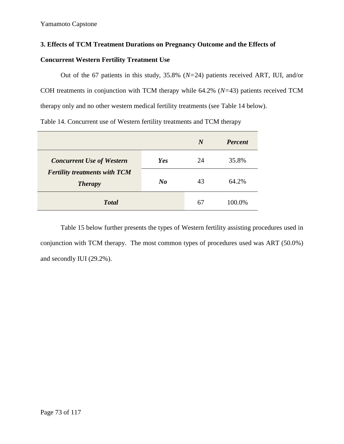# **3. Effects of TCM Treatment Durations on Pregnancy Outcome and the Effects of**

# **Concurrent Western Fertility Treatment Use**

Out of the 67 patients in this study, 35.8% (*N=*24) patients received ART, IUI, and/or COH treatments in conjunction with TCM therapy while 64.2% (*N=*43) patients received TCM therapy only and no other western medical fertility treatments (see Table 14 below).

Table 14. Concurrent use of Western fertility treatments and TCM therapy

|                                                        |                | $\boldsymbol{N}$ | <b>Percent</b> |
|--------------------------------------------------------|----------------|------------------|----------------|
| <b>Concurrent Use of Western</b>                       | Yes            | 24               | 35.8%          |
| <b>Fertility treatments with TCM</b><br><b>Therapy</b> | N <sub>o</sub> | 43               | 64.2%          |
| <b>Total</b>                                           |                | 67               | 100.0%         |

Table 15 below further presents the types of Western fertility assisting procedures used in conjunction with TCM therapy. The most common types of procedures used was ART (50.0%) and secondly IUI (29.2%).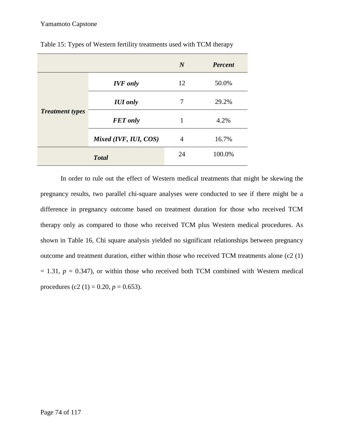|                        |                       | $\boldsymbol{N}$ | <b>Percent</b> |
|------------------------|-----------------------|------------------|----------------|
|                        | <b>IVF</b> only       | 12               | 50.0%          |
| <b>Treatment types</b> | <b>IUI</b> only       | 7                | 29.2%          |
|                        | <b>FET</b> only       | 1                | 4.2%           |
|                        | Mixed (IVF, IUI, COS) | $\overline{4}$   | 16.7%          |
|                        | <b>Total</b>          | 24               | 100.0%         |

Table 15: Types of Western fertility treatments used with TCM therapy

In order to rule out the effect of Western medical treatments that might be skewing the pregnancy results, two parallel chi-square analyses were conducted to see if there might be a difference in pregnancy outcome based on treatment duration for those who received TCM therapy only as compared to those who received TCM plus Western medical procedures. As shown in Table 16, Chi square analysis yielded no significant relationships between pregnancy outcome and treatment duration, either within those who received TCM treatments alone (c2 (1)  $= 1.31, p = 0.347$ , or within those who received both TCM combined with Western medical procedures (c2 (1) = 0.20,  $p = 0.653$ ).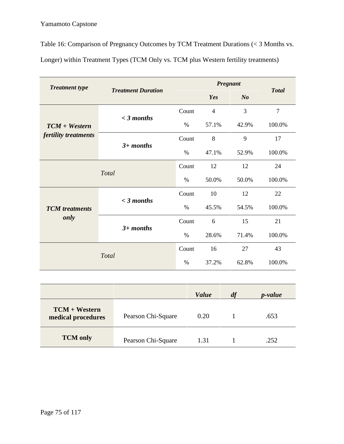Table 16: Comparison of Pregnancy Outcomes by TCM Treatment Durations (< 3 Months vs. Longer) within Treatment Types (TCM Only vs. TCM plus Western fertility treatments)

| <b>Treatment type</b> | <b>Treatment Duration</b> |       | Pregnant       |                |                |  |
|-----------------------|---------------------------|-------|----------------|----------------|----------------|--|
|                       |                           |       | Yes            | N <sub>o</sub> | <b>Total</b>   |  |
|                       |                           | Count | $\overline{4}$ | 3              | $\overline{7}$ |  |
| $TCM + Western$       | $<$ 3 months              | $\%$  | 57.1%          | 42.9%          | 100.0%         |  |
| fertility treatments  |                           | Count | 8              | 9              | 17             |  |
|                       | $3+$ months               | $\%$  | 47.1%          | 52.9%          | 100.0%         |  |
|                       | <b>Total</b>              | Count | 12             | 12             | 24             |  |
|                       |                           | $\%$  | 50.0%          | 50.0%          | 100.0%         |  |
|                       |                           | Count | 10             | 12             | 22             |  |
| <b>TCM</b> treatments | $<$ 3 months              | $\%$  | 45.5%          | 54.5%          | 100.0%         |  |
| only                  |                           | Count | 6              | 15             | 21             |  |
|                       | $3+$ months               | $\%$  | 28.6%          | 71.4%          | 100.0%         |  |
|                       |                           | Count | 16             | 27             | 43             |  |
|                       | <b>Total</b>              |       | 37.2%          | 62.8%          | 100.0%         |  |

|                                       |                    | <b>Value</b> | df | <i>p</i> -value |
|---------------------------------------|--------------------|--------------|----|-----------------|
| $TCM + Western$<br>medical procedures | Pearson Chi-Square | 0.20         |    | .653            |
| <b>TCM</b> only                       | Pearson Chi-Square | 1.31         |    | .252            |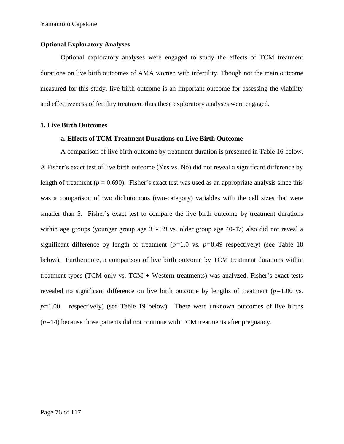### **Optional Exploratory Analyses**

Optional exploratory analyses were engaged to study the effects of TCM treatment durations on live birth outcomes of AMA women with infertility. Though not the main outcome measured for this study, live birth outcome is an important outcome for assessing the viability and effectiveness of fertility treatment thus these exploratory analyses were engaged.

### **1. Live Birth Outcomes**

### **a. Effects of TCM Treatment Durations on Live Birth Outcome**

A comparison of live birth outcome by treatment duration is presented in Table 16 below. A Fisher's exact test of live birth outcome (Yes vs. No) did not reveal a significant difference by length of treatment ( $p = 0.690$ ). Fisher's exact test was used as an appropriate analysis since this was a comparison of two dichotomous (two-category) variables with the cell sizes that were smaller than 5. Fisher's exact test to compare the live birth outcome by treatment durations within age groups (younger group age 35- 39 vs. older group age 40-47) also did not reveal a significant difference by length of treatment (*p=*1.0 vs. *p=*0.49 respectively) (see Table 18 below). Furthermore, a comparison of live birth outcome by TCM treatment durations within treatment types (TCM only vs. TCM + Western treatments) was analyzed. Fisher's exact tests revealed no significant difference on live birth outcome by lengths of treatment (*p=*1.00 vs. *p=*1.00 respectively) (see Table 19 below). There were unknown outcomes of live births (*n=*14) because those patients did not continue with TCM treatments after pregnancy.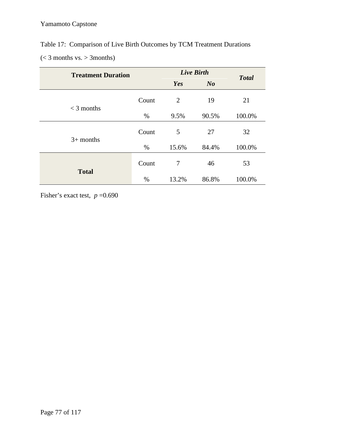# Table 17: Comparison of Live Birth Outcomes by TCM Treatment Durations

 $(< 3$  months vs.  $> 3$ months)

| <b>Treatment Duration</b> |       | <b>Live Birth</b> | <b>Total</b>   |        |
|---------------------------|-------|-------------------|----------------|--------|
|                           |       | Yes               | N <sub>o</sub> |        |
| $<$ 3 months              | Count | 2                 | 19             | 21     |
|                           | $\%$  | 9.5%              | 90.5%          | 100.0% |
| $3+$ months               | Count | 5                 | 27             | 32     |
|                           | $\%$  | 15.6%             | 84.4%          | 100.0% |
| <b>Total</b>              | Count | $\tau$            | 46             | 53     |
|                           | %     | 13.2%             | 86.8%          | 100.0% |

Fisher's exact test,  $p = 0.690$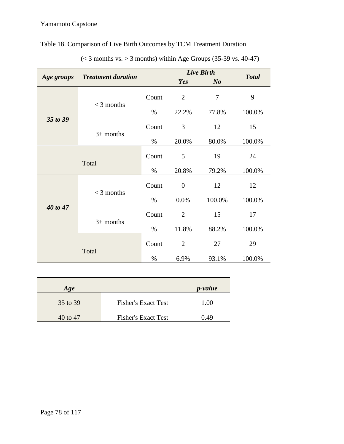# Table 18. Comparison of Live Birth Outcomes by TCM Treatment Duration

|            |                           |       |                  | <b>Live Birth</b> |              |
|------------|---------------------------|-------|------------------|-------------------|--------------|
| Age groups | <b>Treatment duration</b> |       | Yes              | N <sub>o</sub>    | <b>Total</b> |
|            | $<$ 3 months              | Count | $\overline{2}$   | $\overline{7}$    | 9            |
|            |                           | $\%$  | 22.2%            | 77.8%             | 100.0%       |
|            | 35 to 39<br>$3+$ months   | Count | 3                | 12                | 15           |
|            |                           | $\%$  | 20.0%            | 80.0%             | 100.0%       |
|            | Total                     | Count | 5                | 19                | 24           |
|            |                           |       | 20.8%            | 79.2%             | 100.0%       |
|            | $<$ 3 months              | Count | $\boldsymbol{0}$ | 12                | 12           |
|            |                           | $\%$  | 0.0%             | 100.0%            | 100.0%       |
| 40 to 47   | $3+$ months               | Count | $\overline{2}$   | 15                | 17           |
|            |                           | $\%$  | 11.8%            | 88.2%             | 100.0%       |
|            | Total                     | Count | $\overline{2}$   | 27                | 29           |
|            |                           | $\%$  | 6.9%             | 93.1%             | 100.0%       |

 $(< 3$  months vs.  $> 3$  months) within Age Groups (35-39 vs. 40-47)

| Age      |                            | <i>p</i> -value |
|----------|----------------------------|-----------------|
| 35 to 39 | <b>Fisher's Exact Test</b> | 1.00            |
| 40 to 47 | <b>Fisher's Exact Test</b> | 0.49            |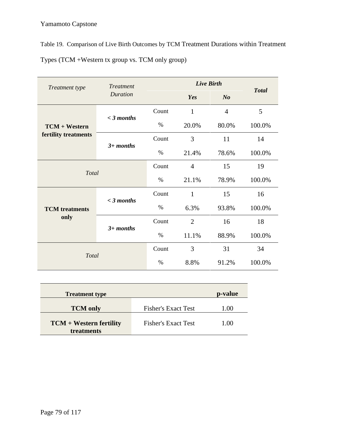Table 19. Comparison of Live Birth Outcomes by TCM Treatment Durations within Treatment

Types (TCM +Western tx group vs. TCM only group)

| Treatment type        | <b>Treatment</b> |       | <b>Live Birth</b> |                | <b>Total</b> |
|-----------------------|------------------|-------|-------------------|----------------|--------------|
|                       | <b>Duration</b>  |       | Yes               | N <sub>o</sub> |              |
|                       | $<$ 3 months     | Count | $\mathbf{1}$      | $\overline{4}$ | 5            |
| <b>TCM + Western</b>  |                  | $\%$  | 20.0%             | 80.0%          | 100.0%       |
| fertility treatments  | $3+$ months      | Count | 3                 | 11             | 14           |
|                       |                  | $\%$  | 21.4%             | 78.6%          | 100.0%       |
| Total                 |                  | Count | $\overline{4}$    | 15             | 19           |
|                       |                  | $\%$  | 21.1%             | 78.9%          | 100.0%       |
|                       | $<$ 3 months     | Count | $\mathbf{1}$      | 15             | 16           |
| <b>TCM</b> treatments |                  | $\%$  | 6.3%              | 93.8%          | 100.0%       |
| only                  | $3+$ months      | Count | $\overline{2}$    | 16             | 18           |
|                       |                  | $\%$  | 11.1%             | 88.9%          | 100.0%       |
| Total                 |                  | Count | 3                 | 31             | 34           |
|                       |                  | $\%$  | 8.8%              | 91.2%          | 100.0%       |

| <b>Treatment type</b>                   |                            | p-value |
|-----------------------------------------|----------------------------|---------|
| <b>TCM</b> only                         | <b>Fisher's Exact Test</b> | 1.00    |
| $TCM + Western$ fertility<br>treatments | <b>Fisher's Exact Test</b> | 1.00    |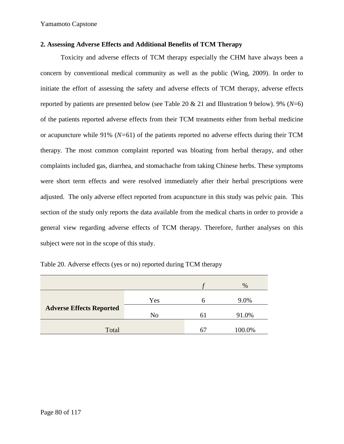### **2. Assessing Adverse Effects and Additional Benefits of TCM Therapy**

Toxicity and adverse effects of TCM therapy especially the CHM have always been a concern by conventional medical community as well as the public (Wing, 2009). In order to initiate the effort of assessing the safety and adverse effects of TCM therapy, adverse effects reported by patients are presented below (see Table 20 & 21 and Illustration 9 below). 9% (*N*=6) of the patients reported adverse effects from their TCM treatments either from herbal medicine or acupuncture while 91% (*N=*61) of the patients reported no adverse effects during their TCM therapy. The most common complaint reported was bloating from herbal therapy, and other complaints included gas, diarrhea, and stomachache from taking Chinese herbs. These symptoms were short term effects and were resolved immediately after their herbal prescriptions were adjusted. The only adverse effect reported from acupuncture in this study was pelvic pain. This section of the study only reports the data available from the medical charts in order to provide a general view regarding adverse effects of TCM therapy. Therefore, further analyses on this subject were not in the scope of this study.

|                                 |                |                | %      |
|---------------------------------|----------------|----------------|--------|
|                                 | Yes            |                | 9.0%   |
| <b>Adverse Effects Reported</b> | N <sub>0</sub> | $\mathfrak{h}$ | 91.0%  |
| Total                           |                |                | 100.0% |

Table 20. Adverse effects (yes or no) reported during TCM therapy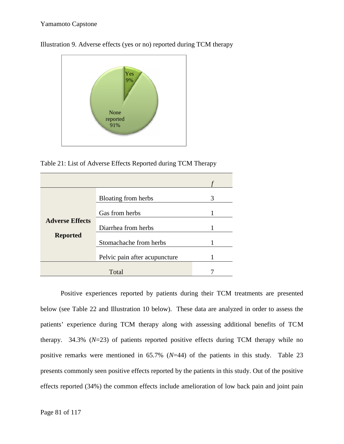

Illustration 9. Adverse effects (yes or no) reported during TCM therapy

Table 21: List of Adverse Effects Reported during TCM Therapy

|                        | Bloating from herbs           | 3 |  |
|------------------------|-------------------------------|---|--|
|                        | Gas from herbs                |   |  |
| <b>Adverse Effects</b> | Diarrhea from herbs           |   |  |
| <b>Reported</b>        | Stomachache from herbs        |   |  |
|                        | Pelvic pain after acupuncture |   |  |
|                        | Total                         |   |  |

Positive experiences reported by patients during their TCM treatments are presented below (see Table 22 and Illustration 10 below). These data are analyzed in order to assess the patients' experience during TCM therapy along with assessing additional benefits of TCM therapy. 34.3%  $(N=23)$  of patients reported positive effects during TCM therapy while no positive remarks were mentioned in 65.7% (*N*=44) of the patients in this study. Table 23 presents commonly seen positive effects reported by the patients in this study. Out of the positive effects reported (34%) the common effects include amelioration of low back pain and joint pain of patients (yes or no) reported during TCM therapy<br>
None<br>
None<br>
None<br>
None<br>
None<br>
1: List of Adverse Effects Reported during TCM Therapy<br>
1: List of Adverse Effects Reported during TCM Therapy<br>
For a form herbs<br>
1<br>
Total<br>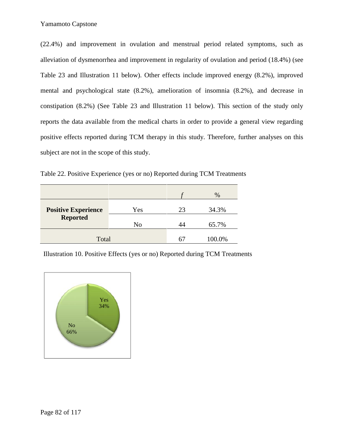(22.4%) and improvement in ovulation and menstrual period related symptoms, such as alleviation of dysmenorrhea and improvement in regularity of ovulation and period (18.4%) (see Table 23 and Illustration 11 below). Other effects include improved energy (8.2%), improved mental and psychological state (8.2%), amelioration of insomnia (8.2%), and decrease in constipation (8.2%) (See Table 23 and Illustration 11 below). This section of the study only reports the data available from the medical charts in order to provide a general view regarding positive effects reported during TCM therapy in this study. Therefore, further analyses on this subject are not in the scope of this study. and improvement in ovulation and menstrual period related symptoms, such as<br>a of dysmenorrhea and improvement in regularity of ovulation and period (18.4%) (see<br>and Illustration 11 below). Other effects include improved en and psychological state (8.2%), amelioration of insomnia (8.2%), and decrease in<br>ation (8.2%) (See Table 23 and Illustration 11 below). This section of the study only<br>the data available from the medical charts in order to

Table 22. Positive Experience (yes or no) Reported during TCM Treatments

|                                                                              |     |    | $\%$   |
|------------------------------------------------------------------------------|-----|----|--------|
| <b>Positive Experience</b>                                                   | Yes | 23 | 34.3%  |
| <b>Reported</b>                                                              | No  | 44 | 65.7%  |
| Total                                                                        |     | 67 | 100.0% |
| Illustration 10. Positive Effects (yes or no) Reported during TCM Treatments |     |    |        |

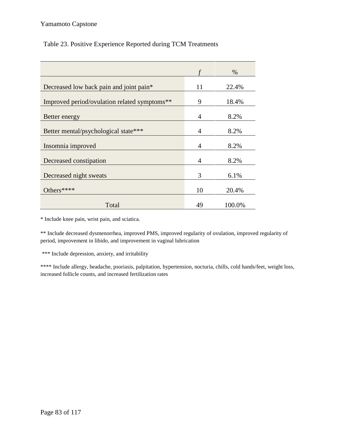# Table 23. Positive Experience Reported during TCM Treatments

|                                              |                | $\%$   |
|----------------------------------------------|----------------|--------|
|                                              |                |        |
| Decreased low back pain and joint pain*      | 11             | 22.4%  |
|                                              |                |        |
| Improved period/ovulation related symptoms** | 9              | 18.4%  |
|                                              |                |        |
| Better energy                                | $\overline{4}$ | 8.2%   |
| Better mental/psychological state***         | $\overline{4}$ | 8.2%   |
|                                              |                |        |
| Insomnia improved                            | $\overline{4}$ | 8.2%   |
|                                              |                |        |
| Decreased constipation                       | $\overline{4}$ | 8.2%   |
|                                              |                |        |
| Decreased night sweats                       | 3              | 6.1%   |
|                                              |                |        |
| Others****                                   | 10             | 20.4%  |
|                                              |                |        |
| Total                                        | 49             | 100.0% |

\* Include knee pain, wrist pain, and sciatica.

\*\* Include decreased dysmenorrhea, improved PMS, improved regularity of ovulation, improved regularity of period, improvement in libido, and improvement in vaginal lubrication

\*\*\* Include depression, anxiety, and irritability

\*\*\*\* Include allergy, headache, psoriasis, palpitation, hypertension, nocturia, chills, cold hands/feet, weight loss, increased follicle counts, and increased fertilization rates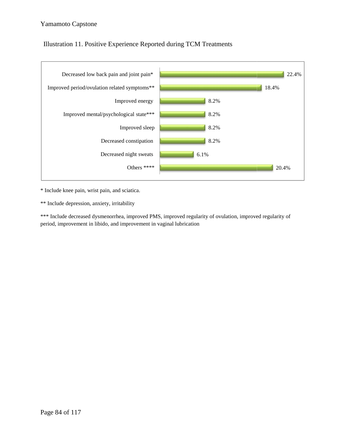# Illustration 11. Positive Experience Reported during TCM Treatments



\* Include knee pain, wrist pain, and sciatica.

\*\* Include depression, anxiety, irritability

\*\*\* Include decreased dysmenorrhea, improved PMS, improved regularity of ovulation, improved regularity of period, improvement in libido, and improvement in vaginal lubrication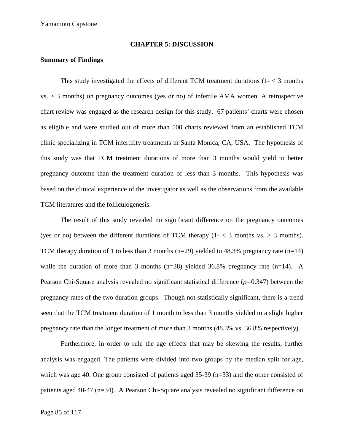### **CHAPTER 5: DISCUSSION**

### **Summary of Findings**

This study investigated the effects of different TCM treatment durations  $(1 < 3 \text{ months})$  $vs. > 3$  months) on pregnancy outcomes (yes or no) of infertile AMA women. A retrospective chart review was engaged as the research design for this study. 67 patients' charts were chosen as eligible and were studied out of more than 500 charts reviewed from an established TCM clinic specializing in TCM infertility treatments in Santa Monica, CA, USA. The hypothesis of this study was that TCM treatment durations of more than 3 months would yield to better pregnancy outcome than the treatment duration of less than 3 months. This hypothesis was based on the clinical experience of the investigator as well as the observations from the available TCM literatures and the folliculogenesis.

The result of this study revealed no significant difference on the pregnancy outcomes (yes or no) between the different durations of TCM therapy  $(1 - \langle 3 \rangle)$  months vs.  $> 3$  months). TCM therapy duration of 1 to less than 3 months ( $n=29$ ) yielded to 48.3% pregnancy rate ( $n=14$ ) while the duration of more than 3 months  $(n=38)$  yielded 36.8% pregnancy rate  $(n=14)$ . A Pearson Chi-Square analysis revealed no significant statistical difference (*p=*0.347) between the pregnancy rates of the two duration groups. Though not statistically significant, there is a trend seen that the TCM treatment duration of 1 month to less than 3 months yielded to a slight higher pregnancy rate than the longer treatment of more than 3 months (48.3% vs. 36.8% respectively).

Furthermore, in order to rule the age effects that may be skewing the results, further analysis was engaged. The patients were divided into two groups by the median split for age, which was age 40. One group consisted of patients aged 35-39 (n=33) and the other consisted of patients aged 40-47 (n=34). A Pearson Chi-Square analysis revealed no significant difference on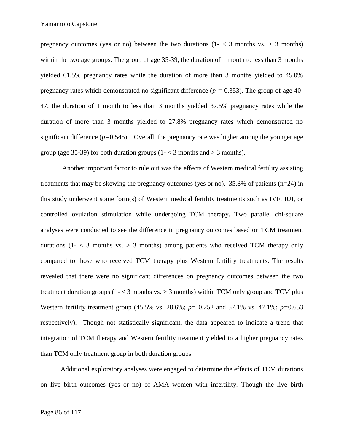pregnancy outcomes (yes or no) between the two durations  $(1 - \langle 3 \rangle)$  months vs.  $> 3$  months) within the two age groups. The group of age 35-39, the duration of 1 month to less than 3 months yielded 61.5% pregnancy rates while the duration of more than 3 months yielded to 45.0% pregnancy rates which demonstrated no significant difference ( $p = 0.353$ ). The group of age 40-47, the duration of 1 month to less than 3 months yielded 37.5% pregnancy rates while the duration of more than 3 months yielded to 27.8% pregnancy rates which demonstrated no significant difference  $(p=0.545)$ . Overall, the pregnancy rate was higher among the younger age group (age 35-39) for both duration groups  $(1 - < 3 \text{ months and} > 3 \text{ months}).$ 

Another important factor to rule out was the effects of Western medical fertility assisting treatments that may be skewing the pregnancy outcomes (yes or no). 35.8% of patients (n=24) in this study underwent some form(s) of Western medical fertility treatments such as IVF, IUI, or controlled ovulation stimulation while undergoing TCM therapy. Two parallel chi-square analyses were conducted to see the difference in pregnancy outcomes based on TCM treatment durations  $(1 - \langle 3 \rangle)$  months vs.  $> 3$  months) among patients who received TCM therapy only compared to those who received TCM therapy plus Western fertility treatments. The results revealed that there were no significant differences on pregnancy outcomes between the two treatment duration groups  $(1 - \langle 3 \rangle)$  months vs.  $> 3 \rangle$  months) within TCM only group and TCM plus Western fertility treatment group (45.5% vs. 28.6%; *p=* 0.252 and 57.1% vs. 47.1%; *p=*0.653 respectively). Though not statistically significant, the data appeared to indicate a trend that integration of TCM therapy and Western fertility treatment yielded to a higher pregnancy rates than TCM only treatment group in both duration groups.

Additional exploratory analyses were engaged to determine the effects of TCM durations on live birth outcomes (yes or no) of AMA women with infertility. Though the live birth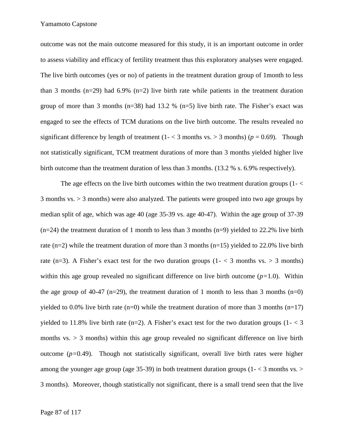outcome was not the main outcome measured for this study, it is an important outcome in order to assess viability and efficacy of fertility treatment thus this exploratory analyses were engaged. The live birth outcomes (yes or no) of patients in the treatment duration group of 1month to less than 3 months  $(n=29)$  had 6.9%  $(n=2)$  live birth rate while patients in the treatment duration group of more than 3 months ( $n=38$ ) had 13.2 % ( $n=5$ ) live birth rate. The Fisher's exact was engaged to see the effects of TCM durations on the live birth outcome. The results revealed no significant difference by length of treatment  $(1 - < 3 \text{ months vs.} > 3 \text{ months})$   $(p = 0.69)$ . Though not statistically significant, TCM treatment durations of more than 3 months yielded higher live birth outcome than the treatment duration of less than 3 months. (13.2 % s. 6.9% respectively).

The age effects on the live birth outcomes within the two treatment duration groups  $(1 - \langle$ 3 months vs. > 3 months) were also analyzed. The patients were grouped into two age groups by median split of age, which was age 40 (age 35-39 vs. age 40-47). Within the age group of 37-39  $(n=24)$  the treatment duration of 1 month to less than 3 months  $(n=9)$  yielded to 22.2% live birth rate  $(n=2)$  while the treatment duration of more than 3 months  $(n=15)$  yielded to 22.0% live birth rate (n=3). A Fisher's exact test for the two duration groups (1- < 3 months vs. > 3 months) within this age group revealed no significant difference on live birth outcome (*p=*1.0). Within the age group of 40-47 (n=29), the treatment duration of 1 month to less than 3 months (n=0) yielded to 0.0% live birth rate  $(n=0)$  while the treatment duration of more than 3 months  $(n=17)$ yielded to 11.8% live birth rate (n=2). A Fisher's exact test for the two duration groups (1- $\lt$ 3) months  $vs. > 3$  months) within this age group revealed no significant difference on live birth outcome (*p=*0.49). Though not statistically significant, overall live birth rates were higher among the younger age group (age 35-39) in both treatment duration groups  $(1 - < 3 \text{ months vs.} >$ 3 months). Moreover, though statistically not significant, there is a small trend seen that the live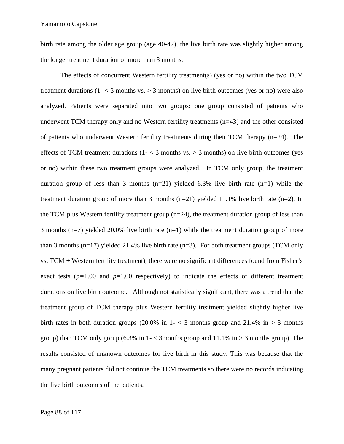birth rate among the older age group (age 40-47), the live birth rate was slightly higher among the longer treatment duration of more than 3 months.

The effects of concurrent Western fertility treatment(s) (yes or no) within the two TCM treatment durations  $(1 - \langle 3 \rangle)$  months vs.  $> 3$  months) on live birth outcomes (yes or no) were also analyzed. Patients were separated into two groups: one group consisted of patients who underwent TCM therapy only and no Western fertility treatments (n=43) and the other consisted of patients who underwent Western fertility treatments during their TCM therapy  $(n=24)$ . The effects of TCM treatment durations  $(1 - \langle 3 \rangle)$  months vs.  $> 3 \rangle$  months) on live birth outcomes (yes or no) within these two treatment groups were analyzed. In TCM only group, the treatment duration group of less than 3 months  $(n=21)$  yielded 6.3% live birth rate  $(n=1)$  while the treatment duration group of more than 3 months  $(n=21)$  yielded 11.1% live birth rate  $(n=2)$ . In the TCM plus Western fertility treatment group (n=24), the treatment duration group of less than 3 months ( $n=7$ ) yielded 20.0% live birth rate ( $n=1$ ) while the treatment duration group of more than 3 months ( $n=17$ ) yielded 21.4% live birth rate ( $n=3$ ). For both treatment groups (TCM only vs. TCM + Western fertility treatment), there were no significant differences found from Fisher's exact tests  $(p=1.00$  and  $p=1.00$  respectively) to indicate the effects of different treatment durations on live birth outcome. Although not statistically significant, there was a trend that the treatment group of TCM therapy plus Western fertility treatment yielded slightly higher live birth rates in both duration groups (20.0% in  $1 - < 3$  months group and 21.4% in  $> 3$  months group) than TCM only group (6.3% in  $1 - \langle$  3months group and 11.1% in  $> 3$  months group). The results consisted of unknown outcomes for live birth in this study. This was because that the many pregnant patients did not continue the TCM treatments so there were no records indicating the live birth outcomes of the patients.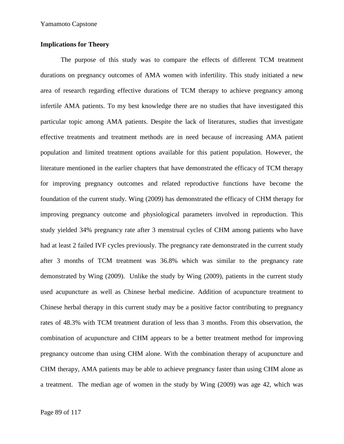### **Implications for Theory**

The purpose of this study was to compare the effects of different TCM treatment durations on pregnancy outcomes of AMA women with infertility. This study initiated a new area of research regarding effective durations of TCM therapy to achieve pregnancy among infertile AMA patients. To my best knowledge there are no studies that have investigated this particular topic among AMA patients. Despite the lack of literatures, studies that investigate effective treatments and treatment methods are in need because of increasing AMA patient population and limited treatment options available for this patient population. However, the literature mentioned in the earlier chapters that have demonstrated the efficacy of TCM therapy for improving pregnancy outcomes and related reproductive functions have become the foundation of the current study. Wing (2009) has demonstrated the efficacy of CHM therapy for improving pregnancy outcome and physiological parameters involved in reproduction. This study yielded 34% pregnancy rate after 3 menstrual cycles of CHM among patients who have had at least 2 failed IVF cycles previously. The pregnancy rate demonstrated in the current study after 3 months of TCM treatment was 36.8% which was similar to the pregnancy rate demonstrated by Wing (2009). Unlike the study by Wing (2009), patients in the current study used acupuncture as well as Chinese herbal medicine. Addition of acupuncture treatment to Chinese herbal therapy in this current study may be a positive factor contributing to pregnancy rates of 48.3% with TCM treatment duration of less than 3 months. From this observation, the combination of acupuncture and CHM appears to be a better treatment method for improving pregnancy outcome than using CHM alone. With the combination therapy of acupuncture and CHM therapy, AMA patients may be able to achieve pregnancy faster than using CHM alone as a treatment. The median age of women in the study by Wing (2009) was age 42, which was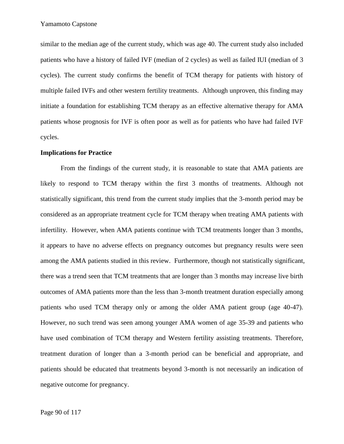similar to the median age of the current study, which was age 40. The current study also included patients who have a history of failed IVF (median of 2 cycles) as well as failed IUI (median of 3 cycles). The current study confirms the benefit of TCM therapy for patients with history of multiple failed IVFs and other western fertility treatments. Although unproven, this finding may initiate a foundation for establishing TCM therapy as an effective alternative therapy for AMA patients whose prognosis for IVF is often poor as well as for patients who have had failed IVF cycles.

### **Implications for Practice**

From the findings of the current study, it is reasonable to state that AMA patients are likely to respond to TCM therapy within the first 3 months of treatments. Although not statistically significant, this trend from the current study implies that the 3-month period may be considered as an appropriate treatment cycle for TCM therapy when treating AMA patients with infertility. However, when AMA patients continue with TCM treatments longer than 3 months, it appears to have no adverse effects on pregnancy outcomes but pregnancy results were seen among the AMA patients studied in this review. Furthermore, though not statistically significant, there was a trend seen that TCM treatments that are longer than 3 months may increase live birth outcomes of AMA patients more than the less than 3-month treatment duration especially among patients who used TCM therapy only or among the older AMA patient group (age 40-47). However, no such trend was seen among younger AMA women of age 35-39 and patients who have used combination of TCM therapy and Western fertility assisting treatments. Therefore, treatment duration of longer than a 3-month period can be beneficial and appropriate, and patients should be educated that treatments beyond 3-month is not necessarily an indication of negative outcome for pregnancy.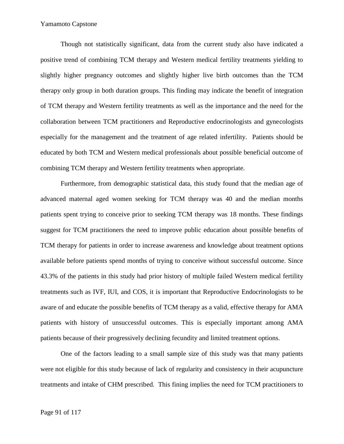Though not statistically significant, data from the current study also have indicated a positive trend of combining TCM therapy and Western medical fertility treatments yielding to slightly higher pregnancy outcomes and slightly higher live birth outcomes than the TCM therapy only group in both duration groups. This finding may indicate the benefit of integration of TCM therapy and Western fertility treatments as well as the importance and the need for the collaboration between TCM practitioners and Reproductive endocrinologists and gynecologists especially for the management and the treatment of age related infertility. Patients should be educated by both TCM and Western medical professionals about possible beneficial outcome of combining TCM therapy and Western fertility treatments when appropriate.

Furthermore, from demographic statistical data, this study found that the median age of advanced maternal aged women seeking for TCM therapy was 40 and the median months patients spent trying to conceive prior to seeking TCM therapy was 18 months. These findings suggest for TCM practitioners the need to improve public education about possible benefits of TCM therapy for patients in order to increase awareness and knowledge about treatment options available before patients spend months of trying to conceive without successful outcome. Since 43.3% of the patients in this study had prior history of multiple failed Western medical fertility treatments such as IVF, IUI, and COS, it is important that Reproductive Endocrinologists to be aware of and educate the possible benefits of TCM therapy as a valid, effective therapy for AMA patients with history of unsuccessful outcomes. This is especially important among AMA patients because of their progressively declining fecundity and limited treatment options.

One of the factors leading to a small sample size of this study was that many patients were not eligible for this study because of lack of regularity and consistency in their acupuncture treatments and intake of CHM prescribed. This fining implies the need for TCM practitioners to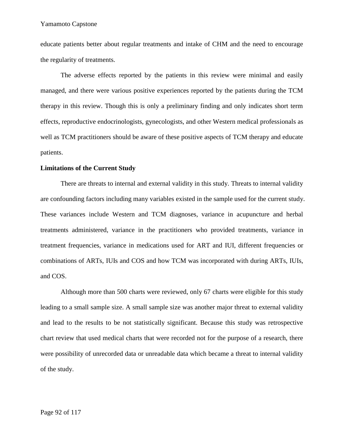educate patients better about regular treatments and intake of CHM and the need to encourage the regularity of treatments.

The adverse effects reported by the patients in this review were minimal and easily managed, and there were various positive experiences reported by the patients during the TCM therapy in this review. Though this is only a preliminary finding and only indicates short term effects, reproductive endocrinologists, gynecologists, and other Western medical professionals as well as TCM practitioners should be aware of these positive aspects of TCM therapy and educate patients.

#### **Limitations of the Current Study**

There are threats to internal and external validity in this study. Threats to internal validity are confounding factors including many variables existed in the sample used for the current study. These variances include Western and TCM diagnoses, variance in acupuncture and herbal treatments administered, variance in the practitioners who provided treatments, variance in treatment frequencies, variance in medications used for ART and IUI, different frequencies or combinations of ARTs, IUIs and COS and how TCM was incorporated with during ARTs, IUIs, and COS.

Although more than 500 charts were reviewed, only 67 charts were eligible for this study leading to a small sample size. A small sample size was another major threat to external validity and lead to the results to be not statistically significant. Because this study was retrospective chart review that used medical charts that were recorded not for the purpose of a research, there were possibility of unrecorded data or unreadable data which became a threat to internal validity of the study.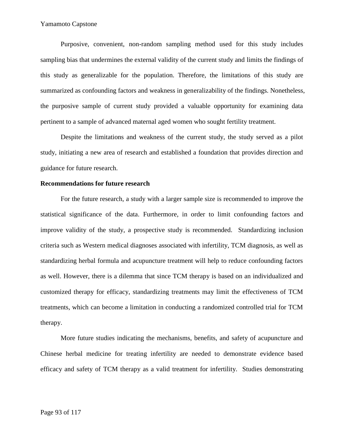Purposive, convenient, non-random sampling method used for this study includes sampling bias that undermines the external validity of the current study and limits the findings of this study as generalizable for the population. Therefore, the limitations of this study are summarized as confounding factors and weakness in generalizability of the findings. Nonetheless, the purposive sample of current study provided a valuable opportunity for examining data pertinent to a sample of advanced maternal aged women who sought fertility treatment.

Despite the limitations and weakness of the current study, the study served as a pilot study, initiating a new area of research and established a foundation that provides direction and guidance for future research.

### **Recommendations for future research**

For the future research, a study with a larger sample size is recommended to improve the statistical significance of the data. Furthermore, in order to limit confounding factors and improve validity of the study, a prospective study is recommended. Standardizing inclusion criteria such as Western medical diagnoses associated with infertility, TCM diagnosis, as well as standardizing herbal formula and acupuncture treatment will help to reduce confounding factors as well. However, there is a dilemma that since TCM therapy is based on an individualized and customized therapy for efficacy, standardizing treatments may limit the effectiveness of TCM treatments, which can become a limitation in conducting a randomized controlled trial for TCM therapy.

More future studies indicating the mechanisms, benefits, and safety of acupuncture and Chinese herbal medicine for treating infertility are needed to demonstrate evidence based efficacy and safety of TCM therapy as a valid treatment for infertility. Studies demonstrating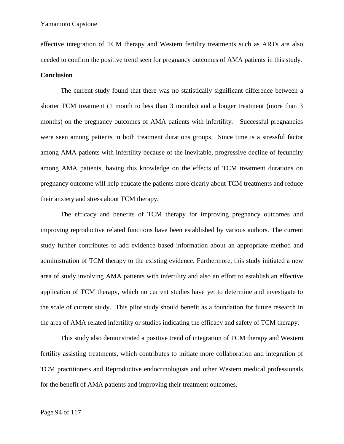effective integration of TCM therapy and Western fertility treatments such as ARTs are also needed to confirm the positive trend seen for pregnancy outcomes of AMA patients in this study.

#### **Conclusion**

The current study found that there was no statistically significant difference between a shorter TCM treatment (1 month to less than 3 months) and a longer treatment (more than 3 months) on the pregnancy outcomes of AMA patients with infertility. Successful pregnancies were seen among patients in both treatment durations groups. Since time is a stressful factor among AMA patients with infertility because of the inevitable, progressive decline of fecundity among AMA patients, having this knowledge on the effects of TCM treatment durations on pregnancy outcome will help educate the patients more clearly about TCM treatments and reduce their anxiety and stress about TCM therapy.

The efficacy and benefits of TCM therapy for improving pregnancy outcomes and improving reproductive related functions have been established by various authors. The current study further contributes to add evidence based information about an appropriate method and administration of TCM therapy to the existing evidence. Furthermore, this study initiated a new area of study involving AMA patients with infertility and also an effort to establish an effective application of TCM therapy, which no current studies have yet to determine and investigate to the scale of current study. This pilot study should benefit as a foundation for future research in the area of AMA related infertility or studies indicating the efficacy and safety of TCM therapy.

This study also demonstrated a positive trend of integration of TCM therapy and Western fertility assisting treatments, which contributes to initiate more collaboration and integration of TCM practitioners and Reproductive endocrinologists and other Western medical professionals for the benefit of AMA patients and improving their treatment outcomes.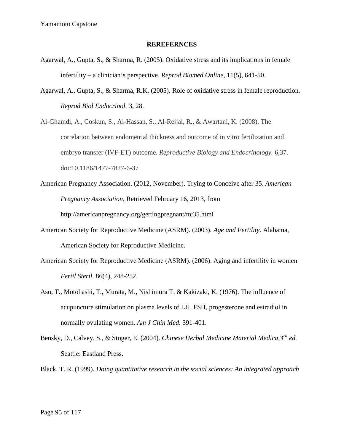### **REREFERNCES**

- Agarwal, A., Gupta, S., & Sharma, R. (2005). Oxidative stress and its implications in female infertility – a clinician's perspective. *Reprod Biomed Online,* 11(5), 641-50.
- Agarwal, A., Gupta, S., & Sharma, R.K. (2005). Role of oxidative stress in female reproduction. *Reprod Biol Endocrinol.* 3, 28.
- Al-Ghamdi, A., Coskun, S., Al-Hassan, S., Al-Rejjal, R., & Awartani, K. (2008). The correlation between endometrial thickness and outcome of in vitro fertilization and embryo transfer (IVF-ET) outcome. *Reproductive Biology and Endocrinology.* 6,37. doi:10.1186/1477-7827-6-37
- American Pregnancy Association. (2012, November). Trying to Conceive after 35. *American Pregnancy Association*, Retrieved February 16, 2013, from http://americanpregnancy.org/gettingpregnant/ttc35.html
- American Society for Reproductive Medicine (ASRM). (2003). *Age and Fertility*. Alabama, American Society for Reproductive Medicine.
- American Society for Reproductive Medicine (ASRM). (2006). Aging and infertility in women *Fertil Steril.* 86(4), 248-252.
- Aso, T., Motohashi, T., Murata, M., Nishimura T. & Kakizaki, K. (1976). The influence of acupuncture stimulation on plasma levels of LH, FSH, progesterone and estradiol in normally ovulating women. *Am J Chin Med.* 391-401.
- Bensky, D., Calvey, S., & Stoger, E. (2004). *Chinese Herbal Medicine Material Medica,3rd ed.* Seattle: Eastland Press.
- Black, T. R. (1999). *Doing quantitative research in the social sciences: An integrated approach*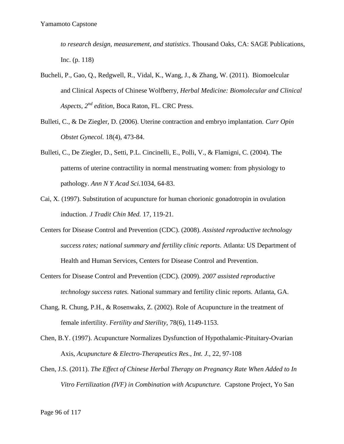*to research design, measurement, and statistics*. Thousand Oaks, CA: SAGE Publications, Inc. (p. 118)

- Bucheli, P., Gao, Q., Redgwell, R., Vidal, K., Wang, J., & Zhang, W. (2011). Biomoelcular and Clinical Aspects of Chinese Wolfberry, *Herbal Medicine: Biomolecular and Clinical Aspects, 2nd edition,* Boca Raton, FL. CRC Press.
- Bulleti, C., & De Ziegler, D. (2006). Uterine contraction and embryo implantation. *Curr Opin Obstet Gynecol.* 18(4), 473-84.
- Bulleti, C., De Ziegler, D., Setti, P.L. Cincinelli, E., Polli, V., & Flamigni, C. (2004). The patterns of uterine contractility in normal menstruating women: from physiology to pathology. *Ann N Y Acad Sci.*1034, 64-83.
- Cai, X. (1997). Substitution of acupuncture for human chorionic gonadotropin in ovulation induction. *J Tradit Chin Med.* 17, 119-21.
- Centers for Disease Control and Prevention (CDC). (2008). *Assisted reproductive technology success rates; national summary and fertility clinic reports.* Atlanta: US Department of Health and Human Services, Centers for Disease Control and Prevention.
- Centers for Disease Control and Prevention (CDC). (2009). *2007 assisted reproductive technology success rates.* National summary and fertility clinic reports. Atlanta, GA.
- Chang, R. Chung, P.H., & Rosenwaks, Z. (2002). Role of Acupuncture in the treatment of female infertility. *Fertility and Sterility,* 78(6), 1149-1153.
- Chen, B.Y. (1997). Acupuncture Normalizes Dysfunction of Hypothalamic-Pituitary-Ovarian Axis, *Acupuncture & Electro-Therapeutics Res., Int. J.,* 22, 97-108
- Chen, J.S. (2011). *The Effect of Chinese Herbal Therapy on Pregnancy Rate When Added to In Vitro Fertilization (IVF) in Combination with Acupuncture.* Capstone Project, Yo San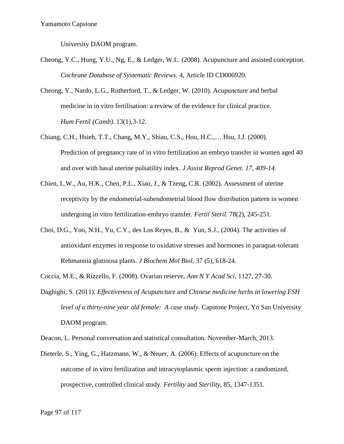University DAOM program.

- Cheong, Y.C., Hung, Y.U., Ng, E., & Ledger, W.L. (2008). Acupuncture and assisted conception. *Cochrane Database of Systematic Reviews.* 4, Article ID CD006920.
- Cheong, Y., Nardo, L.G., Rutherford, T., & Ledger, W. (2010). Acupuncture and herbal medicine in in vitro fertilisation: a review of the evidence for clinical practice. *Hum Fertil (Camb)*. 13(1),3-12.
- Chiang, C.H., Hsieh, T.T., Chang, M.Y., Shiau, C.S., Hou, H.C.,… Hsu, J.J. (2000). Prediction of pregnancy rate of in vitro fertilization an embryo transfer in women aged 40 and over with basal uterine pulsatility index. *J Assist Reprod Genet. 17, 409-14.*
- Chien, L.W., Au, H.K., Chen, P.L., Xiao, J., & Tzeng, C.R. (2002). Assessment of uterine receptivity by the endometrial-subendometrial blood flow distribution pattern in women undergoing in vitro fertilization-embryo transfer. *Fertil Steril.* 78(2), 245-251.
- Choi, D.G., Yoo, N.H., Yu, C.Y., des Los Reyes, B., & Yun, S.J., (2004). The activities of antioxidant enzymes in response to oxidative stresses and hormones in paraquat-tolerant Rehmannia glutinosa plants. *J Biochem Mol Biol,* 37 (5), 618-24.
- Coccia, M.E., & Rizzello, F. (2008). Ovarian reserve, *Ann N Y Acad Sci*, 1127, 27-30.
- Daghighi, S. (2011). *Effectiveness of Acupuncture and Chinese medicine herbs in lowering FSH level of a thirty-nine year old female: A case study.* Capstone Project*,* Yo San University DAOM program.
- Deacon, L. Personal conversation and statistical consultation. November-March, 2013.
- Dieterle, S., Ying, G., Hatzmann, W., & Neuer, A. (2006). Effects of acupuncture on the outcome of in vitro fertilization and intracytoplasmic sperm injection: a randomized, prospective, controlled clinical study. *Fertility* and *Sterility,* 85, 1347-1351.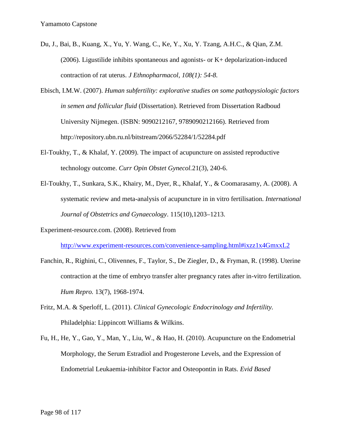- Du, J., Bai, B., Kuang, X., Yu, Y. Wang, C., Ke, Y., Xu, Y. Tzang, A.H.C., & Qian, Z.M. (2006). Ligustilide inhibits spontaneous and agonists- or K+ depolarization-induced contraction of rat uterus. *J Ethnopharmacol, 108(1): 54-8.*
- Ebisch, I.M.W. (2007). *Human subfertility: explorative studies on some pathopysiologic factors in semen and follicular fluid* (Dissertation). Retrieved from Dissertation Radboud University Nijmegen. (ISBN: 9090212167, 9789090212166). Retrieved from http://repository.ubn.ru.nl/bitstream/2066/52284/1/52284.pdf
- El-Toukhy, T., & Khalaf, Y. (2009). The impact of acupuncture on assisted reproductive technology outcome. *Curr Opin Obstet Gynecol.*21(3), 240-6.
- El-Toukhy, T., Sunkara, S.K., Khairy, M., Dyer, R., Khalaf, Y., & Coomarasamy, A. (2008). A systematic review and meta-analysis of acupuncture in in vitro fertilisation. *International Journal of Obstetrics and Gynaecology*. 115(10),1203–1213.

Experiment-resource.com. (2008). Retrieved from

http://www.experiment-resources.com/convenience-sampling.html#ixzz1x4GmxxL2

- Fanchin, R., Righini, C., Olivennes, F., Taylor, S., De Ziegler, D., & Fryman, R. (1998). Uterine contraction at the time of embryo transfer alter pregnancy rates after in-vitro fertilization. *Hum Repro.* 13(7), 1968-1974.
- Fritz, M.A. & Sperloff, L. (2011). *Clinical Gynecologic Endocrinology and Infertility.* Philadelphia: Lippincott Williams & Wilkins.
- Fu, H., He, Y., Gao, Y., Man, Y., Liu, W., & Hao, H. (2010). Acupuncture on the Endometrial Morphology, the Serum Estradiol and Progesterone Levels, and the Expression of Endometrial Leukaemia-inhibitor Factor and Osteopontin in Rats. *Evid Based*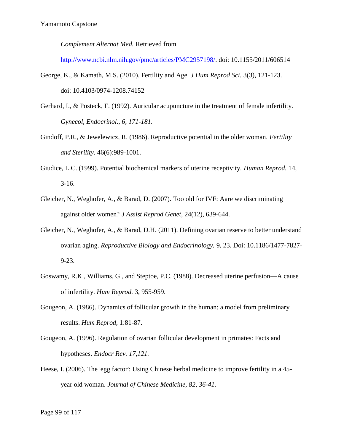*Complement Alternat Med.* Retrieved from

http://www.ncbi.nlm.nih.gov/pmc/articles/PMC2957198/. doi: 10.1155/2011/606514

- George, K., & Kamath, M.S. (2010). Fertility and Age. *J Hum Reprod Sci.* 3(3), 121-123. doi: 10.4103/0974-1208.74152
- Gerhard, I., & Posteck, F. (1992). Auricular acupuncture in the treatment of female infertility. *Gynecol, Endocrinol., 6, 171-181.*
- Gindoff, P.R., & Jewelewicz, R. (1986). Reproductive potential in the older woman. *Fertility and Sterility.* 46(6):989-1001.
- Giudice, L.C. (1999). Potential biochemical markers of uterine receptivity. *Human Reprod.* 14, 3-16.
- Gleicher, N., Weghofer, A., & Barad, D. (2007). Too old for IVF: Aare we discriminating against older women? *J Assist Reprod Genet,* 24(12), 639-644.
- Gleicher, N., Weghofer, A., & Barad, D.H. (2011). Defining ovarian reserve to better understand ovarian aging. *Reproductive Biology and Endocrinology.* 9, 23. Doi: 10.1186/1477-7827- 9-23.
- Goswamy, R.K., Williams, G., and Steptoe, P.C. (1988). Decreased uterine perfusion—A cause of infertility. *Hum Reprod.* 3, 955-959.
- Gougeon, A. (1986). Dynamics of follicular growth in the human: a model from preliminary results. *Hum Reprod,* 1:81-87.
- Gougeon, A. (1996). Regulation of ovarian follicular development in primates: Facts and hypotheses. *Endocr Rev. 17,121.*
- Heese, I. (2006). The 'egg factor': Using Chinese herbal medicine to improve fertility in a 45 year old woman. *Journal of Chinese Medicine, 82, 36-41.*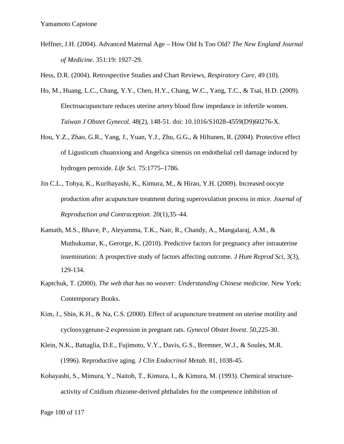Heffner, J.H. (2004). Advanced Maternal Age – How Old Is Too Old? *The New England Journal of Medicine.* 351:19: 1927-29.

Hess, D.R. (2004). Retrospective Studies and Chart Reviews, *Respiratory Care,* 49 (10).

- Ho, M., Huang, L.C., Chang, Y.Y., Chen, H.Y., Chang, W.C., Yang, T.C., & Tsai, H.D. (2009). Electroacupuncture reduces uterine artery blood flow impedance in infertile women. *Taiwan J Obstet Gynecol.* 48(2), 148-51. doi: 10.1016/S1028-4559(D9)60276-X.
- Hou, Y.Z., Zhao, G.R., Yang, J., Yuan, Y.J., Zhu, G.G., & Hiltunen, R. (2004). Protective effect of Ligusticum chuanxiong and Angelica sinensis on endothelial cell damage induced by hydrogen peroxide*. Life Sci.* 75:1775–1786.
- Jin C.L., Tohya, K., Kuribayashi, K., Kimura, M., & Hirao, Y.H. (2009). Increased oocyte production after acupuncture treatment during superovulation process in mice. *Journal of Reproduction and Contraception*. 20(1),35–44.
- Kamath, M.S., Bhave, P., Aleyamma, T.K., Nair, R., Chandy, A., Mangalaraj, A.M., & Muthukumar, K., Gerorge, K. (2010). Predictive factors for pregnancy after intrauterine insemination: A prospective study of factors affecting outcome. *J Hum Reprod Sci,* 3(3), 129-134.
- Kaptchuk, T. (2000). *The web that has no weaver: Understanding Chinese medicine.* New York: Contemporary Books.
- Kim, J., Shin, K.H., & Na, C.S. (2000). Effect of acupuncture treatment on uterine motility and cyclooxygenase-2 expression in pregnant rats. *Gynecol Obstet Invest.* 50,225-30.
- Klein, N.K., Battaglia, D.E., Fujimoto, V.Y., Davis, G.S., Bremner, W.J., & Soules, M.R. (1996). Reproductive aging. *J Clin Endocrinol Metab.* 81, 1038-45.
- Kobayashi, S., Mimura, Y., Naitoh, T., Kimura, I., & Kimura, M. (1993). Chemical structure activity of Cnidium rhizome-derived phthalides for the competence inhibition of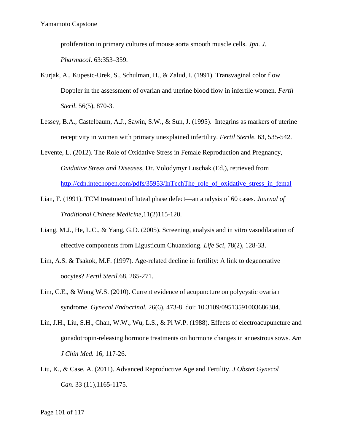proliferation in primary cultures of mouse aorta smooth muscle cells. *Jpn. J. Pharmacol*. 63:353–359.

- Kurjak, A., Kupesic-Urek, S., Schulman, H., & Zalud, I. (1991). Transvaginal color flow Doppler in the assessment of ovarian and uterine blood flow in infertile women. *Fertil Steril.* 56(5), 870-3.
- Lessey, B.A., Castelbaum, A.J., Sawin, S.W., & Sun, J. (1995). Integrins as markers of uterine receptivity in women with primary unexplained infertility. *Fertil Sterile.* 63, 535-542.
- Levente, L. (2012). The Role of Oxidative Stress in Female Reproduction and Pregnancy, *Oxidative Stress and Diseases*, Dr. Volodymyr Luschak (Ed.), retrieved from http://cdn.intechopen.com/pdfs/35953/InTechThe\_role\_of\_oxidative\_stress\_in\_femal
- Lian, F. (1991). TCM treatment of luteal phase defect—an analysis of 60 cases. *Journal of Traditional Chinese Medicine,*11(2)115-120.
- Liang, M.J., He, L.C., & Yang, G.D. (2005). Screening, analysis and in vitro vasodilatation of effective components from Ligusticum Chuanxiong. *Life Sci,* 78(2), 128-33.
- Lim, A.S. & Tsakok, M.F. (1997). Age-related decline in fertility: A link to degenerative oocytes? *Fertil Steril.*68, 265-271.
- Lim, C.E., & Wong W.S. (2010). Current evidence of acupuncture on polycystic ovarian syndrome. *Gynecol Endocrinol.* 26(6), 473-8. doi: 10.3109/09513591003686304.
- Lin, J.H., Liu, S.H., Chan, W.W., Wu, L.S., & Pi W.P. (1988). Effects of electroacupuncture and gonadotropin-releasing hormone treatments on hormone changes in anoestrous sows. *Am J Chin Med.* 16, 117-26.
- Liu, K., & Case, A. (2011). Advanced Reproductive Age and Fertility. *J Obstet Gynecol Can.* 33 (11),1165-1175.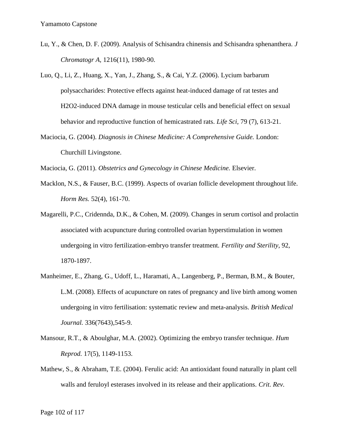- Lu, Y., & Chen, D. F. (2009). Analysis of Schisandra chinensis and Schisandra sphenanthera. *J Chromatogr A,* 1216(11), 1980-90.
- Luo, Q., Li, Z., Huang, X., Yan, J., Zhang, S., & Cai, Y.Z. (2006). Lycium barbarum polysaccharides: Protective effects against heat-induced damage of rat testes and H2O2-induced DNA damage in mouse testicular cells and beneficial effect on sexual behavior and reproductive function of hemicastrated rats. *Life Sci,* 79 (7), 613-21.
- Maciocia, G. (2004). *Diagnosis in Chinese Medicine: A Comprehensive Guide.* London: Churchill Livingstone.

Maciocia, G. (2011). *Obstetrics and Gynecology in Chinese Medicine.* Elsevier.

- Macklon, N.S., & Fauser, B.C. (1999). Aspects of ovarian follicle development throughout life. *Horm Res.* 52(4), 161-70.
- Magarelli, P.C., Cridennda, D.K., & Cohen, M. (2009). Changes in serum cortisol and prolactin associated with acupuncture during controlled ovarian hyperstimulation in women undergoing in vitro fertilization-embryo transfer treatment*. Fertility and Sterility*, 92, 1870-1897.
- Manheimer, E., Zhang, G., Udoff, L., Haramati, A., Langenberg, P., Berman, B.M., & Bouter, L.M. (2008). Effects of acupuncture on rates of pregnancy and live birth among women undergoing in vitro fertilisation: systematic review and meta-analysis. *British Medical Journal.* 336(7643),545-9.
- Mansour, R.T., & Aboulghar, M.A. (2002). Optimizing the embryo transfer technique. *Hum Reprod.* 17(5), 1149-1153.
- Mathew, S., & Abraham, T.E. (2004). Ferulic acid: An antioxidant found naturally in plant cell walls and feruloyl esterases involved in its release and their applications. *Crit. Rev.*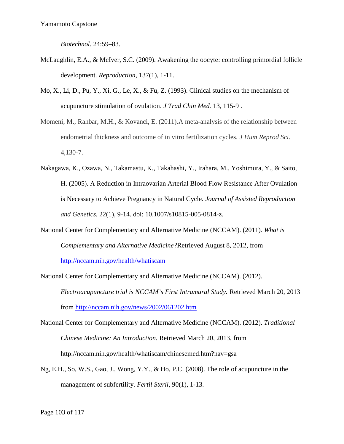*Biotechnol.* 24:59–83.

- McLaughlin, E.A., & McIver, S.C. (2009). Awakening the oocyte: controlling primordial follicle development. *Reproduction,* 137(1), 1-11.
- Mo, X., Li, D., Pu, Y., Xi, G., Le, X., & Fu, Z. (1993). Clinical studies on the mechanism of acupuncture stimulation of ovulation. *J Trad Chin Med.* 13, 115-9 .
- Momeni, M., Rahbar, M.H., & Kovanci, E. (2011)*.*A meta-analysis of the relationship between endometrial thickness and outcome of in vitro fertilization cycles. *J Hum Reprod Sci*. 4,130-7.
- Nakagawa, K., Ozawa, N., Takamastu, K., Takahashi, Y., Irahara, M., Yoshimura, Y., & Saito, H. (2005). A Reduction in Intraovarian Arterial Blood Flow Resistance After Ovulation is Necessary to Achieve Pregnancy in Natural Cycle. *Journal of Assisted Reproduction and Genetics.* 22(1), 9-14. doi: 10.1007/s10815-005-0814-z.
- National Center for Complementary and Alternative Medicine (NCCAM). (2011). *What is Complementary and Alternative Medicine?*Retrieved August 8, 2012, from http://nccam.nih.gov/health/whatiscam

National Center for Complementary and Alternative Medicine (NCCAM). (2012). *Electroacupuncture trial is NCCAM's First Intramural Study.* Retrieved March 20, 2013 from http://nccam.nih.gov/news/2002/061202.htm

- National Center for Complementary and Alternative Medicine (NCCAM). (2012). *Traditional Chinese Medicine: An Introduction.* Retrieved March 20, 2013, from http://nccam.nih.gov/health/whatiscam/chinesemed.htm?nav=gsa
- Ng, E.H., So, W.S., Gao, J., Wong, Y.Y., & Ho, P.C. (2008). The role of acupuncture in the management of subfertility. *Fertil Steril,* 90(1), 1-13.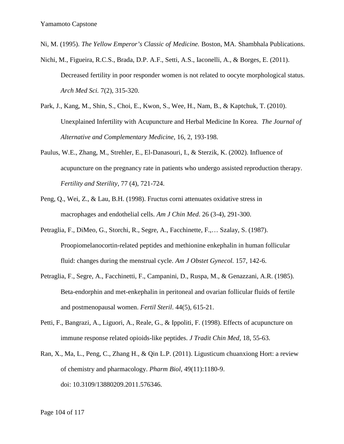Ni, M. (1995). *The Yellow Emperor's Classic of Medicine.* Boston, MA. Shambhala Publications.

- Nichi, M., Figueira, R.C.S., Brada, D.P. A.F., Setti, A.S., Iaconelli, A., & Borges, E. (2011). Decreased fertility in poor responder women is not related to oocyte morphological status. *Arch Med Sci.* 7(2), 315-320.
- Park, J., Kang, M., Shin, S., Choi, E., Kwon, S., Wee, H., Nam, B., & Kaptchuk, T. (2010). Unexplained Infertility with Acupuncture and Herbal Medicine In Korea. *The Journal of Alternative and Complementary Medicine,* 16, 2, 193-198.
- Paulus, W.E., Zhang, M., Strehler, E., El-Danasouri, I., & Sterzik, K. (2002). Influence of acupuncture on the pregnancy rate in patients who undergo assisted reproduction therapy. *Fertility and Sterility*, 77 (4), 721-724.
- Peng, Q., Wei, Z., & Lau, B.H. (1998). Fructus corni attenuates oxidative stress in macrophages and endothelial cells. *Am J Chin Med*. 26 (3-4), 291-300.
- Petraglia, F., DiMeo, G., Storchi, R., Segre, A., Facchinette, F.,… Szalay, S. (1987). Proopiomelanocortin-related peptides and methionine enkephalin in human follicular fluid: changes during the menstrual cycle. *Am J Obstet Gynecol.* 157, 142-6.
- Petraglia, F., Segre, A., Facchinetti, F., Campanini, D., Ruspa, M., & Genazzani, A.R. (1985). Beta-endorphin and met-enkephalin in peritoneal and ovarian follicular fluids of fertile and postmenopausal women. *Fertil Steril*. 44(5), 615-21.
- Petti, F., Bangrazi, A., Liguori, A., Reale, G., & Ippoliti, F. (1998). Effects of acupuncture on immune response related opioids-like peptides. *J Tradit Chin Med,* 18, 55-63.
- Ran, X., Ma, L., Peng, C., Zhang H., & Qin L.P. (2011). Ligusticum chuanxiong Hort: a review of chemistry and pharmacology. *Pharm Biol,* 49(11):1180-9. doi: 10.3109/13880209.2011.576346.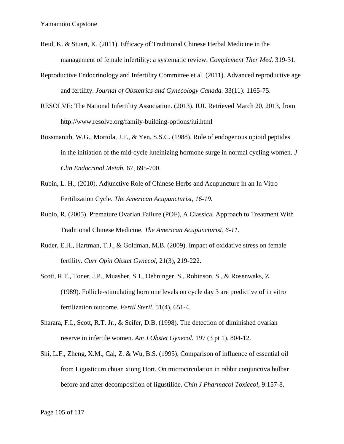- Reid, K. & Stuart, K. (2011). Efficacy of Traditional Chinese Herbal Medicine in the management of female infertility: a systematic review. *Complement Ther Med.* 319-31*.*
- Reproductive Endocrinology and Infertility Committee et al. (2011). Advanced reproductive age and fertility. *Journal of Obstetrics and Gynecology Canada.* 33(11): 1165-75.
- RESOLVE: The National Infertility Association. (2013). IUI. Retrieved March 20, 2013, from http://www.resolve.org/family-building-options/iui.html
- Rossmanith, W.G., Mortola, J.F., & Yen, S.S.C. (1988). Role of endogenous opioid peptides in the initiation of the mid-cycle luteinizing hormone surge in normal cycling women. *J Clin Endocrinol Metab.* 67, 695-700.
- Rubin, L. H., (2010). Adjunctive Role of Chinese Herbs and Acupuncture in an In Vitro Fertilization Cycle. *The American Acupuncturist, 16-19.*
- Rubio, R. (2005). Premature Ovarian Failure (POF), A Classical Approach to Treatment With Traditional Chinese Medicine. *The American Acupuncturist, 6-11.*
- Ruder, E.H., Hartman, T.J., & Goldman, M.B. (2009). Impact of oxidative stress on female fertility. *Curr Opin Obstet Gynecol,* 21(3), 219-222.
- Scott, R.T., Toner, J.P., Muasher, S.J., Oehninger, S., Robinson, S., & Rosenwaks, Z. (1989). Follicle-stimulating hormone levels on cycle day 3 are predictive of in vitro fertilization outcome. *Fertil Steril*. 51(4), 651-4.
- Sharara, F.I., Scott, R.T. Jr., & Seifer, D.B. (1998). The detection of diminished ovarian reserve in infertile women. *Am J Obstet Gynecol.* 197 (3 pt 1), 804-12.
- Shi, L.F., Zheng, X.M., Cai, Z. & Wu, B.S. (1995). Comparison of influence of essential oil from Ligusticum chuan xiong Hort. On microcirculation in rabbit conjunctiva bulbar before and after decomposition of ligustilide. *Chin J Pharmacol Toxiccol,* 9:157-8.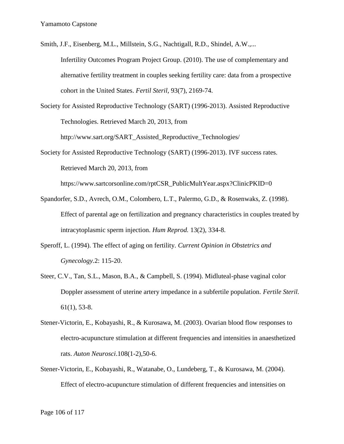Smith, J.F., Eisenberg, M.L., Millstein, S.G., Nachtigall, R.D., Shindel, A.W.,... Infertility Outcomes Program Project Group. (2010). The use of complementary and alternative fertility treatment in couples seeking fertility care: data from a prospective cohort in the United States. *Fertil Steril,* 93(7), 2169-74.

Society for Assisted Reproductive Technology (SART) (1996-2013). Assisted Reproductive Technologies. Retrieved March 20, 2013, from

http://www.sart.org/SART\_Assisted\_Reproductive\_Technologies/

Society for Assisted Reproductive Technology (SART) (1996-2013). IVF success rates. Retrieved March 20, 2013, from

https://www.sartcorsonline.com/rptCSR\_PublicMultYear.aspx?ClinicPKID=0

- Spandorfer, S.D., Avrech, O.M., Colombero, L.T., Palermo, G.D., & Rosenwaks, Z. (1998). Effect of parental age on fertilization and pregnancy characteristics in couples treated by intracytoplasmic sperm injection. *Hum Reprod.*13(2), 334-8.
- Speroff, L. (1994). The effect of aging on fertility. *Current Opinion in Obstetrics and Gynecology.*2: 115-20.
- Steer, C.V., Tan, S.L., Mason, B.A., & Campbell, S. (1994). Midluteal-phase vaginal color Doppler assessment of uterine artery impedance in a subfertile population. *Fertile Steril.*  $61(1)$ , 53-8.
- Stener-Victorin, E., Kobayashi, R., & Kurosawa, M. (2003). Ovarian blood flow responses to electro-acupuncture stimulation at different frequencies and intensities in anaesthetized rats. *Auton Neurosci*.108(1-2),50-6.
- Stener-Victorin, E., Kobayashi, R., Watanabe, O., Lundeberg, T., & Kurosawa, M. (2004). Effect of electro-acupuncture stimulation of different frequencies and intensities on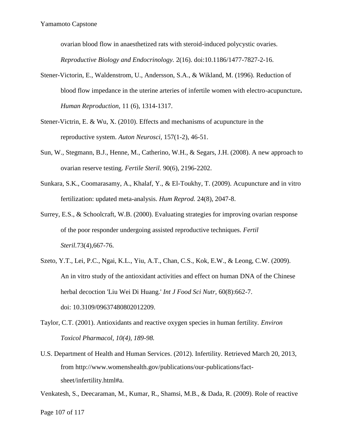ovarian blood flow in anaesthetized rats with steroid-induced polycystic ovaries.

*Reproductive Biology and Endocrinology.* 2(16). doi:10.1186/1477-7827-2-16.

- Stener-Victorin, E., Waldenstrom, U., Andersson, S.A., & Wikland, M. (1996). Reduction of blood flow impedance in the uterine arteries of infertile women with electro-acupuncture**.** *Human Reproduction,* 11 (6), 1314-1317.
- Stener-Victrin, E. & Wu, X. (2010). Effects and mechanisms of acupuncture in the reproductive system. *Auton Neurosci,* 157(1-2), 46-51.
- Sun, W., Stegmann, B.J., Henne, M., Catherino, W.H., & Segars, J.H. (2008). A new approach to ovarian reserve testing. *Fertile Steril.* 90(6), 2196-2202.
- Sunkara, S.K., Coomarasamy, A., Khalaf, Y., & El-Toukhy, T. (2009). Acupuncture and in vitro fertilization: updated meta-analysis. *Hum Reprod.* 24(8), 2047-8.
- Surrey, E.S., & Schoolcraft, W.B. (2000). Evaluating strategies for improving ovarian response of the poor responder undergoing assisted reproductive techniques. *Fertil Steril.*73(4),667-76.
- Szeto, Y.T., Lei, P.C., Ngai, K.L., Yiu, A.T., Chan, C.S., Kok, E.W., & Leong, C.W. (2009). An in vitro study of the antioxidant activities and effect on human DNA of the Chinese herbal decoction 'Liu Wei Di Huang.' *Int J Food Sci Nutr,* 60(8):662-7. doi: 10.3109/09637480802012209.
- Taylor, C.T. (2001). Antioxidants and reactive oxygen species in human fertility. *Environ Toxicol Pharmacol, 10(4), 189-98.*
- U.S. Department of Health and Human Services. (2012). Infertility. Retrieved March 20, 2013, from http://www.womenshealth.gov/publications/our-publications/fact sheet/infertility.html#a.

Venkatesh, S., Deecaraman, M., Kumar, R., Shamsi, M.B., & Dada, R. (2009). Role of reactive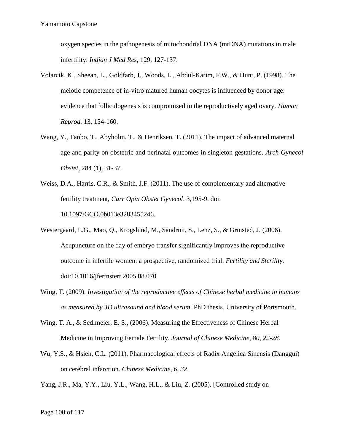oxygen species in the pathogenesis of mitochondrial DNA (mtDNA) mutations in male infertility. *Indian J Med Res,* 129, 127-137.

- Volarcik, K., Sheean, L., Goldfarb, J., Woods, L., Abdul-Karim, F.W., & Hunt, P. (1998). The meiotic competence of in-vitro matured human oocytes is influenced by donor age: evidence that folliculogenesis is compromised in the reproductively aged ovary. *Human Reprod.* 13, 154-160.
- Wang, Y., Tanbo, T., Abyholm, T., & Henriksen, T. (2011). The impact of advanced maternal age and parity on obstetric and perinatal outcomes in singleton gestations. *Arch Gynecol Obstet,* 284 (1), 31-37.
- Weiss, D.A., Harris, C.R., & Smith, J.F. (2011). The use of complementary and alternative fertility treatment, *Curr Opin Obstet Gynecol*. 3,195-9. doi: 10.1097/GCO.0b013e3283455246.
- Westergaard, L.G., Mao, Q., Krogslund, M., Sandrini, S., Lenz, S., & Grinsted, J. (2006). Acupuncture on the day of embryo transfer significantly improves the reproductive outcome in infertile women: a prospective, randomized trial. *Fertility and Sterility.* doi:10.1016/jfertnstert.2005.08.070
- Wing, T. (2009). *Investigation of the reproductive effects of Chinese herbal medicine in humans as measured by 3D ultrasound and blood serum.* PhD thesis, University of Portsmouth.
- Wing, T. A., & Sedlmeier, E. S., (2006). Measuring the Effectiveness of Chinese Herbal Medicine in Improving Female Fertility. *Journal of Chinese Medicine, 80, 22-28.*
- Wu, Y.S., & Hsieh, C.L. (2011). Pharmacological effects of Radix Angelica Sinensis (Danggui) on cerebral infarction. *Chinese Medicine, 6, 32.*

Yang, J.R., Ma, Y.Y., Liu, Y.L., Wang, H.L., & Liu, Z. (2005). [Controlled study on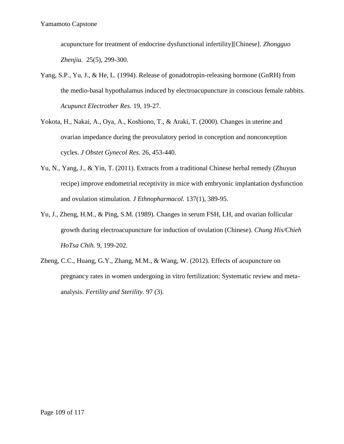acupuncture for treatment of endocrine dysfunctional infertility][Chinese]. *Zhongguo Zhenjiu.* 25(5), 299-300.

- Yang, S.P., Yu, J., & He, L. (1994). Release of gonadotropin-releasing hormone (GnRH) from the medio-basal hypothalamus induced by electroacupuncture in conscious female rabbits. *Acupunct Electrother Res.* 19, 19-27.
- Yokota, H., Nakai, A., Oya, A., Koshiono, T., & Araki, T. (2000). Changes in uterine and ovarian impedance during the preovulatory period in conception and nonconception cycles. *J Obstet Gynecol Res.* 26, 453-440.
- Yu, N., Yang, J., & Yin, T. (2011). Extracts from a traditional Chinese herbal remedy (Zhuyun recipe) improve endometrial receptivity in mice with embryonic implantation dysfunction and ovulation stimulation. *J Ethnopharmacol.* 137(1), 389-95.
- Yu, J., Zheng, H.M., & Ping, S.M. (1989). Changes in serum FSH, LH, and ovarian follicular growth during electroacupuncture for induction of ovulation (Chinese). *Chung His/Chieh HoTsa Chih.* 9, 199-202.
- Zheng, C.C., Huang, G.Y., Zhang, M.M., & Wang, W. (2012). Effects of acupuncture on pregnancy rates in women undergoing in vitro fertilization: Systematic review and meta analysis. *Fertility and Sterility.* 97 (3).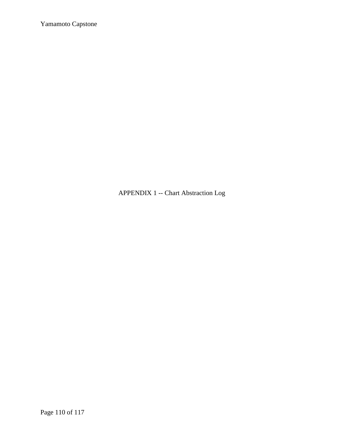APPENDIX 1 -- Chart Abstraction Log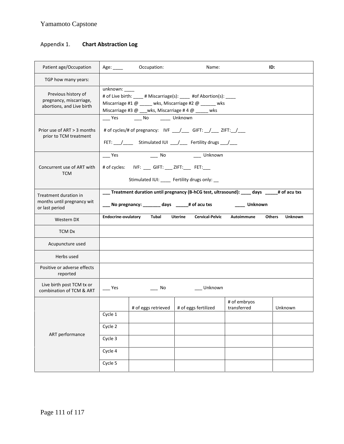## Appendix 1. **Chart Abstraction Log**

| Patient age/Occupation                                                      | Age:               | Occupation:                                             | Name:                                                                                                                                              |                             | ID:                             |
|-----------------------------------------------------------------------------|--------------------|---------------------------------------------------------|----------------------------------------------------------------------------------------------------------------------------------------------------|-----------------------------|---------------------------------|
| TGP how many years:                                                         |                    |                                                         |                                                                                                                                                    |                             |                                 |
| Previous history of<br>pregnancy, miscarriage,<br>abortions, and Live birth | unknown:           | Miscarriage #3 $@$ ___wks, Miscarriage #4 $@$ _____ wks | # of Live birth: ____ # Miscarriage(s): ____ #of Abortion(s): ____<br>Miscarriage #1 @ ____ wks, Miscarriage #2 @ _____ wks                        |                             |                                 |
| Prior use of ART > 3 months<br>prior to TCM treatment                       |                    | ____ Yes ______ No ______ Unknown                       | # of cycles/# of pregnancy: IVF ___/___ GIFT: __/___ ZIFT: __/___<br>FET: \__ /________ Stimulated IUI \___ /_____ Fertility drugs \___ /____      |                             |                                 |
| Concurrent use of ART with<br><b>TCM</b>                                    | $-$ Yes            | # of cycles: IVF: ___ GIFT: ___ ZIFT: ___ FET: ___      | ____ No _____ Unknown<br>Stimulated IUI: ____ Fertility drugs only: __                                                                             |                             |                                 |
| Treatment duration in<br>months until pregnancy wit<br>or last period       |                    |                                                         | ___ Treatment duration until pregnancy (B-hCG test, ultrasound): ____ days _____# of acu txs<br>___ No pregnancy: _______ days \______# of acu txs | ____ Unknown                |                                 |
| Western DX                                                                  |                    | Endocrine-ovulatory Tubal                               | Uterine                                                                                                                                            | Cervical-Pelvic Autoimmune  | <b>Unknown</b><br><b>Others</b> |
| TCM Dx                                                                      |                    |                                                         |                                                                                                                                                    |                             |                                 |
| Acupuncture used                                                            |                    |                                                         |                                                                                                                                                    |                             |                                 |
| Herbs used                                                                  |                    |                                                         |                                                                                                                                                    |                             |                                 |
| Positive or adverse effects<br>reported                                     |                    |                                                         |                                                                                                                                                    |                             |                                 |
| Live birth post TCM tx or<br>combination of TCM & ART                       | Yes                | – No                                                    | Unknown                                                                                                                                            |                             |                                 |
|                                                                             | Cycle 1            | # of eggs retrieved                                     | # of eggs fertilized                                                                                                                               | # of embryos<br>transferred | Unknown                         |
| ART performance                                                             | Cycle 2<br>Cycle 3 |                                                         |                                                                                                                                                    |                             |                                 |
|                                                                             | Cycle 4<br>Cycle 5 |                                                         |                                                                                                                                                    |                             |                                 |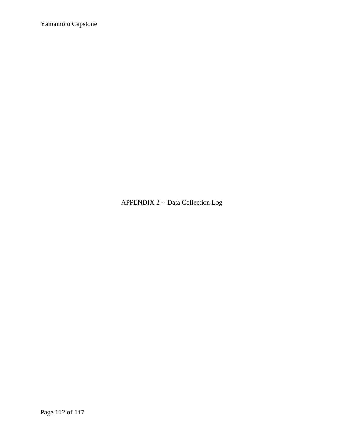APPENDIX 2 -- Data Collection Log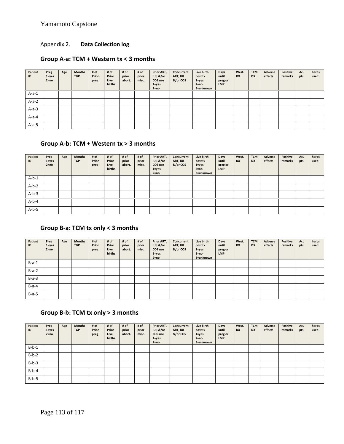## Appendix 2. **Data Collection log**

### **Group A-a: TCM + Western tx < 3 months**

| Patient<br>ID | Preg<br>$1 = yes$<br>$2 = no$ | Age | <b>Months</b><br><b>TGP</b> | # of<br>Prior<br>preg | # of<br>Prior<br>Live<br>births | # of<br>prior<br>abort. | # of<br>prior<br>misc. | Prior ART,<br>IUI, &/or<br>COS use<br>$1 = yes$<br>$2 = no$ | Concurrent<br>ART, IUI<br>&/or COS | Live birth<br>post tx<br>$1 = yes$<br>$2 = no$<br>3=unknown | Days<br>until<br>preg or<br><b>LMP</b> | West.<br><b>DX</b> | <b>TCM</b><br><b>DX</b> | Adverse<br>effects | Positive<br>remarks | Acu<br>pts | herbs<br>used |
|---------------|-------------------------------|-----|-----------------------------|-----------------------|---------------------------------|-------------------------|------------------------|-------------------------------------------------------------|------------------------------------|-------------------------------------------------------------|----------------------------------------|--------------------|-------------------------|--------------------|---------------------|------------|---------------|
| $A-a-1$       |                               |     |                             |                       |                                 |                         |                        |                                                             |                                    |                                                             |                                        |                    |                         |                    |                     |            |               |
| $A-a-2$       |                               |     |                             |                       |                                 |                         |                        |                                                             |                                    |                                                             |                                        |                    |                         |                    |                     |            |               |
| $A-a-3$       |                               |     |                             |                       |                                 |                         |                        |                                                             |                                    |                                                             |                                        |                    |                         |                    |                     |            |               |
| $A-a-4$       |                               |     |                             |                       |                                 |                         |                        |                                                             |                                    |                                                             |                                        |                    |                         |                    |                     |            |               |
| $A-a-5$       |                               |     |                             |                       |                                 |                         |                        |                                                             |                                    |                                                             |                                        |                    |                         |                    |                     |            |               |

## **Group A-b: TCM + Western tx > 3 months**

| Patient<br>ID | Preg<br>$1 = yes$<br>$2 = no$ | Age | <b>Months</b><br><b>TGP</b> | # of<br>Prior<br>preg | # of<br>Prior<br>Live<br>births | # of<br>prior<br>abort. | # of<br>prior<br>misc. | Prior ART,<br>IUI, &/or<br>COS use<br>$1 = yes$<br>$2 = no$ | Concurrent<br>ART, IUI<br>&/or COS | Live birth<br>post tx<br>$1 = yes$<br>$2 = no$<br>3=unknown | Days<br>until<br>preg or<br><b>LMP</b> | West.<br><b>DX</b> | <b>TCM</b><br><b>DX</b> | Adverse<br>effects | <b>Positive</b><br>remarks | Acu<br>pts | herbs<br>used |
|---------------|-------------------------------|-----|-----------------------------|-----------------------|---------------------------------|-------------------------|------------------------|-------------------------------------------------------------|------------------------------------|-------------------------------------------------------------|----------------------------------------|--------------------|-------------------------|--------------------|----------------------------|------------|---------------|
| $A-b-1$       |                               |     |                             |                       |                                 |                         |                        |                                                             |                                    |                                                             |                                        |                    |                         |                    |                            |            |               |
| $A-b-2$       |                               |     |                             |                       |                                 |                         |                        |                                                             |                                    |                                                             |                                        |                    |                         |                    |                            |            |               |
| $A-b-3$       |                               |     |                             |                       |                                 |                         |                        |                                                             |                                    |                                                             |                                        |                    |                         |                    |                            |            |               |
| $A-b-4$       |                               |     |                             |                       |                                 |                         |                        |                                                             |                                    |                                                             |                                        |                    |                         |                    |                            |            |               |
| $A-b-5$       |                               |     |                             |                       |                                 |                         |                        |                                                             |                                    |                                                             |                                        |                    |                         |                    |                            |            |               |

### **Group B-a: TCM tx only < 3 months**

| Patient<br>ID | Preg<br>$1 = yes$<br>$2 = no$ | Age | <b>Months</b><br><b>TGP</b> | # of<br>Prior<br>preg | # of<br>Prior<br>Live<br><b>births</b> | # of<br>prior<br>abort. | # of<br>prior<br>misc. | Prior ART,<br>IUI, &/or<br>COS use<br>$1 = yes$<br>$2 = no$ | Concurrent<br>ART, IUI<br>&/or COS | Live birth<br>post tx<br>$1 = yes$<br>$2 = no$<br>3=unknown | Days<br>until<br>preg or<br><b>LMP</b> | West.<br><b>DX</b> | <b>TCM</b><br><b>DX</b> | Adverse<br>effects | <b>Positive</b><br>remarks | Acu<br>pts | herbs<br>used |
|---------------|-------------------------------|-----|-----------------------------|-----------------------|----------------------------------------|-------------------------|------------------------|-------------------------------------------------------------|------------------------------------|-------------------------------------------------------------|----------------------------------------|--------------------|-------------------------|--------------------|----------------------------|------------|---------------|
| $B-a-1$       |                               |     |                             |                       |                                        |                         |                        |                                                             |                                    |                                                             |                                        |                    |                         |                    |                            |            |               |
| $B-a-2$       |                               |     |                             |                       |                                        |                         |                        |                                                             |                                    |                                                             |                                        |                    |                         |                    |                            |            |               |
| $B-a-3$       |                               |     |                             |                       |                                        |                         |                        |                                                             |                                    |                                                             |                                        |                    |                         |                    |                            |            |               |
| $B-a-4$       |                               |     |                             |                       |                                        |                         |                        |                                                             |                                    |                                                             |                                        |                    |                         |                    |                            |            |               |
| $B-a-5$       |                               |     |                             |                       |                                        |                         |                        |                                                             |                                    |                                                             |                                        |                    |                         |                    |                            |            |               |

## **Group B-b: TCM tx only > 3 months**

| Patient<br>ID | Preg<br>$1 = yes$<br>$2 = no$ | Age | <b>Months</b><br><b>TGP</b> | # of<br>Prior<br>preg | # of<br>Prior<br>Live<br>births | # of<br>prior<br>abort. | # of<br>prior<br>misc. | Prior ART,<br>IUI, &/or<br>COS use<br>$1 = yes$<br>$2 = no$ | Concurrent<br>ART, IUI<br>&/or COS | Live birth<br>post tx<br>$1 = yes$<br>$2 = no$<br>3=unknown | Days<br>until<br>preg or<br><b>LMP</b> | West.<br><b>DX</b> | <b>TCM</b><br><b>DX</b> | Adverse<br>effects | <b>Positive</b><br>remarks | Acu<br>pts | herbs<br>used |
|---------------|-------------------------------|-----|-----------------------------|-----------------------|---------------------------------|-------------------------|------------------------|-------------------------------------------------------------|------------------------------------|-------------------------------------------------------------|----------------------------------------|--------------------|-------------------------|--------------------|----------------------------|------------|---------------|
| $B-b-1$       |                               |     |                             |                       |                                 |                         |                        |                                                             |                                    |                                                             |                                        |                    |                         |                    |                            |            |               |
| $B-b-2$       |                               |     |                             |                       |                                 |                         |                        |                                                             |                                    |                                                             |                                        |                    |                         |                    |                            |            |               |
| $B-b-3$       |                               |     |                             |                       |                                 |                         |                        |                                                             |                                    |                                                             |                                        |                    |                         |                    |                            |            |               |
| $B-b-4$       |                               |     |                             |                       |                                 |                         |                        |                                                             |                                    |                                                             |                                        |                    |                         |                    |                            |            |               |
| $B-b-5$       |                               |     |                             |                       |                                 |                         |                        |                                                             |                                    |                                                             |                                        |                    |                         |                    |                            |            |               |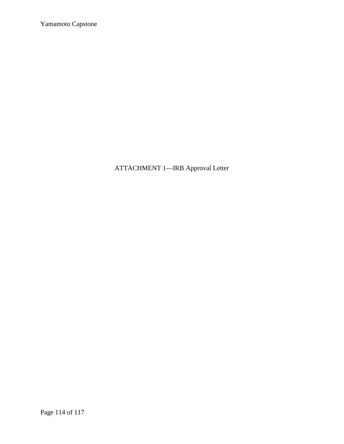ATTACHMENT 1—IRB Approval Letter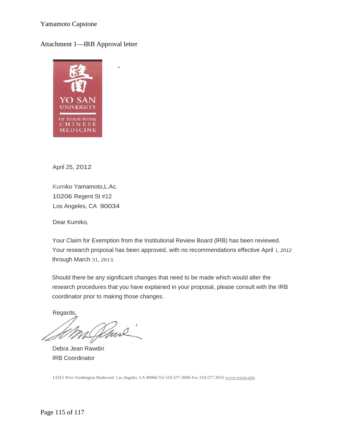#### Attachment 1—IRB Approval letter

-



April 25, 2012

Kumiko Yamamoto,L.Ac. 10206 Regent St #12 Los Angeles, CA 90034

Dear Kumiko,

Your Claim for Exemption from the Institutional Review Board (lRB) has been reviewed. Your research proposal has been approved, with no recommendations effective April 1, *2012* through March 31, 2013.

Should there be any significant changes that need to be made which would alter the research procedures that you have explained in your proposal, please consult with the IRB coordinator prior to making those changes.

Regards,

Venne

Debra Jean Rawdin IRB Coordinator

13315 West Washington Boulevard. Los Angeles. CA 90066 Tel310.577.3000 Fax 310.577.3033 www.yosan.edu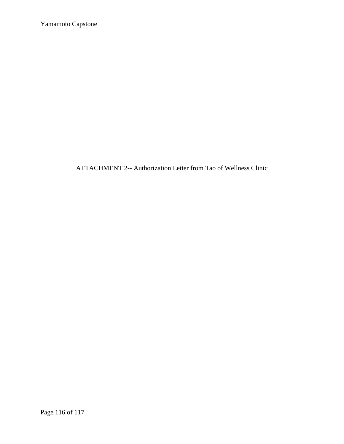ATTACHMENT 2-- Authorization Letter from Tao of Wellness Clinic